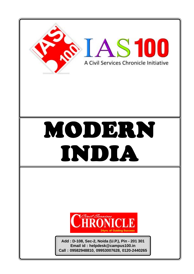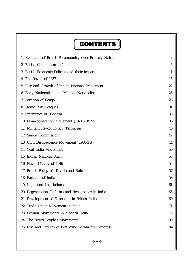# **CONTENTS**

| 1. Evolution of British Paramountcy over Princely States | 3  |
|----------------------------------------------------------|----|
| 2. British Colonialism in India                          | 6  |
| 3. British Economic Policies and their Impact            | 11 |
| 4. The Revolt of 1857                                    | 15 |
| 5. Rise and Growth of Indian National Movement           | 22 |
| 6. Early Nationalists and Militant Nationalists          | 25 |
| 7. Partition of Bengal                                   | 28 |
| 8. Home Rule Leagues                                     | 31 |
| 9. Emergence of Gandhi                                   | 33 |
| 10. Non-cooperation Movement (1921 - 1922)               | 36 |
| 11. Militant Revolutionary Terrorism                     | 40 |
| 12. Simon Commission                                     | 42 |
| 13. Civil Disobedience Movement (1930-34)                | 44 |
| 14. Quit India Movement                                  | 50 |
| 15. Indian National Army                                 | 53 |
| 16. Naval Mutiny of 1946                                 | 55 |
| 17. British Policy of Divide and Rule                    | 57 |
| 18. Partition of India                                   | 58 |
| 19. Important Legislations                               | 61 |
| 20. Regeneration, Reforms and Renaissance in India       | 65 |
| 21. Development of Education in British India            | 69 |
| 22. Trade Union Movement in India                        | 71 |
| 23. Peasant Movements in Modern India                    | 75 |
| 24. The States People's Movements                        | 80 |
| 25. Rise and Growth of Left Wing within the Congress     | 84 |
|                                                          |    |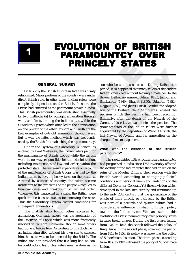

## **EVOLUTION OF BRITISH** PARAMOUNTCY OVER **PRINCELY STATES**

## GENERAL SURVEY

By 1855-56, the British Empire in India was firmly established. Major portions of the country were under direct British rule. In other areas, Indian rulers were completely dependent on the British. In short, the British had emerged as the paramount power in India. This British paramountcy was established essentially by two methods: (a) by outright annexation through wars, and (b) by brining the Indian states within the Subsidiary System which often led to their annexation on one pretext or the other. Mysore and Sindh are the best examples of outright annexation through wars. But it was the latter method which was frequently used by the British for establishing their paramountcy.

**EXERCISE SET ASSEMBLATES AND AN EXERCISE SET ASSEMBLATES AND A SURVEY By 1865-86, the British Empire in India was firmly period, it so happened that means this shall assemble by dependent on the British Ten other areas, I** Under the 'system of Subsidiary Alliance', as evolved by Lord Wellesley, the Indian rulers paid for the maintenance of British troops while the British were in no way responsible for the administration, including maintenance of law and order, within the protected state. The increased expenditure on account of the maintenance of British troops was met by the Indian rulers by levying heavy taxes on the peasants. Assured by a sense of security, the rulers became indifferent to the problems of the people which led to financial crises and breakdown of law and order. Whenever this happened in a state, the British were quick to use it as an excuse for annexing the state. Thus the Subsidiary System created conditions for subsequent annexations.

al crises and breakdown of law<br>ver this happened in a state, the E<br>o use it as an excuse for annexin<br>he Subsidiary System created con<br>uent annexations.<br>e British also found other ex<br>tion. One such excuse was the ap<br>ctrine The British also found other excuses for annexation. One such excuse was the application of the Doctrine of Lapse which was more frequently resorted to by Lord Dalhousie, though some others had done it before him. According to this doctrine, if an Indian king died without his own son to succeed him, his state was to be annexed by the British. The Indian tradition provided that if a king had no son, he could adopt his or his wife's near relation as his

**EXECUTE:**<br>
SURVEY son who became his successes<br>
Empire in India was firmly<br>
period, it so happened that ma<br>
of the country were under<br>
throne. Dalhausie annexed Sat<br>
areas, Indian rulers were<br>
the British. In short, the<br> son who became his successor. During Dalhousie's period, it so happened that many rulers of dependent Indian states died without leaving a male heir to the throne. Dalhausie annexed Satara (1848), Jaitpur and Sambalpur (1849), Bhagat (1850), Udaipur (1852), Nagpur (1853), and Jhansi (1854). Besides, the adopted son of the Peshwa Nana Sahib was refused the pension which the Peshwa had been receiving. Similarly, after the death of the Nawab of the Carnatic, his relative was denied the pension. The growing fears of the Indian rulers were further aggravated by the deposition of Wajid Ali Shah, the last Nawab of Avadh, and its annexation on the charge of mismanagement.

## **What was the essence of the British paramountcy?**

**GENERAL SURVEY** som veda became his successar. During Dalhausiek<br>
1855-56, the British Empire in India was firmly period. It so happened that nany rules of dependent<br>
1855-56, the British Empire in India was firmly period The rapid strides with which British paramountcy had progressed in India since 1757 invariably affected the destiny of the Indian states that had arisen on the ruins of the Mughal Empire. Their relation with the British varied according to changing political conditions and personal views and ambitions of the different Governor-Generals. Yet the conviction which developed in the late 18th century and continued up to the early 20th century that the governance of the whole of India directly or indirectly by the British was part of a preordained system which had a considerable influence in shaping British policy towards the Indian states. We can examine this evolution of British paramountcy over princely states in three broad phases. During the first phase, lasting from 1757 to 1813, the British followed the policy of Ring Fence. In the second phase, covering the period from 1813 to 1858, its policy was known as the policy of Subordinate Isolation. The third phase, extending from 1858 to 1947 witnessed the policy of Subordinate Union.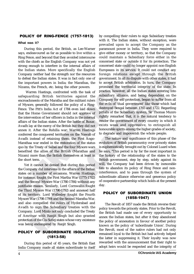## POLICY OF RING-FENCE (1757-1813)

#### **What was it?**

During this period, the British, as Lee-Warner says, endeavoured as far as possible to live within a Ring Fence, and beyond that they avoided intercourse with the chiefs as the English Company was not yet strong enough to interfere in the internal affairs of the Indian states. More specifically the English Company neither had the strength nor the resources to defeat the Indian states. It was in fact only one of the important powers in India; the Marathas, the Nizams, the French, etc. being the other powers.

win uncerture as one England Company was not get concerned state could no long<br>strong enough to interfere in the internal affairs of concerned state could no long<br>to the Indian states. More specifically the English Europe Warren Hastings, confronted with the task of safeguarding British territories against the encroachments of the Maratha and the militant rulers of Mysore, generally followed the policy of a Ring-Fence. The Pitt's India Act of 1784 even laid down that the Home Government should not approve of the intervention of her officers in India in the internal affairs of the Indian states. After the battle of Buxar, Avadh lay at the mercy of the British but they did not annex it. After the Rohilla war; Warren Hastings conferred the conquered territories on the Nawab of Avadh instead of retaining them; the First Ango-Marathaa war ended in the restoration of the status quo by the Treaty of Salbai and the four Mysore wars benefited the allies of the British (Marathas and Nizam) more than the British themselves at least in the short term.

The Mysore War (1790-1792) and an<br>erritory. Lord Wellesley fought 1<br>War (1798-1799) and the Second Ma<br>so compelled the rulers of Hyde<br>to sign the Subsidiary treaties<br>my. Lord Minto not only concluded<br>ritsar with Ranjit Sin Yet it cannot be denied that during this period the Company did intervene in the affairs of the Indian states on a number of occasions. Warren Hastings, for instance, fought the First Martha War (1775-1782) and the Second Mysore War (1780-1784) without any justifiable reason. Similarly, Lord Cornwallis fought the Third Mysore War (1790-1792) and annexed half of its territory. Lord Wellesley fought the Fourth Mysore War (1798-1799) and the Second Maratha War, and also compelled the rulers of Hyderabad and Avadh to sign the Subsidiary treaties with the Company. Lord Minto not only concluded the Treaty of Amritsar with Ranjit Singh but also granted protection of the Cis-Sutlej states whose very existence was being endangered by Ranjit Singh.

## POLICY OF SUBORDINATE ISOLATION (1813-58)

During this period of 45 years, the British East India Company made all states subordinate to itself

in the internal affairs of concerned state collade to collade the internal affairs of concerned state collad no longe<br>specifically the English Europeans in its service. It corrently how the resources foreign relations exce lian states. More specifically the English Europeans in its service it could at conduct any<br>lian states. It was for the program in the second at the second states in the distantaneos to respect through the British fitted by compelling their rulers to sign Subsidiary treaties with it. The Indian states, without exception, were prevailed upon to accept the Company as the paramount power in India. They were required to give either money or territory, so that the Company could maintain a Subsidiary force either in the concerned state or outside it for its protection. The concerned state could no longer appoint non-English Europeans in its service. It could not conduct any foreign relations except through the British government. In all its dispute with other states, it had to accept British arbitration. In turn, the Company promised the territorial integrity of the state. In practice, however, all the Indian states entering into subsidiary alliance, and being dependent on the Company for self-protection, began to suffer from all the evils of 'dual government' like those which had destroyed Bengal between 1765 and 1722. Regarding pitfalls of the Subsidiary system, Sir Thomas Munro rightly remarked that, it is the natural tendency to render the government of every country in which it exists weak and oppressive, to extinguish all honourable spirits among the higher grades of society, to degrade and impoverish the whole people.

The nature and significance of this phase of the evolution of British paramountcy over princely states is euphemistically brought out by Colonel Luard when he says, "This period is by far the most important in the history of the relationship of the states to the British government, step by step, solely against its will, the Company had been driven by inexorable fate to abandon its policy of Ring Fence and noninterference, and to pass through the system of subordinate alliance otherwise and generous policy of cooperative partnership which holds at the present day.

## POLICY OF SUBORDINATE UNION (1858-1947)

The Revolt of 1857 made the British reverse their policy towards the princely states. Prior to the Revolt, the British had made use of every opportunity to annex the Indian states, but after it they abandoned the policy of annexation in favour of another policy known as the policy of 'subordinate Union'. During the Revolt, most of the native rulers had not only remained loyal to the British but had actively helped the latter in suppressing it. Their loyalty was now rewarded with the announcement that their right to adopt heirs would be respected and the integrity of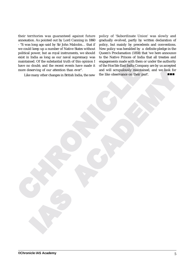have no doubt, and the recent events have made it of the Honble East India Compare discussion was when them as over the star with the many other changes in British India, the new the like observance on their p Like many ot their territories was guaranteed against future annexation. As pointed out by Lord Canning in 1860 - "It was long ago said by Sir John Malcolm… that if we could keep up a number of Native States without political power, but as royal instruments, we should exist in India as long as our naval supremacy was maintained. Of the substantial truth of this opinion I have no doubt; and the recent events have made it more deserving of our attention than ever".

Like many other changes in British India, the new

and run of any official companies and the form ble East India Comp<br>notion than ever". and will scrupulously maintain<br>sin British India, the new the like observance on their p<br>sin British India, the new the like observance exerving of our attention than ever.<br>
Inary other changes in British India, the new the like observance on their part.<br>
The construction of the stress of the constraints of the like observance on their part. policy of 'Subordinate Union' was slowly and gradually evolved, partly by written declaration of policy, but mainly by precedents and conventions. New policy was heralded by a definite pledge in the Queen's Proclamation (1858) that 'we here announce to the Native Princes of India that all treaties and engagements made with them or under the authority of the Hon'ble East India Company are by us accepted and will scrupulously maintained, and we look for the like observance on their part'.

IAS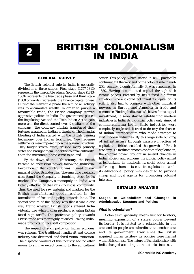

# BRITISH COLONIALISM IN INDIA

## GENERAL SURVEY

**GENERAL SURVEY** sector. This policy, which star and the end of thy discussed in the British colonial rule in India is generally continued till the very end of divided into three stages. First stage (1757-1813) 20th centu The British colonial rule in India is generally divided into three stages. First stage (1757-1813) represents the mercantile phase. Second stage (1813- 1860) represents the free trade phase and third stage (1860 onwards) represents the finance capital phase. During the mercantile phase the aim of all activity was to accumulate wealth. In order to pursue a favourable trade, the British company started aggressive policies in India. The government passed the Regulating Act and the Pitt's Indian Act to gain more and the direct control over the affairs of the company. The company officials transferred their fortunes acquired in Indian to England. The financial bleeding of India started with the British gaining hegemony over Indian territories. New revenue settlements were imposed upon the agrarian structure. They fought several wars, crushed many princely states and brought them under the colonial authority. Soon the mercantile phase came to an end.

he need for raw material and mark<br>manufactured goods resulte<br>tiion of free trade policy towards<br>feature of this policy was that it<br>affic wherein British goods ente<br>y free while Indian products enter<br>ingh tariffs. The prote By the dawn of the 19th century, the British became an industrial power following Industrial Revolution in that country. It was in need of raw material to feed its industries. The emerging capitalist class found the Company a stumbling block for its market. The Company's monopoly in India was bitterly attacked by the British industrial community. Thus, the need for raw material and markets for the British manufactured goods resulted in the formulation of free trade policy towards India. The special feature of this policy was that it was a one way traffic wherein British goods entered India virtually free while Indian products entering Britain faced high tariffs. The protective policy towards British trade was thoroughly guarded, leaving Indiamade products to face stiff competition.

The impact of such policy on Indian economy was ruinous. The traditional handicraft and cottage industry was disturbed, and faced virtual extinction. The displaced workers of this industry had no other means to survive except coming to the agricultural

**SURVEY** sector. This policy, which start<br>
ale in India is generally continued till the very end of the First stage (1757-1813) 20th century though formally<br>
hase. Second stage (1813-1860. Having accumulated c<br>
de phase an **GENERAL SURVEY** sector. This policy, which started in 1813, practically<br>
British colonial rule in India is generally continued till be very end of the colonial rule in mid-<br>
into three rappe, street arge (1727-1813) 20th sector. This policy, which started in 1813, practically continued till the very end of the colonial rule in mid-20th century though formally it was renounced in 1860. Having accumulated capital through such vicious polices, England by 1850's faced a different situation, where it could not invest its capital on its soil. It also had to compete with other industrial powers in Europe and America in trade and commerce. Finding India as a safe haven for its capital investment, it soon started establishing modern industries in India: its industrial policy only aimed at commercializing India. Basic industries were completely neglected. It tried to destroy the chances of Indian entrepreneurs who made attempts to start modern industries. By this large-scale building of infrastructure through massive injection of capital, the British enabled the growth of British economy. To facilitate smooth conduct of exploitation, the colonial power brought in several changes in Indian society and economy. Its judicial policy aimed at legitimizing its misdeeds, its social policy aimed at brining a human face to its exploitation, while its educational policy was designed to provide cheap and loyal agents for promoting colonial interests.

## DETAILED ANALYSIS

## **Stages of Colonialism and Changes in Administrative Structure and Policies**

#### **What is colonialism?**

Colonialism generally means lust for territory, meaning expansion of a state's power beyond its border. It is related to a relationship in one area and its people are subordinate to another area and its government. Ever since the British acquired Indian territory its policies were framed within this context. The nature of its relationship with India changed according to the colonial interests.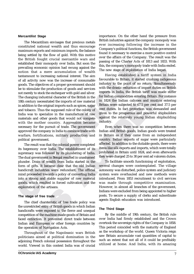#### **Mercantilist Stage**

established their monopoly over India. But som the "<sup>168</sup>ssm or the Cannel extended their monopoly or the case and the tempaty amoming a monomic opinion that a mere accumulation of wealth The new stage of exploitation tha results and solution of this, the company's monopoly tower India. But soon the this, the company's monopoly the cumulation of wealth and<br>tional interest. The aim Having established a tance increase of consumples the intere That a mere accumulations on <sup>6</sup> wealth<br>the new stage of exploiting on finds began.<br>The intervalent infinite and the measurage of the measurage of exploitation of hold began.<br>Included the measurage measurable industry to The Mecantilism envisages that precious metals constituted national wealth and thus encourage maximum exports and minimum imports, the balance being settled by the flow of gold. With this motive the British fought crucial mercantile wars and established their monopoly over India. But soon the prevailing economic opinion had swung against the notion that a mere accumulation of wealth tantamount to increasing national interest. The aim of all activity now was the increase of consumable goods. The objectives of a proper government should be to stimulate the production of goods and services not merely to stock the exchequer with gold and silver. The changing industrial character of the British in the 18th century necessitated the imports of raw material in addition to the original imports such as spices, sugar and tobacco. Thus the supposed rule of the colony of India was to specialize in the manufacture of raw materials and other goods that would not compete with the mother country. Aggression became necessary for the pursuit of trade. The government approved the company in India to combine trade with warfare, fortifications, military production and political government.

The result was that the colonial power completed its hegemony over India. The establishment of its supremacy was followed by its plundering of India. The dual government in Bengal resulted in unashamed plunder. Drain of wealth from India started in the form of gifts. It became clear that the old Indian handicraft industries were redundant. The official mind proceeded towards a policy of converting India into a strong and stable supplier of raw material goods, which resulted in forced cultivation and the exploitation of the artisans.

## **The stage of free trade**

age of free trade<br>
e chief charsteristic of free trade<br>
estricted entry of British goods in with<br>
rafts were exposed to the fierce are<br>
striction of the machine-made goods of<br>
xtinction. It prevented direct trade<br>
and Euro The chief charsteristic of free trade policy was the unrestricted entry of British goods in which Indian handicrafts were exposed to the fierce and unequal competition of the machine-made goods of Britain and faced extinction. It prevented direct trade between Indian and European or other foreign countries by the operation of Navigation Acts.

Throughout of the Napoleanic wars British politicians aimed at political domination in the adjoining French colonial possession throughout the world. Viewed in this context India was of crucial

importance. On the other hand the pressure from British industries against the company monopoly was ever increasing following the increase in the Company's political functions, the British government found it necessary to exercise a more positive control over the affairs of the Company. The result was the passing of the Charter Acts of 1813 and 1833. With this, the company's monopoly trade with India ended. The new stage of exploitation of India began.

Having established a tariff system in India favourable to Britain, it started crushing indigenous industry to the point of no return. Simultaneously with the drastic reduction of import duties on British imports in India, the British tariff was made stiffer for Indian commodities entering Britain. For instance in 1824 the Indian calicoes and muslins entering Britain were subjected to 67.5 per cent and 37.5 per cent duties. In fact protection was demanded and given to the prosperous and powerful shipbuilders against the relatively young Indian shipbuilding industry.

Even when there was no competition between Indian and British goods, Indian goods were treated in Britain as if they came from an independent country. Indian exports of sugar were particularly affected. In addition to the dutiable goods, there were items like silk exports and imports, which were totally prohibited in Britain until 1824, and even afterwards they were charged 25 to 30 per cent ad valorem duties.

To facilitate smooth functioining of exploitation, several changes were contemplated. The village autonomy was disturbed, police system and judiciary system were overhauled and new methods were introduced. From 1853 recruitment to civil services was made through competitive examination. However, in almost all branches of the government, Indians were excluded from being appointed to higher posts. To secure a supply of clerks and subordinate agents English education was introduced.

## **The Third Stage**

By the middle of 19th century, the British rule over India had firmly established and the Crown overtook the sovereign rights of the Company in 1858. This period coincided with the maturity of England as the workshop of the world. Queen Victoria reign saw Britain accumulate vast quantities of capital to such an extent that not all of it could be profitably utilized at home. And India, with its amazing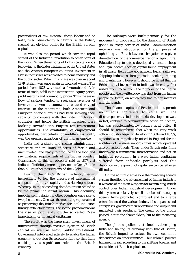potentialities of raw material, cheap labour and so forth, ruled benevolently but firmly by the British, seemed an obvious outlet for the British surplus capital.

the world. When the exports of British capital goods Educational system was developed<br>fell owing to the industrialization of the United States and loyal agents. Foreign capi<br>and the Western European countries, investment i is of British capital goods<br>
Educational system was devel<br>
countries, investment in all major fields like govern<br>
countries, investment in all major fields like govern<br>
ted to home industry and binapping industries, foreig It was also the period which saw the rapid spread of the Industrial revolution to other parts of the world. When the exports of British capital goods fell owing to the industrialization of the United States and the Western European countries, investment in British industries was diverted to home industry and the public sector. When this phase was over in about 1879, Britain was once again in troubled waters. The period from 1873 witnessed a favourable shift in terms of trade, a fall in the interest rate, equity prices, profit margins and commodity prices. Thus the easier flow of savings tended to seek safer avenues of investment even at somewhat reduced rate of interest. In the meantime, both American and European financial groups had been showing their capacity to compete with the British in foreign countries and hence the British investors were looking towards the Empire for investment opportunities. The availability of employment opportunities, particularly for middle class youth, was the greatest attraction of the Indian empire.

India had a stable and secure administrative structure and millions of acres of fertile and uncultivated land ready to produce all the food and raw material requirements of the mother country. Considering all this an observer said in 1857 that India is of infinitely more importance to Great Britain than all its other possessions of the Globe.

by, in the succeeding decades Britan<br>prime industrial nation. This<br>ance in relation to other countries g<br>enomena. One was the mounting vig<br>erving the British market for local<br>retaliatory tariffs. The second phenote<br>in popu During the 1870's British industry began increasingly to feel the pressure of international competition from the rapidly industrializing nations. Whereby, in the succeeding decades Britain ceased to be the prime industrial nation. This declining importance in relation to other countries gave rise to two phenomena. One was the mounting vigour aimed at preserving the British market for local industries through retaliatory tariffs. The second phenomena was the rise in popularity of the so called 'New Imperialism' or 'financial capitalism'.

The result was the large scale development of infrastructure through massive injection of British capital as well as heavy public investment. Government intervened actively to enable the Indian economy to develop its resources fully so that India could play a significant role in the British economy.

The railways were built primarily for the movement of troops and for the dumping of British goods in every corner of India. Communication network was introduced for the purposes of upholding the British bayonet. Irrigation was given due attention for the commercialization of agriculture. Educational system was developed to ensure cheap and loyal agents. Foreign capital found employment in all major fields like government loans, railways, shipping industries, foreign trade, banking, mining and plantations. However it should be noted that the British capital investment in India was in reality first raised from India from the plunder of the Indian people, and then written down as debt from the Indian people to Britain, on which they had to pay interests and dividends.

Western European counties, investment in all major fields like goveen<br>meant in a simply. Western European counties, investment in a ll major fields like goveen the both shares and<br>ended these of When this phase was over i The finance capital of Britain did not permit indigineous capitalists to come up. The discouragement to Indian industrial development was, in fact, confined to administrative action or inaction, but was supplemented by positive tariff policy. It should be remembered that when the very weak cotton industry began to develop in 1860's and 1870's, agitation was immediately raised in England for the abolition of revenue import duties which operated also on cotton goods. Thus, under British rule, India underwent a commercial transformation and not an industrial revolution. In a way, Indian capitalism suffered from infantile paralysis and this distortion in the growth of capitalism can be felt even till today.

On the administrative side the managing agency system throttled the advancement of Indian industry. It was one of the main weapons for maintaining British control over Indian industrial development. Under this system a relatively small number of managing agency firms promoted, controlled and to a large extent financed the various industrial companies and enterprises, governed their operations and output and marketed their products. The cream of the profits passed, not to the shareholders, but to the managing agency.

Though these policies that aimed at developing India and linking its economy with that of Britain, the British hoped to reduce its own economic dependence on other countries. Thus colonial policies trimmed its sail according to the shifting breezes and necessities of British capitalism.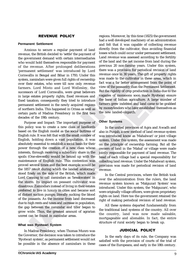## REVENUE POLICY

#### **Permanent Settlement**

Anxious to secure a regular payment of land revenue, the British decided to 'settle' the payment of the government demand with certain intermediaries who would hold themselves responsible for payment of the revenue. After prolonged deliberations 'permanent settlement' was introduced by Lord Cornwallis in Bengal and Bihar in 1793. Under this system, zamindars were given full rights of ownership over their estates, who were till now only revenue farmers. Lord Minto and Lord Wellesley, the successors of Lord Cornwallis, were great believers in large estates property rights, fixed revenues and fixed taxation; consequently they tried to introduce permanent settlement in the newly acquired regions of northern India. This happened in Orissa as well as certain parts of Madras Presidency in the first two decades of the 19th century.

who would hold then<br>selects responsible for payment on the mean and une the moreon of the revenue. After prolonged deliberations Previous 20 non-famine year<br>'permanent settlement' was introduced by Lord three was a provis Frammatic moted of hing in each of hing in the ed to live in luxury in cities and b<br>and such pumps; literally sucking<br>peasants. As the income from land<br>high rents and taxes and increase in<br>posteveen the zamindar and tille<br> nent settlement was introduced by Lord there was a provision for periodical revision of land<br>lik in lengal and Bihar in 1793. Under this revenue once in 30 years. The gift of property rights<br>zamidoas were given full tights Purpose and Impact: The important purpose of this policy was to create a new class of landlords based on the English model as the social buttress of English rule. It was felt that with the small number of English, holding down a vast population, it was absolutely essential to establish a social basis for their power through the creation of a new class whose interests, through receiving a subsidiary share in the spoils (One-eleventh) would be bound up with the maintenance of English rule. This contention was proved several times and the best example would be the 1857 revolt during which the landed aristocracy stood finely on the side of the British, which made Lord Canning to call zamindars as 'breakwaters' in the storm. Its impact on peasant cultivator was disastrous. Zamindars instead of living in their estates preferred to live in luxury in cities and became sort of distant suction pumps; literally sucking the blood of the peasants. As the income from land decreased due to high rents and taxes and increase in population, the gap between the zamindar and tiller began to grow wide. Thus, the greatest amount of agrarian unrest can be found in zamindar areas.

#### **What was Ryotwari System**

In Madras Presidency, when Thomas Munro was the Governor, the decision was taken to introduce the 'Ryotwari system', as permanent settlement would not be possible in the absence of zamindars in these

is responsible for payment of the main durations and the red incoming peak introduced by Lord Hindar dine was a provision for periodisponsible of there was a provision for periodisponsible in the energy different and red a regions. Moreover, by this time (1825) the government had a well developed machinery of an administration and felt that it was capable of collecting revenue directly from the cultivator, thus avoiding financial losses which could occur under permanent settlement. Land revenue was assessed according to the fertility of the land and the net income from land during the previous 20 non-famine years. Under this system, there was a provision for periodical revision of land revenue once in 30 years. The gift of property rights was made to the cultivator in these areas, which in fact was a far better arrangement from the point of view of the peasantry than the Permanent Settlement. But the rigidity of crop production in India due to the vagaries of monsoons soon made Ryotwari ensure the bane of Indian agriculture. A large number of farmers grew indebted and land came to be grabbed by moneylenders who later established themselves as the new landed-oligarch.

#### **Other Systems**

In the united provinces of Agra and Awadh and also in Punjab, a new method of land revenue system was introduced know as 'Mahalwari' or joint village system. Under this system, the assessment was made on the principle of ownership farming. But all the owners of land in the 'Mahal' or village were made jointly responsible for payment of land revenue. The head of each village had a special responsibility for collecting land revenue. Under the Mahalwari system, provision was made for periodical revision of land revenue.

In the Central provinces, where the British took over the administration from the rulers, the land revenue system known as 'Malguzari System' was introduced. Under this system, the 'Malguzars', who were originally village officers, were given proprietary rights on land. Here too the government retained the right of making periodical revision of land revenue.

All these systems departed fundamentally from the traditional land systems of the country. All over the country, land was now made saleable, mortgageable and alienable. In fact, the entire structure of rural society began to break up.

## JUDICIAL POLICY

In the early days of its rule, the Company was satisfied with the provision of courts of the trial of cases of the Europeans, and early in the 18th century.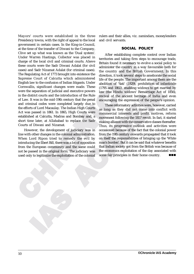onge or use to and corn and cumulation curses. Anone Britain found it necessary to energy to the Regulating Act of 1773 broughl influences.) the country and the British Superne Court of Calcutta which administered lifted ( Comman Country and the control and the method of the commission and the Sitish burde and the country and the Country and the British dalat (for criminal cases). Brought into existence the direction, it took several seps tr Mayors' courts were established in the three Presidency towns, with the right of appeal to the local government in certain cases. In the King-in-Council, at the time of the transfer of Diwani to the Company, Clive set up what was known as the 'Dual system'. Under Warren Hastings, Collector was placed in charge of the local civil and criminal courts. Above these courts were the Sadr Diwani Adalat (for civil cases) and Sadr Nizamat Adalat (for criminal cases). The Regulating Act of 1773 brought into existence the Supreme Court of Calcutta which administered English law to the confusion of Indian litigants. Under Cornwallis, significant changes were made. These were the separation of judicial and executive powers in the district courts and the introduction of the Rule of Law. It was in the mid-19th century that the penal and criminal codes were completed largely due to the efforts of Lord Macaulay. The Indian High Courts Act was passed in 1861. In 1865, High Courts were established at Calcutta, Madras and Bombay and, a short time later, at Allahabad to replace the Sadr Courts of Diwani and Nizamat.

However, the development of judiciary was in line with other changes in the colonial administration. When Lord Ripon tried to remedy the evil by introducing the Ilbert Bill, there was a lot of opposition from the European community and the same could not be passed in the original form. The judiciary was used only to legitimize the exploitation of the colonial

IAS

rulers and their allies, viz. zamindars, moneylenders and civil servants.

#### SOCIAL POLICY

After establishing complete control over Indian territories and taking firm steps to encourage trade, Britain found it necessary to evolve a social policy to administer the country in a way favourable both for the country and the British Government. In this direction, it took several steps to ameliorate the social life of the people. The important among them are the abolition of 'Sati' (1829), prohibition of infanticide (1795 and 1802), enabling widows to get married by law (the Hindu widows' Remarriage Act of 1856), revival of the ancient heritage of India and even encouraging the expression of the people's opinion.

Ind Star Wizaram Arhain (for criminal cases). the courtly and the British Government. In this specifical distribution of Star Government in this case of our of Calculat which administred life of the prople. The important These reformatory activities were, however, carried as long as they did not come into conflict with commercial interests and profit motives, reform movement following the 1857 revolt. In fact, it started making alliance with the conservative classes thereafter. Thus, its progressive outlook and activities were occasioned because of the fact that the colonial power from the 19th century onwards propagated that it took on itself the responsibilities of bringing up the 'White man's burden'. But it can be said that whatever benefits that Indian society got from the British was because of the economics exploitation of the day associated with some fair principles in their home country.  $\blacksquare$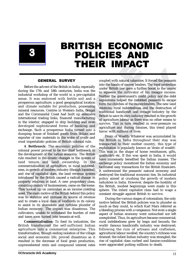

# BRITISH ECONOMIC POLICIES AND THEIR IMPACT

## GENERAL SURVEY

**EXERCT: CENERAL SURVEY** coupled with natural calamites<br>
Before the advent of the British in India, especially into the hands of money lender<br>
industrial works on the control in a pre-capitality discusses the cultivator Before the advent of the British in India, especially during the 17th and 18th centuries, India was the industrial workshop of the world in a pre-capitalist sense. It was endowed with fertile soil and a prosperous agriculture; a good geographical location and climate suitable for production, possessing mineral resources. Centres in Western India, Bengal and the Coromandal Coast had built up extensive international trading links, financed manufacturing in the interior, engaged in ship building and even developed sophisticated forms of banking and exchange. Such a prosperous India turned into a dumping house of finished goods from Britain and exporter of raw materials in the wake of crude and cruel imperialistic policies of British colonial rule.

boked up on zamindari as an incom<br>he main motive of the British behind<br>stabilize and increase its source<br>create a loyal class of landlords in<br>st in its shameless and ruthless<br>economy. The impact was disas<br>tors, unable to w **GENERAL SURVEY**<br>
compled with natural calonites it forced the peasants<br>
metha and the Hirtsich india, especially unto the Hinds of morey landers. The legal preaction<br>
the 17th and 18th centuries, India was the to squeeze **A Bottleneck:** The economic policies of the colonial power proved to be the chief bottleneck in the development of the Indian economy. The British rule resulted in the drastic changes in the system of land tenure and land ownership. In the commercialization of agriculture, in rural indebtedness, in growth of modern industry (though lopsided) and rise of capitalist class, the land revenue system introduced by the British caused a radical change in property relations in land. A new proprietary class, consisting mainly of businessmen, came on the scene. They looked up on zamindari as an income yielding asset. The main motive of the British behind this policy was to stabilize and increase its source of revenue and to create a loyal class of landlords in its colony to assist in its shameless and ruthless plunder of Indian economy. The impact was disastrous. The cultivators, unable to withstand the burden of rent and taxes soon turned into tenants-at-will.

**Commercialisation:** To feed its industries, the British transformed the self-sufficient Indian agriculture into a commercial enterprise. This transformation, though ending isolation of the village social and economic life, proved disastrous as it resulted in the decrease of food grain production, unprecedented rents and compound interest rates

**SURVEY** coupled with natural calamites in the hand starting into the hand calamites. British in India, especially under British law gave a furth centuries, India was the to squeeze the cultivator of world in a pre-capital coupled with natural calamites. It forced the peasants into the hands of money lenders. The legal protection under British law gave a further boost to the usurer to squeeze the cultivator of his meagre income. Neither the government's credit policy nor the debt legislations helped the indebted peasants to escape form the clutches of the moneylenders. The new land relations, rural indebtedness and the destruction of traditional handicraft and cottage industry by the British to save its own industry resulted in the growth of agriculture labour as there was no other means to survive. This in turn resulted in over-pressure on agriculture and during famines, this trend played havoc with millions of lives.

Drain of Wealth: Whatever was accumulated by the British in India throughout their stay was transported to their mother country, this type of exploitation is popularly known as 'drain of wealth'. This was in the shape of home remittances, gifts, gratitude's etc. If this was spent in India, it would have immensely benefited the Indian masses. The exchange policy monetized the Indian economy and facilitated easy transactions for the British financiers. It undermined the peasants' natural economy and destroyed the traditional economic ties. Its industrial policy aimed at crushing the growth of modern industries in India. However, despite the hostility of the British, modest beginnings were made in this sphere. The infant capitalist class had to wage a constant struggle against British to survive.

During the various stages of colonialism, the only motive behind the British policies was to plunder as much as they could, to which Karl Marx referred as a bleeding process with a vengeance. Not even a single aspect of Indian economy went untouched nor left unexploited. Thus, its agriculture became commercial; rural indebtedness grew by leaps and bounds; the world- famous handicrafts industry was destroyed; following the ruin of artisans and craftsmen, agricultural labour swelled; the country's richness was drained; the infant Indian industry was strangled; the rise of capitalist class curbed and famine-conditions were aggravated putting millions to death.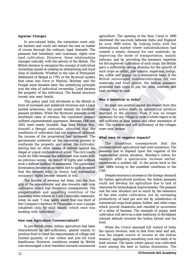### **Agrarian Changes**

In pre-colonial India, the zamindars were only tax farmers and could not extract the rent as matter of course through the ordinary legal channels. The peasants had hereditary and customary rights over land cultivation. However, these relationships changed radically with the advent of the British. The British decision to recognize the concept of individual ownership aimed at creating an enterprising and loyal class of landlords. Whether in the case of Permanent Settlement of Bengal in 1793, or the Ryotwari system that came into force in Madras, Bombay and the Punjab some decades later, the underlying principle was the idea of individual ownership. Land became the property of the individual. The feudal structure turned into semi feudal.

Uningo tractain y win the area to the form in the form in the comparison and loying stimal behavior of the increase of Permanent such capacity and loying stime class of handlords. Whether in the case of Permanent such cro able the concept of individual<br>
are the concept of individual<br>
gave a sufficiently strong stimm<br>
in the case of Permanent<br>
such crops as cotton, jute tobac,<br>
3, or the Ryotwari system<br>
British encouraged comment<br>
fadras, B in a<br>and dicredium and through same through same of the random same cent of hender same for the basis. If the<br>handloods whether in the axes of Permanent tea, coffice and poppy on a connecred basis. If the<br>nt of Bengal in This policy paid rich dividends to the British in form of increased and stabilized revenues and a loyal landed aristocracy, but posed sharply the landlordpeasant problem. While the Ryotwari peasants faced exorbitant rates of revenue, the zamindari peasant suffered unprecedented oppression. Between 1800 and 1810, rents nearly doubled. Raja Ram Mohan Roy, himself a Bengal zamindar, admitted that the conditions of cultivators had not improved although the income of the proprietors had increased. The government conferred on the zamindras powers to confiscate the property and arrest the cultivator, leaving him no other means of redress against the illegal or unjust confiscation or arrest. The civil courts could do little because the settlement was made with no previous survey, on record of rights and without even a defined method of assessment. The zamindars' domination became an accepted fact to such an extent that the tenants who, in theory had substantial occupancy rights became tenants at will.

ion which had disastrous consequentization and appalling condition<br>ry were echoed in Lord Cornwallis<br>le said: 'I may safely assert that on<br>mpany's territory in Hindustan is no<br>ed only by wild beasts, which<br>g with cultivato The burden of revenue led them into the firm grip of the moneylender and also towards cash crop cultivation which had disastrous consequences. The pauperization and appalling condition of the peasantry were echoed in Lord Cornwallis statement, when he said: 'I may safely assert that one third of the Company's territory in Hindustan is now a jungle inhabited only by wild beasts, which once was bustling with cultivators'.

#### **How was Agriculture Commercialized?**

In pre-British times, Indian agriculture had been characterized by self-sufficiency, geared mainly to produce food to meet the requirements of village and limited quantity of raw cotton and jute for local handlooms. However, conditions created by British rule encouraged a slow transition towards commercial agriculture. The opening of the Suez Canal in 1869 shortened the sea-route between India and England by over 3000 miles. By linking India with the international market where industrialization had created a steady demand for raw materials, by improving the mode of transportation, mainly railways, and by providing the necessary expertise for the improved cultivation of such crops, the British gave a sufficiently strong stimulus for the growth of such crops as cotton, jute tobacco, sugarcane, indigo, tea, coffee and poppy on a commercial basis. If the British encouraged commercialization for raw materials and food grains, the Indian peasants produced cash crops to pay his rents, interests and land revenue in cash.

## **Was it beneficial to India?**

At least one positive aspect developed from this change. An active trade in agricultural produce emerged in the country. Now it was no longer necessary for any village or even a whole region to be self-sufficient in food grains and other necessities of life. The isolation and self sufficiency of the villages were now broken.

#### **What were its negative impacts?**

The disastrous consequences that the commercialized agricultural had were numerous. The peasants had to depend upon the vagaries of the international prices situation. Bombay's cotton for example after a spectacular increase earlier, experienced a sudden fall in the prices level in the late 1860s owing to the unsettled conditions in the USA.

Despite enormous increase in the foreign demand for Indian agricultural produce, the Indian peasants could not develop his agriculture due to lack of resources for technological improvements. The peasant met the new situation not so much by the extension of the area under cultivation, not by increasing productivity of land per acre but by substitution of commercial crops food grains, fodder, and other crops which proved disastrous and resulted in occurrence of a series of famines. The example of poppy seed cultivation will serve as a clear testimony to the blatant colonial attitude towards the Indian farmer and his food.

When the Crown assumed full control of India the opium revenue, next to that from land and salt, was the largest source of income to the Indian treasury, aggregating something over one tenth of its total income. The lands where opium was cultivated were among the best in Indian dominions. The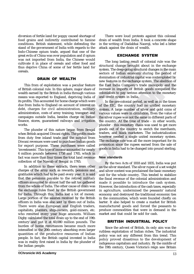diversion of fertile land for poppy caused shortage of food grains and indirectly contributed to famine conditions. British statement, while defending the stand of the government of India with regards to the Indo-Chinese opium trade, argued that one of the great evils of China was over population and if opium was not imported from India, the Chinese would cultivate it in place of cereals and other food and thus deprive China of some of her fertile land for cereals.

## DRAIN OF WEALTH

cultivate it in place of cereals and other food and<br>the thus deprive China of orne of her fertile land for<br>structural change foreagle and the system. The deep going structural<br>consisted by the system. The deep going struct This from of exploitation was a peculiar feature of British colonial rule. In this sphere, major share of wealth earned by the British in India through various means was exported to England, depriving India of its profits. This accounted for home charge which were due from India to England on account of interest on debt, charges for civil administration, military administration, costs of army training, transport and campaigns outside India, besides charge on Indian finance, stores, guaranteed railways and irrigation works.

The plunder of this nature began from Bengal when British acquired Diwani rights. The profits made from duty free inland trade and the surplus from Diwani revenues were used to purchase Indian goods for export purpose. These purchases were called 'investments'. This type of income accounted for nearly 6 million pounds between 1758 and 1765, which in fact was more than four times the total land revenue collection of the Nawab of Bengal in 1765.

hange rules fixed by the British g<br>hange rules fixed by the British g<br>ia. Through this, India lost a lot<br>oortion of the salaries received by<br>in India was also sent by them or<br>were also European and Englis<br>ists, planters, s **DRAIN OF WEALTH** sectors of the sectopalization and the main of the endomy of the main of the comparison in the solution of the columnical of the column of the sectors of the test indication of the column of the column o In addition to these extracts, there were other charges of the army such as rewards, pensions and gratitudes which had to be paid every year. It is said that the pensions payable to the retired military officers amounted to almost half the salt tax gathered from the whole of India. The other cause of drain was the exchange rules fixed by the British government for India. Through this, India lost a lot of money. Large portion of the salaries received by the British officers in India was also sent by them out of India. There were also European and English traders, capitalists, planters, ship-owners, gold-miners, etc. who remitted every year huge amounts. William Digby calculated the total drain up to the end of 19th century and put it at 60,080 million pounds. The burden of home remittances became much more intensified in the 20th century absorbing even larger quantities of the productive resources of Indian people. In fact, the British capital invested in India was in reality first raised in India by the plunder of the Indian people.

There were loud protests against this colossal drain of wealth from India. It took a concrete shape in the writing of Dadabhai Naoroji, who led a bitter attack against the drain of wealth.

### EXCHANGE SYSTEM

The long lasting result of colonial rule was the structural change brought about in the exchange system. The deep-going structural changes in the main sectors of Indian economy during the period of domination of industrial capital was contemplated by new features in the exchange system. The abolition of the East India Company's trade monopoly and the increase in imports of British goods compelled the colonialists to pay serious attention to the monetary and credit system in India.

reals and other food and<br>
interior change issues of the fertile land for<br>
structural change brought al<br>
system. The deep-going structure<br>
sectors of Indian economy of<br> **WEALTH**<br>
on was a peculiar feature the Extending only In the pre-colonial period, as well as in the times of the EIC, the country had no unified monetary system. A large number of silver and gold coins of various values were in circulation. Even the value of the silver rupee was not the same in different parts of the country. At the time of trade - in other words, plunder - this monetary chaos was used to get more goods out of the country to enrich the merchants, traders, and black marketers. The industrialization however needed a single united monetary system. The exchange rate was all the more important for its promotion since the rupees earned from the sale of goods in India had to be changed into pound sterling.

#### **New standards**

By the two Acts of 1818 and 1835, India was put on the silver standard. The silver rupee of a set weight and silver content was proclaimed the basic monetary unit for the whole country. This tended to stabilize the fiscal revenue of the colonial administration and made it possible to introduce the cash system. However, the introduction of the cash taxes, especially in agriculture, undermined the peasants' natural economy and destroyed the traditional economic ties in the communities, which were founded chiefly on barter. It also helped to create a market for British manufactured goods and forced the peasants to produce commodities that were in demand in the market and that could be sold for cash.

#### BRITISH INDUSTRIAL POLICY

Since the advent of British, its only aim was the ruthless exploitation of Indian riches. The industrial policy was not any different from this trend. This policy proved disastrous to the development of indigenous capitalism and industry. By the middle of the 19th century, Queen Victoria's reign saw Britain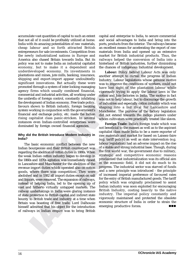policy was not to make India an industrial capital<br>is consider the change and the change of middlengial shines and dot moder<br>developed economy. Its investments in Labour: Policy behind L planking<br>is underdeveloped economy lia an industrial capitalist<br>
it a dependent and the chances of indigenous Indi<br>
mills, banking, insurance, another attempt to curtail the<br>
mills, banking, insurance, another attempt to curtail<br>
mills, banking, insurance, accumulate vast quantities of capital to such an extent that not all of it could be profitably utilized at home. India with its amazing potentialities of raw materials, cheap labour and so forth attracted British entrepreneurs for sale investments. Competition from the newly industrialized nations in Europe and America also chased Britain towards India. But its policy was not to make India an industrial capitalist economy, but to make it a dependent and underdeveloped economy. Its investments in plantations and mines, jute mills, banking, insurance, shipping and export-import appear undoubtedly significant innovations. But actually these were promoted through a system of inter-locking managing agency firms which usually combined financial, commercial and industrial activities, all working under the umbrella of foreign control, constantly inhibiting the development of Indian economy. Free trade policy, favours shown to British industry, foreign banking system working in conjunction with the government's financial and exchange policy, etc. made the Indian rising capitalist class panic-stricken. In several instances even Indian-controlled enterprises were dominated by foreign owned financial agencies.

### **Why did the British Introduce Modern Industry in India?**

d nunerto virtually untapped manufactured in the undertakings in India were glarir protection to British capital and in to British trade and industry at a was boasting of free trade. Lord admitted that his object for the i The basic economic conflict between the new Indian bourgeoisie and their British counterpart was regarding the abolition of cotton duties in 1880s. When the weak Indian cotton industry began to develop in the 1860s and 1870s agitation was immediately raised in Lancashire and Manchester for the abolition of the revenue import duties which operated also on cotton goods, where there was competition. They were abolished and in 1882 all import duties except on salt and liquors, were removed. The expansion of railways, instead of helping India, led to the opening up of vast and hitherto virtually untapped markets. The railway undertakings in India were glaring instance of state protection to British capital and indirect state bounty to British trade and industry at a time when Britain was boasting of free trade. Lord Dalhousie himself admitted that his object for the introduction of railways in Indian empire was to bring British

capital and enterprise to India, to secure commercial and social advantages to India and bring into the ports, products from the interior. The railways became an excellent means for accelerating the export of raw materials from India and opened up an extensive market for British industrial products. Thus, the railways helped the conversion of India into a hinterland of British industries, further diminishing the chances of indigenous Industrial development.

**Labour:** Policy behind Labour Acts was only another attempt to curtail the progress of Indian Industry. Labour legislations whose genuine motive was to improve the conditions of workers, could not have lost sight of the plantation labour while vigorously trying to apply the labour laws in the cotton and Jute factories in India. The motive in fact was not to help labour, but to discourage the growth of industries and especially cotton industry which was shaping into a bid rival for Lancashire and Manchester. The purview of the factory legislation did not extend towards the indigo planters under whom cultivators were practically treated like slaves.

eveloped economy. Its invisorients in Labour Policy bashtad Jabour Acts was a paid any and mines, jute milks banking insurance, another attention the particle banking and any and mines, jute milks banking insurance, anothe **Foreign Trade:** India's foreign trade which was not beneficial to the masses as well as to the aspirant capitalist class made India to be a mere exporter of raw materials and market for based on Laissez-faire (e.g. tariff policy) as well as state intervention (e.g. labour legislation) had an adverse impact on the rise of a stable and strong industrial base. Though, during the first world war, the government due to military, strategic and competitive economic reasons proclaimed that industrialization was its official aim in the economic field, it did not do much to its progress. The industrial sector was starved of funds and a new principle was introduced - the principle of increased imperial preference of favoured rates for the entry of British manufactured goods. The tariff policy which was originally proclaimed to assist Indian industry was soon exploited for encouraging British Industry, costing heavily to the native industry. The imperial policy constantly and vigorously maintained and protected the obsolete economic structure of India in order to strain the emerging productive forces.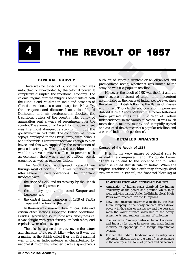

# THE REVOLT OF 1857

## GENERAL SURVEY

**GENERAL SURVEY** outburst of sepay discontent<br>
There was no aspect of public life which was premediated revolt, whether<br>
unducted by the colonial power. It<br>
completely discupted the traditional economy. The<br>
completely dis **SURVEY**<br>
outburst of sepoy discontent<br>
of public life which was<br>
premeditated revolt; whether<br>
by the colonial power. It<br>
digious sentiments of both<br>
most severe outburst of an<br>
in India and activities of<br>
accumulated in **GENERAL SURVEY**<br> **CENERAL SURVEY**<br>
outburst of sepay discussion or an originized and<br>
reavas no aspect of public life which was promodited revolt whether it was limited to the<br>
erd or uncapploided by the colorial power. There was no aspect of public life which was untouched or unexploited by the colonial power. It completely disrupted the traditional economy. The colonial regime hurt the religious sentiments of both the Hindus and Muslims in India and activities of Christian missionaries created suspicion. Politically, the arrogance and dictatorial attitude of Lord Dalhousie and his predecessors shocked the traditional rulers of the country. His policy of annexation sent a wave of resentment over the country. The annexation of Awadh for misgovernment was the most dangerous step which put the government in bad faith. The conditions of Indian sepoys, employed in the British army, were heinous and unbearable. Slightest pretext was enough to play havoc, and this was supplied by the introduction of greased cartridges. The greased cartridges alone would not have, however, sufficed to provoke such an explosion, there was a mix of political, social, economic as well as religious factors.

The Revolt began and spread like wild fire through most of north India. It was put down only after severe military operations. The important incidents were:

- the siege of Delhi and its recovery by the British force in late September,
- the military operations around Kanpur and Lucknow and;
- the central Indian campaign in 1858 of Tantia Tope and the Rani of Jhansi.

military operations around Ka<br>cknow and;<br>central Indian campaign in 1858<br>pe and the Rani of Jhansi.<br>these events, several native Princes,<br>other sections supported British<br>i, Deccan and south India was large<br>fought with gre In these events, several native Princes, Sikhs and certain other sections supported British operations. Besides, Deccan and south India was largely passive. It was fought with great ferocity on both sides, and reprisals were often savage.

There is also a general controversy on the nature and character of the revolt. Like - whether it was just a mutiny as the British called it or the first national war of Indian Independence as characterized by nationalist historians; whether it was a spontaneous

outburst of sepoy discontent or an organized and premeditated revolt; whether it was limited to the army or was it a popular rebellion.

However, the revolt of 1857 was the first and the most severe outburst of anger and discontent accumulated in the hearts of Indian people ever since the advent of British following the Battles of Plassey and Buxar. Though the apologists of imperialism dubbed it as a 'Sepoy Mutiny', the Indian historians have praised it as the 'First War of Indian Independence'. In the words of Nehru: "It was much more than a military mutiny and it rapidly spread and assumed the character of a popular rebellion and a war of Indian independence".

## DETAILED ANALYSIS

#### **Causes of the Revolt of 1857**

It is in the very nature of colonial rule to exploit the conquered land. To quote Lenin: "There is no end to the violence and plunder which is called British rule in India". When the English established their authority through dual 'government' in Bengal, the financial bleeding of

#### **ADMINISTRATIVE AND ECONOMIC CAUSES**

- Annexation of Indian states deprived the Indian aristocracy of the power and position which they were enjoying earlier. Under the British rule all High Posts were reserved for the Europeans.
- New land revenue settlements made by the East India Company in the newly-annexed states drove poverty in the ranks or aristocracy and the peasants were the worst affected class due to the heavy assessments and ruthless manner of collection.
- The East India Company destroyed Indian Handicraft and Industry by using its power and made Indian industry an appendage of a foreign exploitative system.
- Further, the Indian Handicraft and Industry was adversely affected due to the loss of its consumers in the country in the form of princes and aristocrats.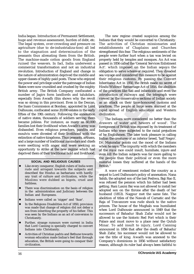rundel the weavers. In fact, India underwent a passed in 1856 called the "Generatial transformation and not an industrial Act". which imposed on the revolution. Introduction of England and change in obligation to serve wh fact, India underwent a passed in 1856 called the 'Genen<br>
in and not an industrial Act'. which imposed on the<br>
imposed on the obligation to serve wherever re-<br>
regigned and change in obligation to serve wherever re-<br>
posts on. Introduction of Fingland and change in obligation to serw where required. They disseles assess of highly hyphotopax Shows who shows the server equivalent in the most of the property interest of the particular cases of India began. Introduction of Permanent Settlement, huge and revenue assessment, burden of debt, etc. The legal system, over-crowding and pressure on agriculture (due to de-industrializa-tion) all led to the stagnation and determination of the peasants thus alienating them from the British. The machine-made cotton goods from England ruined the weavers. In fact, India underwent a commercial transformation and not an industrial revolution. Introduction of England and change in the nature of administration deprived the middle and upper classes of highly-paid posts. Those who enjoyed the power and privilege under the patronage of Indian States were now crumbled and crushed by the mighty British army. The British Company confiscated a number of Jagirs form landlords and talukdars, especially from Awadh (this shows why the revolt was so strong in this province). Even in the Deccan, the Inam Commission at Bombay, appointed by Lord Dalhousie, confiscated some 20,000 estates in the early fifties of the 19th century. Following the annexation of native states, thousands of soldiers serving them became jobless. For instance, as many as 60,000 families lost their livelihood when Awadh's army was disbanded. Even religious preachers, pandits and moulvis were divested of their livelihood with the extinction of native kingdoms. Thus peasants, artisans, and a large number of traditional zamindars and chiefs were seething with anger and were seeking an opportunity to strike at the new regime which had deprived them of their traditional hold and livelihood.

#### **SOCIAL AND RELIGIOUS CAUSES**

- Like every conqueror, English rulers of India were rude and arrogant towards the subjects and described the Hindus as barbarians with hardly any trait of culture and civilization, while the Muslims were dubbed as bigots, cruel and faithless.
- There was discrimination on the basis of religion in the administration and Judiciary between the Indian and Europeans.
- Indians were called as 'nigger' and 'Suar'.
- ere was discrimination on the basis c<br>the administration and Judiciary bel<br>lian and Europeans.<br>lians were called as 'nigger' and 'Su<br>the Religions Disabilities Act of 1850,<br>s made that change of religion did no<br>i from inhe In the Religions Disabilities Act of 1850, provision was made that change of religion did not debar a son from inheriting the property of his father. This was seen by the Indians as an act of conversion to Christianity.
- Further, strange rumours were current in India that Lord Canning is specially charged to convert Indians into Christianity.
- Activities of Christian padris and Bethune towards woman education made Indian's feel that through education, the British were going to conquer their civilization.

The new regime created suspicion among the Indians that they would be converted to Christianity. The activities of Christian missionaries and establishments of Chaplains and Churches strengthened this fear. The religious sentiments of the people were further hurt when a tax was levied on property held by temples and mosques. An Act was passed in 1856 called the 'General Services Enlistment Act'. which imposed on the Indian sepoys the obligation to serve wherever required. They dreaded sea voyage and considered this measure to be against their religious customs. By passing the Convert Inheritance Act in 1850, the Britsh made no secret of Hindu Widows' Remarriage Act of 1856, the abolition of the practices like Sati and infanticide and even the introduction of railways and the telegraph were viewed by the conservative sections of Indian society as an attack on their time-honoured customs and practices. The people at large were alarmed at the rapid spread of English education and Western civilization.

The Indians were considered no better than the drawers of water and hewers of wood'. The foreignness of British was exposed by its treatment of Indians who were subjected to the racial prejudices of he Englishmen. The later took pleasure in calling Indian the creatures of an inferior breed, 'half Negro'. Dr. Majumdar points out the mood of the Indians when he says: "The impurity with which the members of the royal race could insult, humiliate, injure and even kill the Indian subjects was far more galling to the people than their political or even the more material losses they suffered at the hands of the British."

A wave of resentment rocked the country as a sequel to Lord Dalhousie's policy of annexation. Nana Sahib, the adopted son of the last Peshwa, Baji Rao II, was refused the pension which his father had been getting. Rani Laxmi Bai was not allowed to install her adopted son on the throne after the death of her husband (1853). Nagpur met the same fate. The abolition of titles of the Nawab of Carnatic and the Raja of Travancore was rude shock to the native princes. The house of the Mughals was humiliated when Lord Dalhousie announced in 1849 that the successors of Bahadur Shah Zafar would not be allowed to use the historic Red Fort which is their Palace and must move to a place near the Qutub Minar. To add insult to injury, Lord Canning announced in 1856 that after the death of Bahadur Shah Zafar, his successor would not be allowed to use the title of king. Awadh was annexed to the Company's dominions in 1856 without satisfactory reason, although its ruler had always been faithful to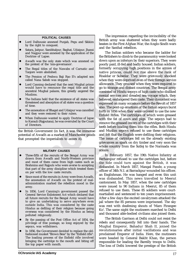#### **POLITICAL CAUSES**

- Lord Dalhousie annexed Punjab, Pegu and Sikkim by the right to conquest.
- Satara, Jaitpur, Sambhalpur, Baghat, Udaipur, Jhansi and Nagpur were annexed by the application of the Doctrine of Lapse.
- Awadh was the only state which was annexed on the pretext of the 'mis-governance'.
- The Regal titles of the Nawabs of Carnatic and Tanjore were abolished.
- The Pension of Peshwa Baji Rao II's adapted son called Nana Saheb was stopped.
- Lord Canning declared that the next Mughal prince would have to renounce the regal title and the ancestral Mughal palaces, this greatly angered the Muslims.
- The Indians held that the existence of all states was threatened and absorption of all states was a question of time.
- The annexation of Bhagat and Udaipur was cancelled and they were restored to their rulers.
- When Dalhousie wanted to apply Doctrine of lapse to Karauli (Rajputana), he was overruled by the Court of Directors.

the British Government (in fact, it was the immense potential of Awadh as a market of Manchester goods that prompted the imperialists to annex it).

#### **MILITARY CAUSES**

- Three-fifth of the recruits of the Bengal Army was drawn from Awadh and North-Western province and most of them came from high castes such as Brahmins and Rajputs who were averse to accepting that part of the army discipline which treated them on par with the low caste recruits.
- Since most of the recruits in Army were from Awadh, the annexation of Awadh on the pretext of maladministration marked the rebellion mood in the army.
- IT 1856, Lord Canning's government<br>
1856, Lord Canning's government<br>
ineral Service Enlistment Act which de<br>
future recruits for the Bengal Army v<br>
give an undertaking to serve anyw<br>
itside India. This was considered by<br>
m In 1856, Lord Canning's government passed the General Service Enlistment Act which declared that all future recruits for the Bengal Army would have to give an undertaking to serve anywhere even outside India. This was considered by the caste Hindus as defiling of their religion because going overseas was considered by the Hindus as being polluted religiously.
- By the passing of the Post Office Act of 1854, the privilege of free postage, so long enjoyed by the sepoys, was withdrawn.
- In 1856, the Government decided to replace the oldfashioned musket "Brown Bess" by the "Enfield rifle". The loading process of the Enfield rifle involved bringing the cartridge to the mouth and biting off the top paper with mouth.

The impression regarding the invincibility of the British army was shattered when they were badly beaten in the First Afghan War, the Anglo-Sindh wars and the Santhal rebellion.

The Regal titles of the Nawake of Carmite and Navigno High positive and the Pietosia of Tamping high positive Tanjour (Fight and David Carmite and Tamping decision of Pietosia and Pietosia and Tamping Carmite and Navigno H Fact, it was the immense and Muslim separate of Manchester and School and Expection and the section of all states was question of all states was a question of all states was a question of all states was a question of all s Figure Inter Sign Lines and Reavision of the Reavision and Sign Lines and The Figure (Figure 1970). This case of control interest in the sign lines of the sign lines of the sign lines of the sign and the sign and the sign The Indian soldiers who became the ladder for the Britishers to climb to the paramountcy were looked down upon as inferiors by their superiors. They were poorly paid, ill-fed and badly housed. Indian soldiers, formerly occupying high positions in the armies of native princes, could not rise above the rank of Risaldar or Subedar. They were grievously shocked when they were deprived even of their foreign service allowance. They groused when they were required to go to strange and distant countries. The Bengal army consisted of Hindu sepoys of high caste who disliked menial services and dreaded sea voyage which, they believed, endangered their caste. Their discontent was expressed on many occasions before the Revolt of 1857 also. The pent-up emotions of the Indian sepoys burst forth in 1856 when they were ordered to use the new Enfield Rifles. The cartridges of which were greased with the fat of cows and pigs. The sepoys had to remove the greased covers of the cartridges with their teeth before loading them into the rifles. Both Hindu and Muslim sepoys refused to use these cartridges and felt that the English were defiling their religions. The issue of cartridges fell on the already existing grievances as spark on dry timber and very soon the whole country from the Sutlej to the Narmada was ablaze.

In February 1857, the 19th Native Infantry at Berhampur refused to use the cartridges but, before the tide could turn against the British, it was disbanded. In March 1857, Mangal Pande, a young officer of 34th N.I. at Barrackpur wounded his officer, an Englishman. He was hanged and even this unit was disbanded. This news travelled to Meerut cantonment. In May 1857, when the new cartridges were issued to 90 Indians in Meerut, 85 of them refused to use them. These 85 soldiers were courtmartialled and sentenced to ten years imprisonment. After a few days the excited cavalrymen attacked the jail where the 85 persons were imprisoned. The sky was rent with deafening shouts of 'Maro Firangee Ko'. The same night the mutineers marched to Delhi and thousand able-bodied civilians also joined them.

The British Garrison at Delhi could not resist the rebels and consequently fell into their hands. The Mughal Emperor, Bahadur Shah II, joined the revolutionaries after initial vacillations and was proclaimed Emperor of India. Here, the mutineers were headed by General Bakht Khan, the person responsible for leading the Bareilly troops to Delhi. The loss of Delhi lowered the prestige of the British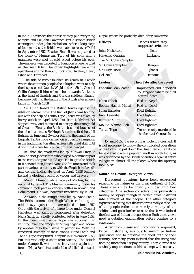in India. To retrieve their prestige they put everything at stake and Sir John Lawrence sent a strong British contingent under John Nicholson. After a long siege of four months, the British were able to recover Delhi in September 1857. Bhadur Shah II was captured at the tomb of Humayun. Two of his sons and a grandson were shot in cold blood before his eyes. The emperor was deported to Rangoon where he died in the year 1862. The other highlights were the operations around Kanpur, Lucknow, Gwalior, Jhansi, Bihar and Faizabad.

nd took part in various battles in A<br>nand. He was, however treacherou<br>Kanpur, the struggle was led by N<br>tish commander Hugh Wheeler, f<br>eavy against him, surrendered in<br>ith the arrival of a large force und<br>ck was Kanpur rec At Kanpur, the struggle was led by Nana Sahib. The British commander Hugh Wheeler, finding the odds heavy against him, surrendered in June 1857. Only with the arrival of a large force under General Havelock was Kanpur recaptured after defeating Nana Sahib in a hotly contested battle in June 1858. In the meantime, Tantia Tope was successful in winning over the troops at Shivajinagar and Morar by appealing to their sense of patriotism. With the concerted strength of these troops, Nana Sahib and Tantia Tope recaptured Kanpur in November 1858. But this was only a short term victory. The British under Campbell, won a decisive victory against the force of Nana Sahib in a battle. Nana Sahib fled towards Nepal where he probably died after sometime.

| at stake and Sir John Lawrence sent a strong British<br>contingent under John Nicholson. After a long siege                                                                                                                                                                                                                                                                                                                                                                                                                                                                                                                                                                                              | <b>Officers</b>                                                                                                                                                                                                                                                                                                                                   | Places where they<br>suppresed rebellion                                                                                                                                                                                                                                                                                                                                                                                                                                                                                                                                                                                                             |
|----------------------------------------------------------------------------------------------------------------------------------------------------------------------------------------------------------------------------------------------------------------------------------------------------------------------------------------------------------------------------------------------------------------------------------------------------------------------------------------------------------------------------------------------------------------------------------------------------------------------------------------------------------------------------------------------------------|---------------------------------------------------------------------------------------------------------------------------------------------------------------------------------------------------------------------------------------------------------------------------------------------------------------------------------------------------|------------------------------------------------------------------------------------------------------------------------------------------------------------------------------------------------------------------------------------------------------------------------------------------------------------------------------------------------------------------------------------------------------------------------------------------------------------------------------------------------------------------------------------------------------------------------------------------------------------------------------------------------------|
| of four months, the British were able to recover Delhi<br>in September 1857. Bhadur Shah II was captured at                                                                                                                                                                                                                                                                                                                                                                                                                                                                                                                                                                                              | John Nicholson                                                                                                                                                                                                                                                                                                                                    | Delhi                                                                                                                                                                                                                                                                                                                                                                                                                                                                                                                                                                                                                                                |
| the tomb of Humayun. Two of his sons and a                                                                                                                                                                                                                                                                                                                                                                                                                                                                                                                                                                                                                                                               | Havelok, Outram                                                                                                                                                                                                                                                                                                                                   | Lucknow                                                                                                                                                                                                                                                                                                                                                                                                                                                                                                                                                                                                                                              |
| grandson were shot in cold blood before his eyes.                                                                                                                                                                                                                                                                                                                                                                                                                                                                                                                                                                                                                                                        | & Sir Colin Campbell                                                                                                                                                                                                                                                                                                                              |                                                                                                                                                                                                                                                                                                                                                                                                                                                                                                                                                                                                                                                      |
| The emperor was deported to Rangoon where he died                                                                                                                                                                                                                                                                                                                                                                                                                                                                                                                                                                                                                                                        | Sir Colin Campbell                                                                                                                                                                                                                                                                                                                                | Kanpur                                                                                                                                                                                                                                                                                                                                                                                                                                                                                                                                                                                                                                               |
| in the year 1862. The other highlights were the<br>operations around Kanpur, Lucknow, Gwalior, Jhansi,                                                                                                                                                                                                                                                                                                                                                                                                                                                                                                                                                                                                   | Sir Hugh Rose                                                                                                                                                                                                                                                                                                                                     | Jhansi                                                                                                                                                                                                                                                                                                                                                                                                                                                                                                                                                                                                                                               |
| Bihar and Faizabad.                                                                                                                                                                                                                                                                                                                                                                                                                                                                                                                                                                                                                                                                                      | Col Neill                                                                                                                                                                                                                                                                                                                                         | <b>Banaras</b>                                                                                                                                                                                                                                                                                                                                                                                                                                                                                                                                                                                                                                       |
| The tide of revolt touched its zenith in Awadh                                                                                                                                                                                                                                                                                                                                                                                                                                                                                                                                                                                                                                                           |                                                                                                                                                                                                                                                                                                                                                   |                                                                                                                                                                                                                                                                                                                                                                                                                                                                                                                                                                                                                                                      |
| where the common people the taluqdars went to help                                                                                                                                                                                                                                                                                                                                                                                                                                                                                                                                                                                                                                                       | <b>Leaders</b>                                                                                                                                                                                                                                                                                                                                    | Their fate after the revolt                                                                                                                                                                                                                                                                                                                                                                                                                                                                                                                                                                                                                          |
| the dispossessed Nawab, Wajid and Ali Shah. General<br>Collin Campbell himself marched towards Lucknow<br>at the head of English and Gorkha soldiers. Finally,                                                                                                                                                                                                                                                                                                                                                                                                                                                                                                                                           | Bahadur Shah Zafar                                                                                                                                                                                                                                                                                                                                | Imprisoned and deported<br>to Rangoon where he died<br>natural death.                                                                                                                                                                                                                                                                                                                                                                                                                                                                                                                                                                                |
| Lucknow fell into the hands of the British after a fierce                                                                                                                                                                                                                                                                                                                                                                                                                                                                                                                                                                                                                                                | Nana Saheb                                                                                                                                                                                                                                                                                                                                        | <b>Fled to Nepal</b>                                                                                                                                                                                                                                                                                                                                                                                                                                                                                                                                                                                                                                 |
| battle in March 1858.                                                                                                                                                                                                                                                                                                                                                                                                                                                                                                                                                                                                                                                                                    | <b>Begum Hazrat Mahal</b>                                                                                                                                                                                                                                                                                                                         | Fled to Nepal                                                                                                                                                                                                                                                                                                                                                                                                                                                                                                                                                                                                                                        |
| Sir Hugh Rosed the British forces against the                                                                                                                                                                                                                                                                                                                                                                                                                                                                                                                                                                                                                                                            | Khan Bahadur                                                                                                                                                                                                                                                                                                                                      | Died fighting                                                                                                                                                                                                                                                                                                                                                                                                                                                                                                                                                                                                                                        |
| rebels in central India. The Rani of Jhansi was holding<br>out with the help of Tantia Tope. Jhansi was taken by                                                                                                                                                                                                                                                                                                                                                                                                                                                                                                                                                                                         | Rani Laxmibai                                                                                                                                                                                                                                                                                                                                     | Died fighting                                                                                                                                                                                                                                                                                                                                                                                                                                                                                                                                                                                                                                        |
| heavy attack in April 1858, but Rani Lakhshmi Bai                                                                                                                                                                                                                                                                                                                                                                                                                                                                                                                                                                                                                                                        | <b>Kunwar Singh</b>                                                                                                                                                                                                                                                                                                                               | Died fighting                                                                                                                                                                                                                                                                                                                                                                                                                                                                                                                                                                                                                                        |
| slipped away and managed to occupy the stronghold                                                                                                                                                                                                                                                                                                                                                                                                                                                                                                                                                                                                                                                        | Maulvi Ahmadullah                                                                                                                                                                                                                                                                                                                                 | Died fighting                                                                                                                                                                                                                                                                                                                                                                                                                                                                                                                                                                                                                                        |
| of Gwalior. Finally, the Rani; 'the best and bravest' of<br>the rebel leaders, as Sir Hugh Rose described her, fell<br>fighting in June and Gwalior fell into the hands of the                                                                                                                                                                                                                                                                                                                                                                                                                                                                                                                           | <b>Tantia Tope</b>                                                                                                                                                                                                                                                                                                                                | Treacherously murdered in<br>the forest of Central India.                                                                                                                                                                                                                                                                                                                                                                                                                                                                                                                                                                                            |
| English. Tantia Tope carried on a guerrilla campaign<br>in the traditional Maratha fashion with great skill until<br>April 1859 when he was caught and hanged.<br>In Bihar, the revolt was led by Kunwar Singh, a<br>Zamindar of Jagdishpur, who played a dominant part<br>in the revolt despite his old age. He fought the British                                                                                                                                                                                                                                                                                                                                                                      | By mid-1853 the revolt was violently crushed. It<br>is not necessary to follow the complicated operations<br>of the British to put down the Great Revolt. But it can<br>be said that it was a popular revolt in north India, as<br>was evidenced by the British operations against entire<br>villages in almost all the places where the uprising |                                                                                                                                                                                                                                                                                                                                                                                                                                                                                                                                                                                                                                                      |
| in Bihar and then joined Nana Sahib's forces and took                                                                                                                                                                                                                                                                                                                                                                                                                                                                                                                                                                                                                                                    | took place.                                                                                                                                                                                                                                                                                                                                       |                                                                                                                                                                                                                                                                                                                                                                                                                                                                                                                                                                                                                                                      |
| part in various encounters with the English in Awadh                                                                                                                                                                                                                                                                                                                                                                                                                                                                                                                                                                                                                                                     |                                                                                                                                                                                                                                                                                                                                                   |                                                                                                                                                                                                                                                                                                                                                                                                                                                                                                                                                                                                                                                      |
| and central India. He died in April 1858 leaving<br>behind a glorious record of valour and bravery.                                                                                                                                                                                                                                                                                                                                                                                                                                                                                                                                                                                                      | Nature of Revolt: Divergent views                                                                                                                                                                                                                                                                                                                 |                                                                                                                                                                                                                                                                                                                                                                                                                                                                                                                                                                                                                                                      |
| Maulvi Ahmadullah, a native of Madras, led the<br>revolt at Faizabad. The Muslim community under his<br>command took part in various battles in Awadh and<br>Rohilkhand. He was, however treacherously killed.<br>At Kanpur, the struggle was led by Nana Sahib.<br>The British commander Hugh Wheeler, finding the<br>odds heavy against him, surrendered in June 1857.<br>Only with the arrival of a large force under General<br>Havelock was Kanpur recaptured after defeating<br>Nana Sahib in a hotly contested battle in June 1858.<br>In the meantime, Tantia Tope was successful in<br>winning over the troops at Shivajinagar and Morar<br>by appealing to their sense of patriotism. With the | conclusion.                                                                                                                                                                                                                                                                                                                                       | Divergent opinions have been expressed<br>regarding the nature or the great outbreak of 1857.<br>These views may be broadly divided into two<br>categories. One section considers it as primarily a<br>mutiny of sepoys though in certain areas it drifted<br>into a revolt of the people. The other category<br>expresses a feeling that the revolt was really a rebellion<br>of the people rather than merely a mutiny of the<br>soldiers and goes further to state that it was indeed<br>the first war of Indian independence. Both these views<br>need a detailed examination before coming to a<br>After much uneasy and unconvincing argument, |
| concerted strength of these troops, Nana Sahib and                                                                                                                                                                                                                                                                                                                                                                                                                                                                                                                                                                                                                                                       | British historians, anxious to minimize Indian                                                                                                                                                                                                                                                                                                    |                                                                                                                                                                                                                                                                                                                                                                                                                                                                                                                                                                                                                                                      |

#### **Nature of Revolt: Divergent views**

After much uneasy and unconvincing argument, British historians, anxious to minimize Indian grievances and to preserve the good faith of their country, for many years insisted that the rising was nothing more than a sepoy mutiny. They viewed it as a wholly unpatriotic and selfish attempt with no native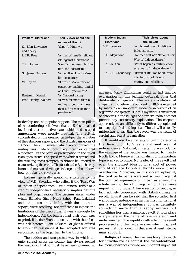| <b>Western Historians</b> | Their Views about the       |  |
|---------------------------|-----------------------------|--|
|                           | nature of Revolt            |  |
| Sir John Lawrence         | "Sepoy's Mutiny".           |  |
| and Seeley                |                             |  |
| L.E.R. Rees               | "A war of fanatic religion- |  |
|                           | ists against Christians."   |  |
| T.R. Holmes               | "Conflict between civiliza- |  |
|                           | tion and barbarism."        |  |
| Sir James Outram          | "A result of Hindu-Mus-     |  |
|                           | lim conspiracy.             |  |
| W. Taylor                 | "It was a Mohammedan        |  |
|                           | conspiracy making capital   |  |
|                           | of Hindu grievances."       |  |
| Benjamin Disraeli         | "A National rising."        |  |
| Prof. Stanley Wolpert     | "It was far more than a     |  |
|                           | mutiny yet much less        |  |
|                           | than a first war of Inde-   |  |
|                           | pendence."                  |  |
|                           |                             |  |

T.R. Holmes Conflict between civiliza-<br>
Sir James Conflict between civiliza-<br>
Sir James Outram 'A result of Hindu-Mus-<br>
The conspiracy.' The consumediant of the diversames."<br>
W. Taylor The Unit of Nindu grievances."<br>
We a leadership and no popular support. The main pillars of this comforting belief were that the Sikhs remained loyal and that the native states which had escaped annexation were mostly neutral. The British concentrated on the greased cartridges, the activities of the rebellious sepoys, and the British campaigns of 1857-58. The civil unrest which accompanied the mutiny was made to look insignificant or ignored altogether. But the popular participation in the revolt is an open secret. The speed with which it spread and the swelling mass sympathies cannot be ignored in characterizing the revolt. The fact that the British army burnt and massacred villages in large numbers shows how popular the revolt was.

independence necessarily implind organization. The circumstan<br>Bahadur Shah, Nana Saheb, Ran<br>hers cast in their lot, with the<br>, were rebelling, are sufficient to<br>ions of the theory that it was a st<br>ndence. All the leaders h Indians, generally speaking, subscribe to the view of V.D. Savarkar who called it the 'First War of Indian Independence'. But a general revolt or a war of independence necessarily implies definite plan and organization. The circumstances, under which Bahadur Shah, Nana Saheb, Rani Lakshmi and others cast in their lot, with the mutinous sepoys, were rebelling, are sufficient to expose the limitations of the theory that it was a struggle for independence. All the leaders had their own axes to grind. Bahadur Shah's association with the rebels was half-hearted. Rani Lakshmi of Jhansi offered to stop her resistance if her adopted son was recognized as the legal heir to the throne.

The sudden and unexpected way in which the unity spread across the country has always excited the suspicion that it must have been planned in

| Modern Indian       | Their views about                 |
|---------------------|-----------------------------------|
| <b>Historians</b>   | the Revolt                        |
| V.D. Savarkar       | "A planned war of National        |
|                     | Independence."                    |
| R.C. Majumdar       | "Neither first nor National nor   |
|                     | War of Independence."             |
| Dr. S.N. Sen        | "What began as mutiny ended       |
|                     | as a war of Independence."        |
| Dr. S. B. Chaudhary | "Revolt of 1857 can be bifurcated |
|                     | into two sub-divisions:           |
|                     | mutiny and rebellion."            |

"Conflict between civiliza-<br>
"A result of Hindu-Mus-<br>
"A result of Hindu-Mus-<br>
"The vasa Mohammedan conspiracy." "It was a Mohammedan conspiracy making capital<br>
of Hindu grievances." "A National rising."<br>
"A National risin advance. Many Englishmen could, in fact find no explanation for this baffling outbreak other that deliberate conspiracy. The wide circulation of chapattis just before the outbreak of 1857 is regarded by many as an important evidence in favour of an organized conspiracy. But this mysterious circulation of chapattis in the villages of northern India does not provide any satisfactory explanation. The chapattis apparently meant differently to different people and to many signified nothing at all. Thus, it will be totally misleading to say that the revolt was the result of careful and secret organization.

mes Ouriam Transmission (11 and names and a material and a set at which manes ouriam and the most particular term in constrained the most standard most standard most standard most standard most standard most standard most It would also be a travesty of truth to describe the Revolt of 1857 as a national war of independence. National, it certainly was not, for the upsurge of the people was limited to mainly North India. Moreover, nationalism of the modern type was yet to come. No leader of the revolt had even the slightest idea of what sort of power should replace British authority once it was overthrown. Moreover, in this violent upheaval, the civil participants were not so much against the political supremacy of British as against the whole new order of things which they were importing into India. A large section of people, in fact, actively cooperated with British during the revolt. Thus it can be said that the so-called first war of independence was neither first nor national nor a war of independence. It was definitely something more than a sepoy mutiny but something less than a national revolt. It took place everywhere in the name of one sovereign and under one flag. The rapidity with which the revolt progressed and the vast area over which it spread proves that it enjoyed, in that area at least, strong mass support.

> **Religious flavour:** The war was fought as much for Swadharma as against the discontentment. Religious grievances formed an important ingredient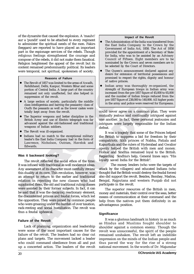of the dynamite that caused the explosion. A 'maulvi' aur a 'pundit' used to be attached to every regiment to administer the spiritual needs of the men. Fakirs (beggars) are reported to have played an important part in the espionage services of the rebels. Though religious feelings strengthened the courage and compose of the rebels, it did not make them fanatical. Religion heightened the appeal of the revolt but its content remained predominantly political. Its leaders were temporal, not spiritual, spokesmen of society.

#### **Reasons of Failure**

- The Revolt of 1857 was limited to the areas of Awadh, Rohilkhand, Delhi, Kanpur, Western Bihar and some portion of Central India. A large part of the country remained not only unaffected, but also helped in suppression of the revolt.
- A large section of society, particularly the middle class intelligentsia and barring the peasantry class of Oudh the peasants as well as the lower castes were totally kept away from the revolt.
- The Superior weapons and better discipline in the British Army and use of Electric telegraph was far advanced against the old-fashioned and traditional weapons of Indian soldiers.
- The Revolt was ill-organized.
- Indians had no match to the exceptional military leader's the East India Company had in the form of Lawrence, Nicholson, Outram, Havelok and Edwards.

#### **Was it backward looking?**

Religion heightened the appeal of the revolt but its<br>
content remained predominantly political. Its leaders<br>
were temporal, not spiritual, spokesmen of society.<br>
We selected by the Court of liver<br>
were temporal, not spiri isisted by their former subjects. In<br>that it was the decaying reactionar<br>contented princes and feudal forces,<br>oosition. They were joined by comm<br>re groaning under the burden of over<br>thing and social humiliation. The<br>feudal mporal, not spiritual, spinles<br>enero of saciety.<br> **Examplementary** desire for catension of territorial possessions and<br> **Examplementary** desire for catension of territorial possessions and<br> **Evolut 837** was illmited to th The revolt reflected the social ethos of the time. It was infused with traditional as well modernist ideas. Any assessment of its character must carefully review this duality at its core. This revolution, however, was an attempt to return to the earlier and traditional relation in rejecting the new classes who had supplanted them, the old and traditional ruling classes were assisted by their former subjects. In fact, it can be said that it was the decaying reactionary element, the discontented princes and feudal forces, which led the opposition. They were joined by common people who were groaning under the burden of over taxation, rack-renting and social humiliation. The revolt was thus a feudal upheaval.

#### **Failure of the Revolt**

Lack of planning, organization and leadership were some of the most important causes for the failure of the revolt. The leaders had no clear cut plans and targets. The movement lacked a leader who could command obedience from all and put up a concerted action. The leaders of the revolt

#### **Impact of the Revolt**

- The Administration of the India was transferred from the East India Company to the Crown by the Government of India Act, 1858. The Act of 1858 provided for the appointment of a Secretary of State for India, who was to be assisted by an Advisory Council of Fifteen. Eight members are to be nominated by the Crown and seven members are to be selected by the Court of Directors.
- The Queen's announcement declared against any desire for extension of territorial possessions and promised to respect the rights, dignity and honour of native princes.
- Indian army was thoroughly re-organized, the strength of European troops in Indian army was increased from the pre-1857 figure of 45,000 to 65,000 and the number of Indian troops reduced from the pre-1857 figure of 238,000 to 140,000. All higher posts in the army and police were reserved for Europeans.

could never agree on a common plan. They were mutually jealous and continually intrigued against one another. In fact, these personal jealousies and intrigues were largely responsible for the Indian defeat.

andly political. Its leaders<br>
and the revolt but its<br>
and the selected by the Crown and<br>
in anonymous of Failure<br>
of Failure<br>
ited to the areas of Awadh,<br>
ited to the areas of Awadh,<br>
areas of Awadh,<br>
areas of Awadh,<br>
area It was a tragedy that some of the Princes helped the British to suppress a bid for freedom by their compatriots. Sikh princes of Nabha, Patiala and Kapurthala and the rulers of Hyderabad and Gwalior openly helped the British with men and money. Holkar and Sindhia remained loyal to the British. Regarding Sindhia's help, General Innes says: "His loyalty saved India for the British".

> The money lenders (who were the targets of attack by the villagers) and educated Indians (who thought that the British would destroy the feudal forces) also did support the revolt. Besides, Bombay, Madras, Bengal, Rajputana and western Punjab did not participate in the revolt.

> The superior resources of the British in men, money and materials, their control over the seas, better means of communication at their command and the help from the natives put them definitely in an advantageous position.

#### **Significance**

It was a glorious landmark in history in as much as Hindus and Muslims fought shoulder to shoulder against a common enemy. Though the revolt was unsuccessful, the spirit of the people remained unshaken. The revolt left an indelible impression on the minds of the Indian people and thus paved the way for the rise of a strong national movement. In the words of Dr. Majumdar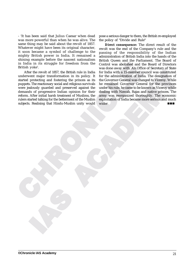- 'It has been said that Julius Caesar when dead was more powerful than when he was alive. The same thing may be said about the revolt of 1857. Whatever might have been its original character, it soon became a symbol of challenge to the mighty British power in India. It remained a shining example before the nascent nationalism in India in its struggle for freedom from the British yoke'.

in India in its struggle for freedom from the control was abolished and the midia in its struggle for freedom from the control was abolished and the midia yas one away with An office and the middle of the middle structure After the revolt of 1857, the British rule in India underwent major transformation in its policy. It started protecting and fostering the princes as its puppets. The reactionary social and religious survivals were jealously guarded and preserved against the demands of progressive Indian opinion for their reform. After initial harsh treatment of Muslims, the rulers started talking for the betterment of the Muslim subjects. Realising that Hindu-Muslim unity would

pose a serious danger to them, the British re-employed the policy of "Divide and Rule"

for freedom from the Control was abolished and the was done away with. An Office was done away with. An Office was the Grandmistration in its policy. It for the administration of Indian tertaring the princes as its the Gov re the resolt of 1887, the Better true in India was value and Coverage Control and Coverage Control and Coverage Control and Coverage Control and Coverage Control and Coverage Control and Coverage Control and Coverage Cont **Direct consequence:** The direct result of the revolt was the end of the Company's rule and the passing of the responsibility of the Indian administration of British India into the hands of the British Queen and the Parliament. The Board of Control was abolished and the Board of Directors was done away with. An Office of Secretary of State for India with a 15-member council was constituted for the administration of India. The designation of the Governor-General was changed to Viceroy. While he remained Governor General for the provinces under his rule, he came to be known as Viceroy while dealing with Nawab, Rajas and native princes. The army was reorganized thoroughly. The economic exploitation of India became more serious and much wider.

IAS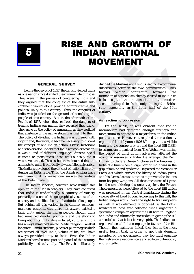

## RISE AND GROWTH OF INDIAN NATIONAL MOVEMENT

## GENERAL SURVEY

**CENERAL SURVEY**<br> **CENERAL SURVEY**<br> **CENERAL SURVEY**<br> **CENERAL SURVEY**<br> **CENERAL SURVEY**<br> **CENTERAL SURVEY**<br> **CENTERAL SURVEY**<br> **CENTERAL SURVEY**<br> **CENTERAL SURVEY**<br>
They were in the process of conquering India and formati **SURVEY** divided the Muslims and Hindu<br>7, the British viewed India differences between the two<br>6 formation of nationalism alread<br>6 for their immediate purpose. To formation of nationalism alread<br>quest of the entire sub-<br>1 Before the Revolt of 1857, the British viewed India as one nation since it suited their immediate purpose. They were in the process of conquering India and they argued that the conquest of the entire subcontinent would alone provide administrative and political unity to this country. Thus, the conquest of India was justified on the ground of benefiting the people of this country. But, in the aftermath of the Revolt of 1857, when they realized the dangers of treating India as one nation, they reversed their stand. They gave up the policy of annexation as they realized that existence of the native states was useful to them. The policy of dividing the Indians was pursued with vigour and, therefore, it became necessary to discard the concept of one Indian nation. British historians and scholars also upheld that India was never a nation. It was a land of different languages, dresses, social customs, religions, races, ideas, etc. Politically too, it was never united. These scholars maintained that the attempts to unite it politically always failed miserably. The Indians developed the concept of nationalism only during the British rule. Thus, the British scholars have maintained that Indian nationalism was the heritage of the British rule.

I of the British scholars. They have<br>dia is undoubtedly a country<br>ly because of the geographical vast<br>and the liberal cultural attitude of<br>ind all this variety in its culture<br>s, customs, etc., there has always<br>mity among t The Indian scholars, however, have refuted this opinion of the British scholars. They have contested that India is undoubtedly a country of variety primarily because of the geographical vastness of the country and the liberal cultural attitude of its people. But behind all this variety in its culture, religions, manners, customs, etc., there has always existed a basic unity among the Indian people. Though India had remained divided politically and the efforts to bring about its unity always failed, culturally India has always remained united. Vedic religion, Sanskrit language, Hindu customs, places of pilgrimages which are spread all over India, values of life, etc. have always provided unity to India. Even the Indian Muslims have become part and parcel of this country politically and culturally. The British deliberately

divided the Muslims and Hindus leading to communal differences between the two communities. Thus, factors which contribute towards the formation of nationalism already existed in India. Yet, it is accepted that nationalism in the modern sense developed in India only during the British rule, especially in the later half of the 19th century.

#### **As reaction to oppression**

**GENERAL SURVEY** divided the Muslims and Hindus leading to communial<br>or the Revolt of 1887, the British viewed India factors which contribute thus, very mean<br>action since the since the since the since of the communities. By the 1870s, it was evident that Indian nationalism had gathered enough strength and momentum to appear as a major force on the Indian political scene. However, it required the reactionary regime of Lord Lytton (1876-80) to give it a visible form and the controversy around the Ilbert Bill (1883) to assume an organized form. The Afghan war during the period of Lord Lytton adversely affected the economic resources of India. He arranged the Delhi Durbar to declare Queen Victoria as the Empress of India at a time when a large part of India was in the grip of famine and epidemic. He passed the Vernacular Press Act which curbed the liberty of Indian press, and his Arms Act was a means to prevent the Indians form keeping weapons. All these measures of Lytton fed the smouldering discontent against the British. These measures were followed by the Ilbert Bill which was presented in the Central Legislature during the viceroyalty of Lord Ripon. According to this Bill, the Indian judges would have the right to try Europeans as well. It was elementally opposed by the British residents in India, who collected funds, organized a systematic campaign against the Bill both in England and India and ultimately succeeded in getting the Bill amended so that it lost its very spirit. The Indians too organized an all-India campaign in favour of the Bill. Though their agitation failed, they learnt the most useful lesson that, in order to get their demand accepted by the government, they too must organize themselves on a national scale and agitate continuously and unitedly.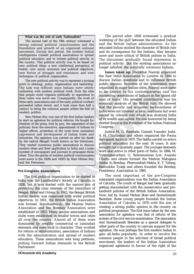#### **What was the role of early Nationalists?**

The second half of the 19th century witnessed a strong national political consciousness and the foundation and growth of an organized national movement. During this period, the modern Indian intelligentsia created political associations to spread political education and to initiate political activity in the country. This political activity was to be based on new political ideas, a new intellectual perception of reality, new social, economic and political objectives, new forces of struggle and resistance; and new techniques of political organization.

The new political activity was to represent a turning point in ideology, policy, organization and leadership. The task was difficult since Indians were utterly unfamiliar with modern political work. Even the idea that people could organize politically in opposition to their rulers was novel one. Consequently, the work of these early associations and of the early political workers proceeded rather slowly and it took more than half a century to bring the common people within the fold of modern politics.

The country. This pointical activity was to be based on<br>
respecting the political activity. But the extremely new political ideas, a new inellectual perception of<br>
reading castsfied the political relativity. But the case o Ram Mohan Roy was one of the first Indian leaders to start an agitation for political reforms. He fought for freedom of the press, trial by jury, the separation of the judiciary form the executive, appointment of Indians to higher offices, protection of the ryots from zamindari oppression and development of Indian trade and industries. His agitation was carried on after his death by the radical Bengali Youth known as the Derozians. They started numerous public associations to discuss modern ideas and their application to India and a large number of newspapers and journals to propagate those ideas. Thus the germs of modern political consciousness were sown in the 1820s and 1830's by Ram Mohan Roy and the Derozians.

#### **Pre-Congress associations**

ing the class interests of the zan, Bihar and Orissa. In 1843, the Ber<br>Society was organized with wid<br>wes. In 1851, the British Indian Armed. Simultaneously, the Madi<br>ation and the Bombay Associa<br>shed in 1852. Many similar Provains.<br>
Provains.<br>
Provains.<br>
Provains.<br>
Provains.<br>
Provains.<br>
Provains.<br>
Provains.<br>
Provains.<br>
Provains.<br>
Provains the Landholder's Society at Calcutta in<br>
ut it was started with the narrow aim of<br>
prop in the provains India was the Landholder's Society at Calcutta in The first political organization to be started in 1838, but it was started with the narrow aim of protecting the class interests of the zamindars of Bengal, Bihar and Orissa. In 1843, the Bengal British Indian Society was organized with wider political objectives. In 1851, the British Indian Association was formed. Simultaneously, the Madras Native Association and the Bombay Association were established in 1852. Many similar associations and clubs were established in smaller towns and cities all over the country. Almost all of them were dominated by wealthy commercial or zamindari elements and were local in character. They worked for reform of administration, association of Indians with the administration and spread of modern education. These associations sent long petitions, putting forward Indian demands to the British Parliament.

The period after 1858 witnessed a gradual widening of the gulf between the educated Indian and the British Indian administration. As the educated Indian studied the character of British rule and its consequence for the Indians, they became more and more critical of British polices in India. The discontent gradually found expression in political activity. But the existing associations no longer satisfied the politically conscious Indians.

Experiment of the existed on the political energy was to be assed on the mass of energy in the lead opolitical objectives, the exist of the East India Association in the saminato the exist of the exist of the exist of the Free those set also the same that a species that a species that the East India Association in London in 1866 to turning discuss Indian questions and to influence British public opinion. Branches of the Association were the **Issues taken up:** Dadabhai Naoroji organized the East India Association in London in 1866 to discuss Indian questions and to influence British public opinion. Branches of the Association were organized in major Indian cities. Naoroji soon came to be known to his contemporaries and the succeeding generations of Indians as the 'grand old man of India'. His greatest contribution was his economic analysis of the British rule. He showed that the poverty and economic backwardness of India were not inherent in local conditions but were caused by colonial rule which was draining India of its wealth and capital. He was honoured by being elected thrice as the President of the Indian National Congress.

Justice M. G. Randade, Ganesh Vasudev Joshi, S. H. Chiplunkar and others organized the Poona Sarvajanik Sabha in 1870. The Sabha carried on active political education for the next 30 years. It also brought out a quarterly paper. The younger elements were also active in other parts of India. In 1884, M. Viraraghavachari, G. Subramaniam lyer, Ananda Charlu and others formed the Madras Mahajana Sabha. In Bombay, Pherozeshah Mehta, K. T. Telang, Badruddin Tyabji and others founded the Bombay Presidency Association in 1885.

The most important of the pre-Congress nationalist organizations was the Indian Association of Calcutta. The youth of Bengal had been gradually getting discontented with the conservative and prolandlord policies of the British Indian Association. Now, led by Anand Mohan Bose and Surendranath Banerjee, these young people founded the Indian Association of Calcutta in 1876 with the aim of creating a strong public opinion in the country on political programme. The first issue taken by the new association for agitation was that of reform of the system of the civil service examination. The association sent Surendranath Benerjee as a special delegate to other parts of the country to canvass support for the agitation. He was perhaps the first modern Indian to gain all-India popularity. In order to involve the common people in the activities of broad political movement, the leaders of the Indian Association organized agitations in favour of the right of the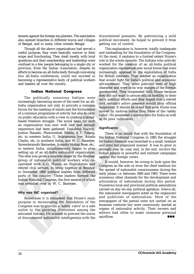tenants against the foreign tea planters. The association also opened branches in different towns and villages of Bengal, and in many cities outside Bengal.

Though all the above organizations had served a useful purpose, they were basically narrow in their scope and functioning. They dealt mostly with local questions and their membership and leadership were confined to a few people belonging to a single city or province. Even the Indian Association, despite its efforts to become an all-India body through convening two all-India conferences, could not succeed in becoming a representative body of political workers and leaders all over the country.

## Indian National Congress

confined to a few people belonging to a single city or worked for the creation of province. Even the inclaim Association, despite its organization representation was ell-fluid configured and increasingly opposed to the tw is person to the state of the state of the personal expertation (expertise the state of the state of the state of the state of the state of the state of the state of the state of the state of the state of the state of the The politically conscious Indians were increasingly becoming aware of the need for an all-India organization not only to provide a common forum for the meeting of minds and the formulation of a common programme of activity but also to carry on public education with a view to creating a broadbased freedom struggle. The social basis for such an organization was now well laid and enough experience had been gathered. Dadabhai Naoroji, Justice Ranade, Pherozeshah Mehta, K.T. Telang, etc. in western India, G. Subramania lyer, Anada Charlu, etc, in southern India, and W. C. Banerjee, Surenderanath Bannerjee, Ananda Mohan Bose, etc., in eastern India, simultaneously began to plan setting up of an all-India nationalist organization. The idea was given a concrete shape by the Bombay group of nationalist political workers who cooperated with A.O. Hume, an Englishman and retired civil servant, to bring together at Bombay in December 1885 political leaders from different parts of the country. These leaders formed the Indian National Congress, the first session of which was presided over by W. C. Banerjee.

## **Why was INC organized?**

as INC organized?<br>
metimes it is remarked that Hun<br>
ie in encouraging the foundati<br>
sss was to provide a 'safety valve<br>
to the growing discontent and<br>
didians. He wanted to prevent<br>
ontented nationalist intelligentsi Sometimes it is remarked that Hume's main purpose in encouraging the foundation of the Congress was to provide a 'safety valve' or a safe outlet to the growing discontent among the educated Indians. He wanted to prevent the union of discontented nationalist intelligentsia with the

discontented peasants. By patronizing a mild political movement, he hoped to prevent it from getting out of control.

dependent of a single city or worked for the creation of a Association, despite its organization represented new and body through convening increasingly opposed to the section of succeed in for British interests. They new This explanation is, however, totally inadequate and misleading for the foundation of the Congress. At the most, it explains to a limited extent Hume's role in the whole episode. The Indians who actively worked for the creation of an all-India political organization represented new social forces that were increasingly opposed to the exploitation of India for British interests. They needed an organization that would fight for India's political and economic advancement. They were patriotic men of high character and were in no way stooges of the foreign government. They cooperated with Hume because they did not want to arouse official hostility to their early political efforts and they hoped that a retired civil servant's active presence would allay official suspicions. It should be noted that even Hume was moved by motives nobler than those of the 'safety valve'. He possessed a sincere love for India as well as its poor cultivators.

## **Significance**

There is no doubt that with the foundation of the Indian National Congress in 1885 the struggle for India's freedom was launched in a small, hesitant and mild but organized manner. It was to grow in strength year by year and, in the end, involve the Indian people in powerful and militant campaigns against the foreign rulers.

It would, however, be wrong to look upon the Congress as the sole or even the chief medium for the spread of nationalist consciousness during the early phase, i.e. between 1885 and 1905. There were numerous other channels for the development and articulation of nationalism during this period. Numerous local and provincial political associations carried on day-do-day political agitation. Above all, the nationalist newspapers acted as the organizers and publicists of nationalism. Most of the newspapers of the period were not carried on as business ventures but were consciously started as organs of nationalist activity. Their owners and editors had often to make immense personal sacrifices.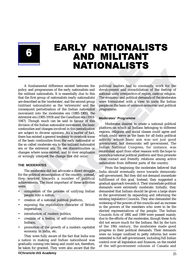

# EARLY NATIONALISTS AND MILITANT NATIONALISTS

**EXERCT:**<br>A fundamental difference existed between the political leaders had to complete militar trationalists. It is essentially due to this mationalistic minimizer of the emilitary and propositional consideration and co **EXECUTE:**<br>These existed between the political leaders had to control the early nationalists and development and consolidat is essentially due to this national unity irrespective of remalists (early nationalists) The econo A fundamental difference existed between the policy and programmes of the early nationalists and the militant nationalists. It is essentially due to this that the first group of nationalists (early nationalists) are described as the 'moderates', and the second group (militant nationalists) as the 'extremists' and the consequent periodisation of the Indian nationalist movement into the moderates era (1885-1905), the extremist era (1905-1919) and the Gandhian era (1919- 1947). Though much can be said in favour of this division of the Indian nationalist movement, the basic continuities and changes involved in this periodisation are subject to diverse opinions. As a matter of fact, there has existed a general tendency to overlook some of the basic continuities from the early nationalist or the so called moderate era to the militant nationalist era or the extremist era. To see discontinuities or changes where none existed, and to over emphasize or wrongly interpret the change that did occur.

## **THE MODERATES**

The moderates did not advocate a direct struggle for the political emancipation of the country, instead, they worked towards a number of political achievements. The most important of these activities were:

- completion of the process of unifying Indian people into a nation,
- creation of a national political platform,
- exposing the exploitative character of British imperialism,
- introduction of modern politics.
- mpletion of the process of unifyipple into a nation,<br>pple into a nation,<br>ation of a national political platfor<br>posing the exploitative character<br>perialism,<br>roduction of modern politics,<br>ation of a feeling of self-confider<br> • creation of a feeling of self-confidence among Indians,
- promotion of the growth of a modern capitalist economy in India, etc.

They were fully aware of the fact that India was a nation in making and Indian nationhood was gradually coming into being and could not, therefore, be taken for granted. They were also aware that the

**©Chronicle IAS Academy** 25

political leaders had to constantly work for the development and consolidation of the feeling of national unity irrespective of region, caste or religion. The economic and political demands of the moderates were formulated with a view to unite the Indian people on the basis of common economic and political programme.

#### **Moderates' Programme**

Moderates desired to create a national political platform on which all Indians belonging to different regions, religions and social classes could agree and which could serve as the basis for all-India political activity whose basic aim was not just good government, but democratic self government. The Indian National Congress, for instance, was established apart from other reasons with the hope to provide a national political platform and thus promote close contact and friendly relations among active nationalists from different parts of the country.

Guidamental difference existed between the political feaders had to curstantly work for the md programmes of the exity nationalists and development and consolidation of the feeling of his increases; and the second politic From the beginning the moderates believed that India should eventually move towards democratic self-government. But they did not demand immediate fulfillment of this goal. Instead, they suggested a gradual approach towards it. Their immediate political demands were extremely moderate. Initially, they demanded that Indians should be given a large share in the government by expanding and reforming the existing legislative Councils. They also demanded the widening of the powers of the councils and an increase in the powers of the members who were to be the elected representatives of the people. The Indian Councils Acts of 1892 and 1909 were passed mainly due to the efforts of the moderates, though these Acts did not secure much for the Indians. But by the turn of the 19th century, the moderates made good progress in their political demands. Their demands were no longer confined to petty reforms but were extended to full self-government, including full Indian control over all legislation and finances, on the model of the self-government colonies of Canada and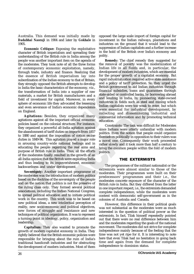Australia. This demand was initially made by *Dadabhai Naoraji* in 1904 and later by *Gokhale* in 1905.

**Economic Critique:** Exposing the exploitative character of British imperialism and spreading their understanding of the British rule in India among the people was another important item on the agenda of the moderates. They took note of all the three forms of contemporary economic exploitation, namely, through trade, industry and finance. Realizing that the essence of British imperialism lay into subordination of the Indian economy to that of Britain, they strongly opposed the British attempts to develop in India the basic characteristics of the economy, viz., the transformation of India into a supplier of raw materials, a market for British manufacturers and a field of investment for capital. Moreover, in every sphere of economic life they advocated the lessening and even severance of India's economic dependence on England.

The moderates. They took note of all the three forms the removal of poverty was of contemporary economic exploitation, namely, Indian life in all fields and three forms through trade, industry and finance. Realizing that **Agitations:** Besides, they organized many agitations against all the important official economic policies based on the colonial structure. For instance, they organized a powerful all-India agitation against the abandonment of tariff duties on imports from 1857 to 1880 and against the imposition of cotton excise duties in 1849-96. This agitation played a major role in arousing country-wide national feelings and in educating the people regarding the real aims and purpose of British rule in India. Thus, all the efforts of the moderates finally resulted in the growth of an all-India opinion that the British were exploiting India and thus leading to its impoverishment, economic backwardness and under development.

Implementation, including the Indian National<br>and political education and to initial<br>and political education and to initial<br>and political ideas, a new intellectual per<br>new socio-economic and political<br>prew socio-economic a **Sovereignty:** Another important programme of the moderates was the introduction of modern politics based on the doctrine of the sovereignty of the people and on the notion that politics is not the preserve of the ruling class only. They formed several political associations, including the Indian National Congress, to spread political education and to initiate political work in the country. This work was to be based on new political ideas, a new intellectual perception of reality, new socio-economic and political objectives, new forces of struggle and resistance and new techniques of political organization. It was to represent a turning point in ideology, policy, organization and leadership.

**Capitalism:** They also wanted to promote the growth of modern capitalist economy in India. They rightly believed that the British economic policies were responsible for bringing about the ruin of India's traditional handicraft industries and for obstructing the development of modern industries. Most of them

opposed the large scale import of foreign capital for investment in the Indian railways, plantations and industries on the ground that it would lead to the suppression of Indian capitalists and a further increase in the hold of the British over India's economy and polity.

note of all the three forms the removal of poverty was<br>ic exploitation, namely, Indian life in all fields and<br>d finance. Realizing that development of modern industry<br>imperialism lay into for the proper growth of a car<br>eco Engine to the Individual matrix), and the matrix and the matrix and the matrix and the matrix and the matrix and the matrix and the matrix and the matrix and the matrix and the matrix and the matrix and the matrix and the **Remedy:** The chief remedy they suggested for the removal of poverty was the modernization of Indian life in all fields and, in particular, the development of modern industries, which are essential for the proper growth of a capitalist economy. But rapid industrialization required active state assistance and a policy of tariff protection. So, they urged the British government to aid Indian industries through financial subsidies, loans and guarantees through state-aided or controlled banks, by borrowing abroad and lending in India, by pioneering state-owned industries in fields such as steel and mining which Indian capitalists were too weak to enter, but which were essential for industrial development, by collecting and disseminating industrial and commercial information and by promoting technical education.

Constraints: The task was difficult for Moderates since Indians were utterly unfamiliar with modern politics. Even the notion that people could organize themselves politically in opposition to their rulers was a novel one. Consequently their work proceeded rather slowly and it took more than half a century to bring the common people within the fold of modern politics.

## THE EXTERMISTS

The programmes of the militant nationalist or the extremists were almost similar to those of the moderates. Their programmes were built on their predecessors' programmes and their i.e., the moderates concrete exposure of the character of the British rule in India. But they differed from the latter in one important respect, i.e., the extremists demanded complete independence, while the moderates were content with democratic self-government as in the colonies of Australia and Canada.

However, this difference in their political goals was not substantial as the moderates were as much interested in the question of political power as the extremists. In fact, Tilak himself repeatedly pointed out that there were no real difference between him and the moderates regarding the goals of the national movement. The moderates did not strive for complete independence mainly because of the feeling that the time was not yet ripe for it. It is interesting to note here that even Tilak had no hesitation in going back time and again from the demand for complete independence to dominion status.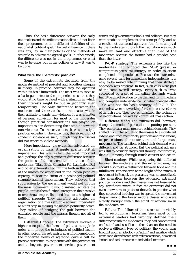Thus, the basic difference between the early nationalists and the militant nationalists did not lie in their programme or in a different definition of the nationalist political goal. The real difference, if there was any, lay in their policies or the methods of struggle to achieve the agreed goals. In other words, the difference was not in the programmes or what was to be done, but in the policies or how it was to be done.

#### **What were the Extremists' policies?**

was to be done. but in the policies or how it was to<br>
moderates, had adopted the done. Defined to the carrent word moderates, had adopted remember serves of the extremists deviated from the Exvere dialy for immedi<br>
moderat Some of the extremists deviated from the moderate method of peaceful and bloodless struggle in theory. In practice, however they too operated within its basic framework. The tenet was to serve as a basic guarantee to the propertied class that they would at no time be faced with a situation in which their interests might be put in jeopardy even temporarily. The only difference between the moderates and the extremists in this matter was in their attitude towards non-violence. It was a matter of personal conviction for most of the moderates though practical considerations too played an important role in determining their attitude towards non-violence. To the extremists, it was mostly a practical expedient. The extremists, therefore, did not condemn violence as such, though they themselves did not resort to violent methods.

So movement. It would instead, exercise a<br>carouse them further, strengthen the<br>throw imperialism and lead to a l<br>all struggle. They therefore, adviation of a mass struggle against in<br>station of a mass struggle against in<br>s For the Extremists' policies? components-pressure) streat to the extremists policies? compulsed matepaper of the extremisting of the external control is given several collis for immediate independence. It is proper in par More importantly, the extremists advocated the organization of mass struggle against British imperialism. This was, in fact, the most important and, perhaps the only significant difference between the policies of the extremists and those of the moderates. Tilak, Bipin Chandra Pal, Lala Lajpat Rai and other extremists had infinite faith in the power of the masses for action and in the Indian people's capacity to bear the strain of a prolonged political struggle against imperialism. They believed that suppression by the government would not throttle the mass movement. It would instead, educate the people, arouse them further, strengthen their resolve to overthrow imperialism and lead to a heightened political struggle. They therefore, advocated the organization of a mass struggle against imperialism as a first step in making the masses politically active. They talked of bridging the gulf between the educated people and the masses though not all of them.

**Different Concept:** The extremists evolved a higher concept of the forms of political struggle in order to improve the techniques of political action. In other words, the extremists apart from employing the moderate forms of agitation gave a call for passive resistance, to cooperate with the government and to boycott, government service, government courts and government schools and colleges. But they were unable to implement this concept fully and as a result, not transcend agitation (the form adopted by the moderates,) though their agitation was much more militant and effective than that of the moderates because the former had a broader base than the latter.

policies or now it was to<br>
moderates, had adopted the<br>
s' policies?<br>
completed independence, Be<br>
ists deviated from the<br>
gave several calls for immedia<br>
for immedia<br>
for immedia<br>
for immedia<br>
for immedia<br>
for immedia<br>
for **P-C-P strategy:** The extremists too like the moderates, had adopted the P-C-P (pressurecompromise-pressure) strategy in order to attain completed independence, Because the extremists gave several calls for immediate independence, it is easy to be misled into thinking that their strategic approach was deferent. In fact, such calls were part of the same overall strategy. Every such call was succeeded by a set of immediate demands which had little direct relation to the demand for immediate and complete independence. So what changed after 1905 was not the basic strategy of P-C-P. The extremists were not working for the direct overthrow of British rule. They too emphasized the technique of negotiations backed by controlled mass action.

**Different Mode:** The extremists did, however, change the mode of persuasion or putting pressure. They put greater mass pressure behind demands. They shifted from intellectuals to the masses to a significant extent; and from memorials, petitions and resolutions; to processions, demonstration and large mass movements. The sanctions behind their demand were different and far stronger. But the political advance was still to occur by stages and through compromise, that is, ultimately through British consent and action.

**Short-comings:** While recognizing this different between the moderate and the extremist eras; we should also make a distinction between hope and the fulfillment. For one even at the height of the extremist movement in Bengal, the peasantry was not mobilized. The alienation between the educated extremist political workers and the masses was not lessened to any significant extent. In fact, the extremists did not even know how to go about the task. In practice what they succeeded in doing was to spread the movement deeper among the lower middle classes who were already brought within the ambit of nationalism in the moderate era.

**Failure:** The failure of the extremists inevitably led to revolutionary terrorism. Since most of the extremist leaders had wrongly defined their differences with the moderates (they had concentrated on 'action' and sacrifices rather than on the need to evolve a different type of politics), the young men brought upon an ideology of 'action' and sacrifice which were soon disenchanted with militant agitation, demanded 'action' and took recourse to individual terrorism.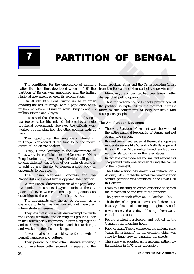# PARTITION OF BENGAL

The conditions for the emergence of militant nationalism had thus developed when in 1905 the partition of Bengal was announced and the Indian National movement entered its second stage.

On 20 July 1905, Lord Curzon issued an order dividing the rest of Bengal with a population of 54 million, of whom 18 million were Bengalis and 36 million Biharis and Oriyas.

e emergence of militant Hindi speaking Bihar and the<br>
eloped when in 1905 the from the Bengali speaking par<br>
mounced and the Indian<br>
of its second stage.<br>
Curzon issued an order<br>
with a population of 54<br>
the partition is e It was said that the existing province of Bengal was too big to be efficiently administered by a single provincial government. However, the officials who worked out the plan had also other political ends in view.

They hoped to stem the rising tide of nationalism in Bengal, considered at the time to be the merve centre of Indian nationalism.

The conditions for the emergence of militant Hindi speaking Bihar and the nationalism had thus developed when in 1905 the from the Bengali speaking partition of Bengal was amounced and the India<br>
Netrocover, the official conditions for the emergence of militant Hindi speaking lithar and the Oriya-speaking Orissa<br>
IIIs mad thus developed with an 1008 the from the Bengali speaking part of the province,<br>
and free part of the system and the b Risely, Home Secretary to the Government of India, wrote in an official note on 6 December 1904 as Bengal united is a power. Bengal divided will pull in several different ways. One of our main objective is to split up and thereby to weaken a solid body of opponents to our rule.

The Indian National Congress and the Nationalists of Bengal firmly opposed the partition.

Within Bengal, different sections of the population - zamindars, merchants, lawyers, students, the city poor, and even women - rose up in spontaneous opposition to the partition of their province.

The nationalists saw the act of partition as a challenge to Indian nationalism and not merely an administrative measure.

ndars, merchants, lawyers, studen<br>
und even women - rose up in sp<br>
ion to the partition of their provir<br>
e nationalists saw the act of par<br>
ge to Indian nationalism and not<br>
strative measure.<br>
ey saw that it was a delibera They saw that it was a deliberate attempt to divide the Bengali territorial and on religious grounds - for in the Eastern part Muslims would be in a big majority and in the western part Hindus - and thus to disrupt and weaken nationalism in Bengal.

It would also be a big blow to the growth of Bengali language and culture.

They pointed out that administrative efficiency could have been better secured by separating the

Hindi speaking Bihar and the Oriya-speaking Orissa from the Bengali speaking part of the province.

Moreover, the official step had been taken in utter disregard of public opinion.

Thus the vehemence of Bengal's protest against the partition is explained by the fact that it was a blow to the sentiments of very sensitive and courageous people.

#### **The Anti-Partition Movement**

- The Anti-Partition Movement was the work of the entire national leadership of Bengal and not of any one section.
- Its most prominent leaders at the initial stage were moderate leaders like Surendra Nath Banerjee and Krishna Kumar Mitra; militants and revolutionary nationalists took over in the later stages.
- In fact, both the moderate and militant nationalists co-operated with one another during the course of the movement.
- The Anti-Partition Movement was initiated on 7 August, 1905. On the day a massive demonstration against partition was organised in the Town Hall in Calcutta.
- From this meeting delegates dispersed to spread the movement to the rest of the province.
- The partition took effect on 16 October, 1905.
- The leaders of the protest movement declared it to be a day of national mourning throughout Bengal.
- It was observed as a day of fasting. There was a Hartal in Calcutta.
- People walked barefooted and bathed in the Ganga in the morning hours.
- Rabindranath Tagore composed the national song 'Amar Sonar Bangla', for the occasion which was sung by huge crowds parading the streets.
- This song was adopted as its national anthem by Bangladesh in 1971 after Liberation.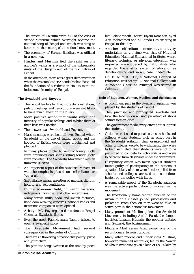- The streets of Calcutta were full of the cries of 'Bande Mataram' which overnight became the national song of Bengal and which was sung to become the theme song of the national movement.
- The ceremony of Raksha Bandhan was utilized in a new way.
- Hindus and Muslims tied the rakhi on one another's wrists as a symbol of the unbreakable unity of the Bengalis and of the two halves of Bengal.
- Thusday and who may have the ratio of the threation of the the stational single densition and the stational single densition and the stational single and of the two halves of the metallomal single and when the veteral hadr In the afternoon, there was a great demonstration when the veteran leader Ananda Mohan Bose laid the foundation of a Federation Hall to mark the indestructible unity of Bengal.

## **The Swadeshi and Boycott**

- The Bengal leaders felt that more demonstrations, public meetings and revolutions were not likely to have much effect on the rulers.
- More positive action that would reveal the intensity of popular feelings and exhibit them at their best was needed.
- The answer was Swadeshi and Boycott.
- Mass meetings were held all over Bengal where Swadeshi or the use of Indian goods and the boycott of British goods were proclaimed and pledged.
- In many places public burning of foreign cloth were organised and shops selling foreign cloth were picketed. The Swadeshi Movement was an immense success.
- An important aspect of the Swadeshi Movement was the emphasis placed on self-reliance or 'Atmasakti'.
- Self-reliance meant assertion of national dignity, honour and self-confidence.
- In the economic field, it meant fostering indigenous industrial and other enterprises.
- the economic field, it meant<br>ligenous industrial and other enter<br>iny textile mills, soda and match<br>alloom weaving concerns, national<br>urance companies were opened.<br>harya P.C. Ray organised his fame<br>emical Swadeshi Stores.<br>e Many textile mills, soda and match factories, handloom weaving concerns, national banks and insurance companies were opened.
- Acharya P.C. Ray organised his famous Bengal Chemical Swadeshi Stores.
- Even the great Rabindranath Tagore helped to open a Swadeshi store.
- The Swadeshi Movement had several consequences in the realm of Culture.
- There was a flowering of nationalist poetry, prose and journalism.
- The patriotic songs written at the time by poets

like Rabindranath Tagore, Rajani Kant Sen, Syed Abu Mohammed and Mukunda Das are sung in Bengal to this day.

- Another self-reliant, constructive activity undertaken at the time was that of National Education. National Educational Institutes where literary, technical or physical education was imparted were opened by nationalists who regarded the existing system of education as denationalising and, in any case, inadequate.
- On 15 August 1906, a National Council of Education was set up. A National College with Aurobindo Ghose as Principal was started in Calcutta.

## **Role of Students, Women, Muslims and the Masses**

- A prominent part in the Swadeshi agitation was played by the students of Bengal.
- They practised and propagated Swadeshi and took the lead in organising picketing of shops setting foreign cloth.
- The government made every attempt to suppress the students.
- From the transit of the two halves of the unbreakable<br>
was a great demonstration on 15 August 1906, a<br>
Maxa a great demonstration  $\sim$  On 15 August 1906, a<br>
Maxa a great demonstration  $\sim$  On 15 August 1906, a<br>
Education W In the templats and of the two halves of<br>  $\frac{1}{2}$  denotingation are example system of containing<br>
the affection and the street and the street and the street and the street and the street and the street and the street an • Orders were issued to penalise those schools and colleges whose students took an active part in the Swadeshi agitation; their grants-in-aid and other privileges were to be withdrawn, they were to be disaffiliated, their students were not to be permitted to compete for scholarships and were to be barred from all services under the government.
	- Disciplinary action was taken against students found guilty of participating in the nationalist agitation. Many of them were fined, expelled from schools and colleges, arrested and sometimes beaten by the police with lathis.
	- A remarkable aspect of the Swadeshi agitation was the active participation of women in the movement.
	- The traditionally home-centred women of the urban middle classes joined processions and picketing. From then on they were to take an active part in the nationalist movement.
	- Many prominent Muslims joined the Swadeshi Movement, including Abdul Rasul, the famous barrister, Liaquat Hussain, the popular agitator and Guznavi, the businessman.
	- Maulana Abul Kalam Azad joined one of the revolutionary terrorist groups.
	- Many other middle and upper class Muslims, however, remained neutral or, led by the Nawab of Dhaka (who was given a loan of Rs. 14 lakh by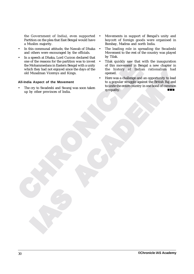the Government of India), even supported Partition on the plea that East Bengal would have a Muslim majority.

- In this communal attitude, the Nawab of Dhaka and others were encouraged by the officials.
- the Mohammedians in Eastern Bengal with a unity<br>which the Mohammedians in Eastern Bengal with a unity<br>which they had not enjoyed since the days of the the interview of Thidia<br>old Musalman Viceroys and Kings.<br>All-India Aspe In a speech at Dhaka, Lord Curzon declared that one of the reasons for the partition was to invest the Mohammedans in Eastern Bengal with a unity which they had not enjoyed since the days of the old Musalman Viceroys and Kings.

#### **All-India Aspect of the Movement**

The cry to Swadeshi and Swaraj was soon taken up by other provinces of India.

IAS

- Movements in support of Bengal's unity and boycott of foreign goods were organised in Bombay, Madras and north India.
- The leading role in spreading the Swadeshi Movement to the rest of the country was played by Tilak.
- Tilak quickly saw that with the inauguration of this movement in Bengal a new chapter in the history of Indian rationalism had opened.
- Experience the days of the anti-quark of this movement in Benja with a unity of this movement in Benja with a unity of this movement in Benja was soon taken<br> **Movement** to a popular struggle again to unite the entire count ch they had not conject since the days of the like history of indian rationalism had the Musliman Viceroys and Kings.<br>
Musliman Vicerows and Rings.<br>
a Aspect of the Movement to use spendar strengthe and an opportunity in l • Here was a challenge and an opportunity to lead to a popular struggle against the British Raj and to unite the entire country in one bond of common sympathy.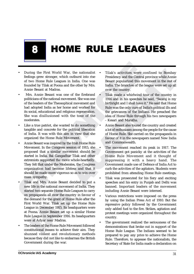

# 8 HOME RULE LEAGUES

- During the First World War, the nationalist feelings grew stronger, which outburst into rise of two Home Rule Leagues in India. One was founded by Tilak at Poona and the other by Mrs. Annie Besant at Madras.
- Mrs. Annie Besant was one of the firebrand politicians of the national movement. She was one of the leaders of the Theosophical movement and had adopted India as her home and worked for its social, educational and religious regeneration. She was disillusioned with the tone of the moderates.
- Like a true patriot, she wanted to do something tangible and concrete for the political liberation of India. It was with this aim in view that she organized the Home Rule Movement.
- During the First World War, the nationalist <br>
 Tilak's activities were feeling grew stronger, which outburst into rise<br>
of two Home Rule Leagues in India. One was<br>
 Presidency and the colline Central<br>
founded by Tilak a • Annie Besant was inspired by the Irish Home Rule Movement. In the Congress session of 1915, she proposed that a similar movement should be started in India. Bal Gangadhar Tilak and other extremists supported the move whole-heartedly. They felt that under the Moderates, the Congress organization had become lifeless and that it should be made more vigorous so as to win over mass sympathy.
	- The Material Movement of Home<br>Inted two separate Home Rule Leagu<br>propaganda all over the country is<br>demand for the grant of Home Rust<br>st World War. Tilak set up the H<br>ague in December 1915. Its headquare<br>Poona. Annie Besan ring the First World War, the nationalist <br>
	Tilak's activities were confined to Bombay<br>
	meging grew stronger, which onbruss throughs in case Presidency and the Central province while American<br>
	media action and the other b • Tilak and Mrs. Annie Besant decided to put a new life in the national movement of India. They started two separate Home Rule Leagues to carry on propaganda all over the country in favour of the demand for the grant of Home Rule after the First World War. Tilak set up the Home Rule League in December 1915. Its headquarters were at Poona. Annie Besant set up a similar Home Rule League in September 1916. Its headquarters were at Adyar near Madras.
	- The leaders of the Home Rule Movement followed constitutional means to achieve their aim. They shunned violent and revolutionary methods because they did not like to embarrass the British Government during the war.
- Tilak's activities were confined to Bombay Presidency and the Central province while Annie Besant popularized this movement in the rest of India. The branches of the league were set up all over the country.
- rd War, the nationalist <br>
which outburst into rise and the Centra agues in India. One was <br>
Besant popularized this mona and the other by Mrs. India. The branches of the sas.<br>
was one of the firebrand and movement. She was • Tilak made a whirlwind tour of the country in 1916 and in his speeches he said, "Swaraj is my birthright and I shall have it." He said that Home Rule was the only cure of India's political ills and the grievances of the Indians. He preached the idea of Home Rule through his two newspapers - Kesari and Maratha.
	- Annie Besant also toured the country and created a lot of enthusiasm among the people for the cause of Home Rule. She carried on the propaganda in favour of it in the newspapers named New India and Commonwealth.
	- The movement reached its peak in 1917. The Government got panicky at the activities of the Home Rule Movement and it thought of suppressing it with a heavy hand. The Government made use of Defence of India Act to curb the activities of the agitators. Students were prohibited from attending Home Rule meetings.
	- Tilak was prosecuted for his fiery and exciting speeches and his entry in Punjab and Delhi was banned. Important leaders of the movement including Annie Besant were interned.
	- Various restrictions were imposed on the press by using the Indian Press Act of 1910. But the repressive policy followed by the Government only added fuel to the fire. Strikes, agitation and protest meetings were organized throughout the country.
	- The government realized the seriousness of the demonstrations that broke out in support of the Home Rule League. The Indians seemed to be prepared to pay any price to achieve the Home Rule. Therefore, to appease the nationalists, the Secretary of State for India made a declaration on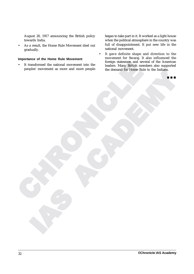August 20, 1917 announcing the British policy towards India.

• As a result, the Home Rule Movement died out gradually.

## **Importance of the Home Rule Movement**

It transformed the rational movement into the leaders. Many British me<br>peoples' movement as more and more people<br>the demand for Home Ru<br>the demand for Home Ru<br>demand for Home Ru<br>demand for Home Ru<br>demand for Home Ru<br>demand • It transformed the national movement into the peoples' movement as more and more people

IAS

began to take part in it. It worked as a light house when the political atmosphere in the country was full of disappointment. It put new life in the national movement.

ional movement into the leaders. Many British me<br>more and more people<br>the demand for Home Rul<br>decaders. Many British me PRES INDOVERING AN INDICE PROPERTY AND INDICES PROPERTY. It gave definite shape and direction to the movement for Swaraj. It also influenced the foreign statesmen and several of the American leaders. Many British members also supported the demand for Home Rule to the Indians.

**. . .**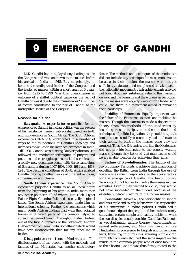## 9 EMERGENCE OF GANDHI

M.K. Gandhi had not played any leading role in the Congress and was unknown to the masses before his arrival in India in 1915. But, surprisingly, he became the undisputed leader of the Congress and the leader of masses within a short span of 5 years, i.e. from 1915 to 1920. Was this phenomenon an outcome of a skilful political game on the part of Gandhi or was it due to the circumstances? A number of factors contributed to the rise of Gandhi as the undisputed leader of the Congress.

#### **Reasons for his rise**

M.K. Gandhi had not played any leading role in factor. The methods and techn<br>the Congress and was unknown to the masses before this chick or include any technique<br>of this arrival in India in 1915. But, surprisingly, he be C Gradial had not played any leading role in factor. The methods and dechiques of the moderates and was unchom to the masses before of not of the domination for measures and starting in the masses with a minimal spin of t **Satyagraha:** A major factor responsible for the emergence of Gandhi in Indian politics was the success of his resistance, namely Satyagraha, based on truth and non-violence in South Africa. The South African experience (1893-1914) contributed in a number of ways to the foundations of Gandhi's ideology and methods as well as to his later achievements in India. Till 1906, Gandhi was a rising lawyer-politician. He followed the 'moderate' techniques of prayers and petitions in the struggle against racial discrimination, a totally new departure began with three campaigns of Satyagraha during 1907-1908, 1908-1911 and 1913- 1914. The peculiar conditions of South Africa enabled Gandhi to bring together people of different religions, communities and classes.

Ince projected Gandin as an an in<br>the beginning of his work in India<br>ner politician all of whom (like Ti<br>Bipin Chandra Pal) had essential<br>The South African experience ma<br>tional celebrity. Further, the connect<br>South African **South African experience:** This South African experience projected Gandhi as an all India figure from the beginning of his work in India more than any other politician all of whom (like Tilak, Lajpat Rai or Bipin Chandra Pal) had essentially regional bases. The South African experience made him an international celebrity. Further, the connections which many South African Indians had with their original homes in different parts of the country helped to spread the name of Gandhi throughout India. Thirteen out of the first 25 inmates of the Sabarmati Ashram (1915) came from Tamilnadu, something which would have been inconceivable then for any other Indian leader.

**Disappointment from Moderates:** The disillusionment of the people with the methods and failures of the Moderates was another contributory factor. The methods and techniques of the moderates did not include any technique for mass mobilization because, in their opinion, the masses were not yet sufficiently educated and enlightened to take part in the nationalist movement. Their achievements also did not bring about any substantial relief to the masses in general and the peasants and the workers in particular. So, the masses were eagerly waiting for a leader who could lead them in a movement aimed at removing their hardships.

by a may leading role in factor. The methods and techn<br>
nown to the masses before did not include any technique<br>
15. But, surprisingly, he because, in their opinion, the<br>
neader of the Congress and sufficiently educated an **Inability of Extremists:** Equally important was the failure of the Extremists to reach and mobilize the masses. Though the extremists made a departure in theory from the methods of the Moderates by including mass participation in their methods and techniques of political agitation, they could not put it into practice essentially because they had doubts about their ability to control the masses once they are aroused. Thus, the Extremists too, like the Moderates, did not provide leadership to the eagerly waiting masses, though they believed that mass action could be a variable weapon for achieving their aims.

> **Failure of Revolutionaries:** The failure of the Revolutionary Terrorists to achieve their main goal of expelling the British from India through the use of force was as much responsible as the above factors for the emergence of Gandhi. The Revolutionary Terrorists did not bother to involve the masses in their activities. Even if they wanted to do so, they would not have succeeded in their goals because of the essentially peaceful nature of the Indian masses.

> **Personality:** Above all, the personality of Gandhi and his simple and saintly habits were also responsible of his emergence in Indian politics. Gandhi had a good knowledge of the people and hence deliberately cultivated certain simple and saintly habits or what the non-disciples usually consider Gandhian Fads such as vegetarianism, nature therapy, experiments in sexual self-restrain, etc. Also, his use of simple Hindustani in preference to English and of religious texts, travelling in third class, wearing simple cloth from 1921 onwards etc., had the same impact on the minds of the common people who at once took him to their hearts. Gandhi was thus firmly rooted in the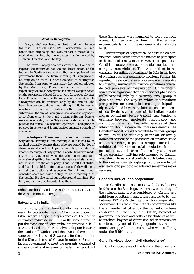#### **What is Satyagraha?**

'Satyagraha' was based on truth and non-violence (ahimsa). Though Gandhi's 'Satyagraha' revised considerate originality and was, in fact a meticulously worked out philosophy, nevertheless was influenced by Thoreau, Emerson, and Tolstoy.

The term, Satyagraha was coined by Gandhi to<br>
candhi in practice somethime<br>
express the nature of ron-violent direct ato somethine<br>
effect action of the complete non-violent, flowing post-war politice in<br>
flowing post-war The term, Satyagraha was coined by Gandhi to express the nature of non-violent direct action of the Indians in South Africa against the racial policy of the government there. The literal meaning of Satyagraha is holding on to truth. He was anxious to distinguish Satyagraha from passive resistance (the method adopted by the Moderates). Passive resistance is an act of expediency where as Satyagraha is a moral weapon based on the superiority of soul-force or love-force over physical force. Passive resistance is the weapon of the weak, while 'Satyagraha' can be practiced only by the bravest who have the courage to die without killing. While in passive resistance the aim is to embarrass the opponent into submission, the aim of Satyagraha is to wean the opponent away from error by love and patient suffering. Passive resistance is static, while Satyagraha is dynamic. While passive resistance is a negative approach, Satyagraha is positive in content and it emphasized internal strength of character.

**Techniques:** There are different techniques of Satyagraha. Fasting is one technique, but it has to be applied generally against those who are bound by ties of close personal affection. Hijrat or voluntary migration is another technique of Satyagraha. Gandhi, however, made it very clear that people who adopt this technique should only aim at getting their legitimate rights and status and not be hostile to the other party. Thus, he felt that strikes and hartals could be effective weapons if they did not aim at destruction and sabotage. Gandhi would not consider scorched earth policy to be a technique of Satyagraha. He also ruled out underground activities. For him, means were as important as the end.

Indian traditions and it was from that fact that he drew his immense strength.

#### **Satyagraha in India**

traditions and it was from that fairting<br>
is immense strength.<br> **raha in India**<br>
India, the first time Gandhi was<br>
co Satyagraha was in Champaran<br>
where he got the grievances of t<br>
ors redressed in 1917. For the secon<br>
tec In India, the first time Gandhi was obliged to resort to Satyagraha was in Champaran district in Bihar where he got the grievances of the indigo cultivators redressed in 1917. For the second time, he put the technique of Satyagraha into practice in 1918 at Ahmedabad in order to solve a dispute between the textile mill workers and the owners there. In the same year, he launched Satyagraha for the third time in the Khera district of Gujarat in order to force the British government to meet the peasants' demand of suspension of land revenue for the famine period. All these Satyagrahas were launched to solve the local issues. But they provided him with the required experience to launch future movements at an all-India level.

was coined by Gandhi to<br>
Candhi in practice sometimes<br>
iolent direct action of the<br>
complete non-violence. This<br>
nearing of Satyagraha is<br>
nearing of Satyagraha is<br>
as anxious to distinguish<br>
ince the method adopted to cow In matter on non-vanori dred non on the Compute from vingthe c mass with the matter of non-vanorite and in the same of the same of the same of the same of the same of the same of the same of the same of the same of the sa The technique of Satyagraha, being based on nonviolence, could easily attract the masses to participate in the nationalist movement. However, as a politician, Gandhi in practice sometimes settled for less than complete non-violence. This was evident in his campaign for military recruitment in 1918 in the hope of winning post-war political concessions, Further, his repeated insistence that even violence was preferable to cowardly surrender to injustice sometimes created delicate problems of interpretation. But historically much more significant than this personal philosophy (fully accepted only by a relatively small group of disciples) was the way in which the resultant perspective on controlled mass participation objectively fitted in with the interests and sentiments of socially-decisive sections of the Indian people. Indian politicians, before Gandhi, had tended to oscillate between moderate mendicancy and individual terrorism basically because of their inhibition about uncontrolled mass movements. The Gandhian model proved acceptable to business groups as well as to the relatively better-off or locally dominant sections of the peasantry, all of whom stood to lose something if political struggle turned into uninhibited and violent social revolution. In more general terms, the doctrine of 'ahimsa' lay at the heart of the essentially unifying role assumed by Gandhi, mediating internal social conflicts, contributing greatly to the joint national struggle against foreign rule, but also leading to periodic retreats and sometimes major reverses.

#### **Gandhi's idea of 'non-cooperation'**

To Gandhi, non-cooperation with the evil-doers; in this case the British government, was the duty of the virtuous man. It was considered by Gandhi as a mild form of agitation, and it was resorted to by him between1921-1922 during the Non-cooperation Movement. This technique, with its programmes like the surrender of titles by the patriotic Indians conferred on them by the British, boycott of government schools and colleges by students as well as teachers, boycott of courts and other government services, boycott of foreign goods etc, had an immediate appeal to the masses who were suffering under the British rule.

#### **Gandhi's views about 'civil disobedience'**

Civil disobedience of the laws of the unjust and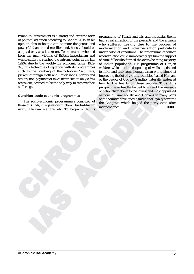1920's due to the worldwide economic crisis (1929) of Indian population. His programmes welfare, which included openized and light such as the breaking of the notorious Salt Laws. temples and also some human picketing fore tyrannical government is a strong and extreme form of political agitation according to Gandhi. Also, in his opinion, this technique can be more dangerous and powerful than armed rebellion and, hence, should be adopted only as a last resort. To the masses who had been the main victims of British imperialism and whose suffering reached the extreme point in the late 1920's due to the worldwide economic crisis (1929- 32), this technique of agitation with its programmes such as the breaking of the notorious Salt Laws, picketing foreign cloth and liquor shops, hartals and strikes, non-payment of taxes (restricted to only a few areas) etc., seemed to be the only way to remove their sufferings.

#### **Gandhian socio-economic programmes**

His socio-economic programmers consisted of those of Khadi, village reconstruction, Hindu-Muslim unity, Harijan welfare, etc. To begin with, his

IAS

de economic crisis (1929- of Indian population. His providue of the notroius Salt Laws, temples and also some human injuror shops, hartals and improving the lot of the untouce is (restricted to only a few or the people of the breaking of the motorium Sail Laws. temples and also some bureauthoffs of the university of the control of the complete of the control of the control of the starts (cflied Faripins (cf. let motorium on proportion to th programme of Khadi and his anti-industrial theme had a real attraction of the peasants and the artisans who suffered heavily due to the process of modernization and industrialization particularly under colonial conditions. The programme of village reconstruction could immediately get him the support of rural folks who formed the overwhelming majority of Indian population. His programme of Harijan welfare, which included opening of wells, roads and temples and also some humanitarian work, aimed at improving the lot of the untouchables (called Harijans or the people of God by Gandhi), naturally endeared him to the hearts of these people. Thus, this programme indirectly helped to spread the message of nationalism down to the lowest and most oppressed sections of rural society and Harijans in many parts of the country developed a traditional loyalty towards the Congress which helped the party even after independence.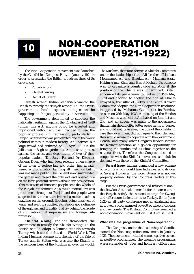

# NON-COOPERATION **MOVEMENT (1921-1922)**

The Non-Cooperation movement was launched by the Gandhi-led Congress Party in January 1921 in order to pressurize the British to redress three of its grievances:

- Punjab wrong
- Khilafat wrong
- Denial of Swaraj

**Punjab wrong:** Indian leadership wanted the British to remedy the 'Punjab wrong', i.e., the British government should express its regret on the happenings in Punjab, particularly in Amritsar.

The Non-Cooperation movement was launched The Muslims, therefore, formed by the Candhi-led Congress Party in January 1921 in under the leadership of the order to pressurize the British in celumes of the solution of the Kh nia into ferment. As a result, martimed throughout Punjab and the pear of the most uncivilized atrocition of the most uncivilized atrocition of the ground, flogging, being dumd electric supplies, etc. People got gliness an The government, determined to suppress the nationalist agitation against the Rowlatt Act of 1919 (under this Act, anyone could be arrested and imprisoned without any trial), decided to meet the popular protest with repression, particularly in Punjab. At this time was perpetrated one of the worst political crimes in modern history. An unarmed but large crowd had gathered on 13 April 1919 in the Jallianwalla Bagh (a garden) at Amritsar to protest against the arrest and deportation of two of their popular leaders, (Dr. Satya Pal and Dr. Kitchlu). General Dyer, who had been recently given charge of the town to restore law and order, had already issued a proclamation banning all meetings but it was not made public. The General now surrounded the garden and closed the only exit and opened fire on the large peaceful crowd without any provocation. This massacre of innocent people sent the whole of the Punjab into ferment. As a result, martial law was proclaimed throughout Punjab and the people were subjected to the most uncivilized atrocities such as crawling on the ground, flogging, being deprived of water and electric supplies, etc. People got a glimpse of the ugliness and brutality that lay behind the façade of civilization that imperialism and foreign rule professed.

**Khilafat wrong:** Indians demanded the government to remedy the 'Khilafat Wrong', i.e. the British should adopt a lenient attitude towards Turkey which stood defeated in World War I. The Indian Muslims became apprehensive of the fate of Turkey and its Sultan who was also the Khalifa or the religious head of the Muslims all over the world.

movement was launched The Muslims, therefore, formed space of the Muslims, therefore, formed space of the Mohammed Ali and Shaukat Hakim Ajmal Khan and Hasra was to organize a countryv position of the Khalifa was amounced Non-Cooperation movement was knowled The Muslims, liveted as Thushin AC comparison movement was the properties of the All income Constant and Sales and Sales and Sales and Sales and Sales and Sales and Sales and Sales and The Muslims, therefore, formed a Khilafat Committee under the leadership of the Ali brothers (Maulana Mohammed Ali and Shaukat Ali), Maulana Azad, Hakim Ajmal Khan and Hasrat Mohani. Its purpose was to organize a countrywide agitation if the position of the Khalifa was undermined. Britain announced its peace terms to Turkey on 15th May 1920 and decided to abolish the title of Khalifa enjoyed by the Sultan of Turkey. The Central Khilafat Committee adopted the Non-Cooperation resolution (suggested by Mahatma Gandhi) at its Bombay session on 28th May 1920. A meeting of the Hindus and Muslims was held at Allahabad on June 1st and 2nd, and an appeal was made to the government that Britain should offer better peace terms to Turkey and should not take away the title of the Khalifa. In case the government did not agree to their demand, they would refuse to cooperate with the government. Gandhi and many other Congress leaders viewed the Khilafat agitation as a golden opportunity for bringing the Hindus and Muslims together on the national front. Therefore, the Congress decided to cooperate with the Khilafat movement and club its demand with those of the Khilafat Committee.

**Swaraj issue:** Indians demanded a new scheme of reforms which would take India nearer to its goal of Swaraj. However, the word Swaraj was not yet properly defined by the Congress leaders at this stage.

But the British government had refused to annul the Rowlatt Act, make amends for the atrocities in the Punjab, satisfy the nationalist urge for Swaraj, and offer more lenient terms to Turkey. So, in June, 1920 an all party conference met at Allahabad and approved a programme of boycott of schools, colleges and law courts. The Khilafat Committee launched a non-cooperation movement on 31st August, 1920.

#### **What was the programme of Non-cooperation?**

The Congress, under the leadership of Gandhi, started the Non-cooperation movement in January 1921. The movement included some negative as well as positive programmes. The negative programmes were: surrender of titles and honorary officers and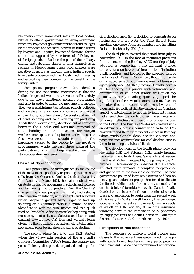resignation from nominated seats in local bodies; refusal to attend government or semi-government functions; boycott of government schools and colleges by the students and teachers; boycott of British courts by lawyers and litigants; boycott of elections for the councils as suggested by the reforms of 1919; boycott of foreign goods; refusal on the part of the military, clerical and labouring classes to offer themselves as recruits in Mesopotamia. These programmers were negative in nature as through these, Indians sought to refuse to cooperate with the British in administering and exploiting their country for the benefit of the foreign rulers.

cherical and labouring classes to offer the<br>melowing as to compute the small and the melowing changes of the final<br>megative in mature as through these, indians sought public bonfines) and boy<br>ort of the mediation in the m Some positive programmes were also undertaken during the non-cooperation movement so that the Indians in general would not have to suffer unduly due to the above mentioned negative programmes and also in order to make the movement a success. They were: establishment of national schools, colleges, and private arbitration courts (known as panchayats) all over India; popularization of Swadeshi and revival of hand spinning and hand-weaving for producing Khadi (hand-woven cloth); development of harmony between the Hindus and Muslims; removal of untouchability and other measures for Harijan welfare; emancipation and upliftment of women. The first two programmers sought to remove the hardships caused to the people by the negative programmes, while the last three ensured the participation of Muslims, Harijans and women in the Non-cooperation movement.

#### **Phases of Non-cooperation**

wyers giving up practice. Even the unity where the unity of the unity of the entsia orientation; with students an people in general being urged that an people in general being urged that an orientation with the rural masse Four phases may be distinguished in the course of the movement, specifically responding to successive calls from the Congress. During the first phase, i.e. from January to March 1921, the main emphasis was on students leaving government, schools and colleges and lawyers giving up practice. Even the 'charkha' (the spinning wheel) programme initially had a strong intelligentsia orientation; with students and educated urban people in general being urged to take up spinning on a voluntary basis is a symbol of their identification with the rural masses and as a quick road to Swadeshi. After spectacular beginning with massive student strikes at Calcutta and Lahore and eminent lawyers like C.R. Das and Motilal Nehru giving up their practice, this exclusively intelligentsia movement soon began showing signs of decline.

The second phase (April to June 1921) started when the Vijaywada session of the All India Congress Committee (AICC) found the country not yet sufficiently disciplined, organized and ripe for

Example the mass are indicated a somewhat more imaging these, Indians sought denoted a somewhat more applied a somewhat more applied a somewhat more applied to the British in administering public bonfires) and boycott of t is in institution is been already through three Indians sought to reactive thing on boyoth of the compete which the state in the princ of Wales in Nowmber, though full condition the state in the state in Nowmber, though fu The third phase covered the period from July to November 1921. In the face of mounting pressures from the masses, the Bombay AICC meeting of July adopted a somewhat more militant stance, concentrating on boycott of foreign cloth (including public bonfires) and boycott of the expected visit of the Prince of Wales in November, though full scale civil disobedience through non-payment of taxes was again postponed. At this juncture, Gandhi gave a call for flooding the prisons with volunteers, and organization of volunteer brands was given top priority. Viceroy Reading quickly grasped the significance of the new mass orientation involved in the picketing and courting of arrest by tens of thousands. He realized that the change from Gandhi's appeal to intellectuals to appeal to ignorant masses had altered the situation but it had the advantage of bringing intellectuals and persons of property closer to the British. The Prince of Wales was treated with an extremely successful country-wide hartal on 17th November and there were violent clashes in Bombay which made Gandhi denounce the violence and postpone once against plans for civil disobedience in the selected single taluka of Bardoli.

The developments in the fourth phase (between November 1921 and February 1922) nearly brought the government to its knees. Some Khilafat leaders like Hasrat Mohani, angered by the jailing of the Ali brothers in November (for speeches at the Karachi Khilafat), were demanding complete independence and giving up of the non-violence dogma. The new government policy of large-scale arrests and ban on meetings and volunteer groups threatened to alienate the liberals while much of the country seemed to be on the brink of formidable revolt. Gandhi finally decided on the issue of infringed liberties of speech, press and association to begin from the second week of February 1922. As is well known, this campaign, together with the entire movement, was abruptly called off on 11th February, at Gandhi's insistence, following news of the immolation of 22 policemen by angry peasants at Chauri-Charua in Gorakhpur district of Uttar Pradesh on 5th February, 1922.

#### **Participation in Non-cooperation**

The response of different social groups and classes to the movement was quite varied. To begin with students and teachers actively participated in the movement. Hence, the programme of educational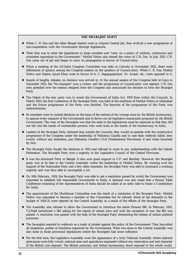#### **THE SWARAJIST PARTY**

- When C. R. Das and the other Bengal leaders were in Alipore Central Jail, they evolved a new programme of non-cooperation with the Government through legislatures.
- Their idea was to enter the legislatures in large numbers and "carry on a policy of uniform, continuous and consistent opposition to the Government." Motilal Nehru also shared the views of C.R. Das. In July 1922, C.R. Das came out of jail and began to carry on propaganda in favour of Council-entry.
- When a meeting of the All-India Congress Committee was held at Calcutta in November 1922, there were differences of opinion among the Congress leaders on the question of Council-entry. While C. R. Das, Motilal Nehru and Hakim Ajmal Khan were in favour of it, C. Rajagopalachari, Dr. Ansari, etc., were opposed to it.
- All-India Congress Committee was held at Calcutta in Novem<br>mong the Congress Committee was held at Calcutta in Novem<br>mong the Congress leaders on the question of Council-entry. Wh<br>al Khan were in favour of it, C. Rajagopal Inspite of lengthy debates, no decision was arrived at. At the annual session of the Congress held at Gaya in December 1922, the "No-changers" won a victory and the programme of Council-entry was rejected. C.R. Das who presided over the session resigned from the Congress and announced his decision to form the Swarajist Party.
- **•** When a meeting of the All-India Congress Committee was held at Calcutta in Novem differences of opinion among the Congress locates on the question of Countel-entry. When we held at Simpler of lengthy debates, no deci The Object of the new party was to wreck the Government of India Act, 1919 from within the Councils. In March 1923, the first Conference of the Swarajist Party was held at the residence of Motilal Nehru at Allahabad and the future programme of the Party was decided. The keynote of the programme of the Party was obstructionism.
	- Its members were to contest elections on the issue of the redress of the wrongs done by the British bureaucracy, to oppose every measure of the Government and to throw-out all legislative enactments proposed by the British Government. The view of the Swarajists was that the seats in the legislatures must be captured so that they did not fall into the hands of undesirable persons who were tools in the hands of the bureaucracy in India.
	- Leaders of the Swarajist Party declared that outside the Councils, they would co-operate with the constructive programme of the Congress under the leadership of Mahatma Gandhi and in case their methods failed, they would, without any hesitation, join Mahatma Gandhi's Civil Disobedience Movement, if and when launched by him.
	- The Swarajist Party fought the elections in 1923 and refused to come to any understanding with the Liberal Federation. The Swarajist Party won a majority in the Legislative Council of the Central Provinces.
	- It was the dominant Party in Bengal. It also won good support in U.P. and Bombay. However, the Swarajist party was at its best in the Central Assembly under the leadership of Motilal Nehru. By winning over the support of the Nationalist Party and a few other members, the Swarajist Party was able to command a working majority and was thus able to accomplish a lot.
	- On 18th February, 1924, the Swarajist Party was able to get a resolution passed by which the Government was requested to establish full responsible Government in India. A demand was also made that a Round Table Conference consisting of the representatives of India should be called at an early date to frame a Constitution for India.
	- The appointment of the Muddiman Committee was the result of a resolution of the Swarajist Party. Motilal Nehru was requested to become a member of this Committee but he refused. Some of the demands in the budget of 1924-25 were rejected by the Central Assembly as a result of the efforts of the Swarajist Party.
	- r india.<br>
	he appointment of the Muddiman Conchru was requested to become a mendget of 1924-25 were rejected by the<br>
	he Assembly also refused to allow the<br>
	i.Patel introduced a Bill asking for the<br>
	i.Patel introduced a Bill Herenes of opinion among the Congress Baders on the question of Countle-nery. While C. R. Das, Motila I<br>there are the proposed as the constrained at Africa may the particle in the main sestion of C. R. Das (Motila Herenes The Assembly also refused to allow the Government to introduce the entire Finance Bill. In February 1925, V.J.Patel introduced a Bill asking for the repeal of certain laws and with the exception of one, the Bill was passed. A resolution was passed with the help of the Swarajist Party demanding the release of certain political prisoners.
	- The Swarajists resorted to walkouts as a mark of protest against the policy of the Government. They boycotted all receptions, parties or functions organized by the Government. What was done in the Central Assembly was also done in those provincial legislatures where the Swarajists had some influence.
	- For the first time, the Legislative Assembly wore the appearance of a truly National Assembly where national grievances were fully voiced, national aims and aspirations expressed without any reservation and real character of the British rule exposed. The British autocracy and Indian bureaucracy stood exposed to the whole world.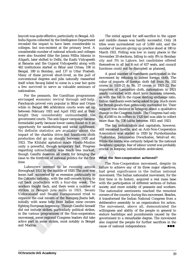boycott was quite effective, particularly in Bengal. All-India figures collected by the Intelligence Department revealed the impact to have been considerable in colleges, but non-existent at the primary level. A considerable number of national schools and colleges were also founded (like the Jamia Millia Islamia in Aligarh, later shifted to Delhi, the Kashi Vidyapeeth at Banaras and the Gujarat Vidyapeeth) along with 442 institutions started in Bihar and Orissa, 190 in Bengal, 189 in Bombay, and 137 in Uttar Pradesh. Many of these proved short-lived, as the pull of conventional degrees and jobs naturally reasserted itself when Swaraj failed to come in a year but quite a few survived to serve as valuable seminars of nationalism.

at Banacas and de Gujarat Vidyapeelh) along with  $\dot{m}$ , messelves in all but 6 cut of 4 Banacas and de Gujarat Vidyapeelh) along with  $\dot{m}$ . However, Mayo di at the party of these proved short-lived, as the pull of me If Vidyapeeth) along with<br>themselves in all but 6 out of<br>Bihar and Orissa, 190 in<br>functions could not be disrupt<br>oror-lived, as the pull of A good number of mercha<br>jobs naturally reasserted movement by refusing to ind<br>come For the peasants, the Gandhian programmes envisaged economic revival through self-help. Panchayats proved very popular in Bihar and Orissa while in Bengal 866 arbitration courts were set up between February 1921 and April 1922 and at their height they considerably outnumbered the government courts. The anti-liquor campaign became formidable partly because lower castes found in it an opportunity for sanskritizing and social upliftment. No definite statistics are available about the impact of the charkha drive but handloom cloth production did go up sharply between 1920 and 1923. The Khilafat agitation made Hindu-Muslim unity a powerful, though temporary fact. Progress regarding untouchability was much less marked, though Gandhi deserves all credit for bringing the issue to the forefront of national politics for the first time.

In Bengali jute mills in 192<br>
in Bengali jute mills in 192<br>
anand and Swami Dersananano<br>
re the coal miners of the Raniganj-<br>
vith some help from Indian mi<br>
European hegemony. Though Gan<br>
t include strikes, particularly po Labourers seemed to be running amuck throughout 1921 by the middle of 1920. The post war boom had succeeded by as recession particularly in the Calcutta industry, with the mill-owners trying to cut back production with a four-day week. The workers fought back, and there were a number of strikes in Bengali jute mills in 1921. Swami Vishwanand and Swami Dersananand tried to organize the coal miners of the Raniganj-Jharia belt, initially with some help from Indian mine owners fighting European hegemony. Though Gandhi himself did not include strikes, particularly political strikes, in the various programmes of the Non-cooperation movement, some regional Congress leaders did take active part in some strikes, most notably in Bengal and Madras.

The initial appeal for self-sacrifice to the upper and middle classes was hardly successful. Only 24 titles were surrendered out of 5,000 odd, and the number of lawyers giving up practice stood at 180 in March 1921. Polling was low in many places in the November 20 elections, falling to only 8% in Bombay city and 5% in Lahore, but candidates offered themselves in all but 6 out of 637 seats, and council functions could not be disrupted as planned.

A good number of merchants participated in the movement by refusing to indent foreign cloth. The value of imports of foreign cloth fell from Rs. 102 crores in 1920-21 to Rs. 57 crores in 1921-22. For importers of Lancashire cloth, nationalism in 1921 nearly coincided with short term business interests, as with the fall in the rupee sterling exchange ratio, Indian merchants were being asked to pay much more for British goods than previously contracted for. Their support was decisive in bringing about a qualitative change in the Congress funds. The Congress had only Rs. 43,000 in its coffers in 1920 but was able to collect more than Rs. 130 lakhs between 1921 and 1923.

The big industrialists and capitalists, however, still remained hostile, and an Anti-Non-Cooperation Association was started in 1920 by Purshottamdas Thakurdas, Jamunadas Dwarkadas, Setalvad etc. While the textile was certainly helped by the national Swadeshi upsurge, fear of labour unrest was probably crucial in keeping industrialists ambivalent.

#### **What the Non-cooperation achieved?**

189 in burshay and 137 in Ulter Pendek, unknow out not on the user<br>porcel as planning and the proposition of the sympatom of the sympatom of the sympatom of the sympatom of the sympatom of the sympatom is the planning ten The Non-Cooperation movement, despite its failure to achieve any of its three major objectives, had great significance in the Indian national movement. The Indian nationalist movement, for the first time in its history, acquired a real mass base with the participation of different sections of Indian society and more notably of peasants and workers. The nationalist sentiments reached the remotest corners of the country during this movement. Besides, it transformed the Indian National Congress from a deliberative assembly to an organization for action. The movement, above all, demonstrated the willingness and ability of the people in general to endure hardships and punishments caused by the government to a remarkable degree. The movement also inspired the people for further sacrifices in the cause of national independence.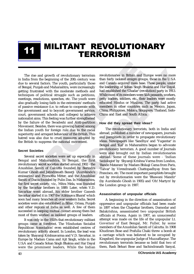

# **MILITANT REVOLUTIONARY<br>TERRORISM**

The rise and growth of revolutionary terrorism revolutionaries in Britain and<br>in India from the beginning of the 20th century was than fairly isolated emigre grot<br>or Bengal, Punjah and Maharashtra, were increasingly the l of revolutionary terrorism<br>
in Firstian and g of the 20th century was than fairly isolated emigre grout<br>
youth, particularly those and Canada acquired mass bases<br>
rashtra, were increasingly the leadership of Sohan Singh B<br> rise and growth of revolutionary terrorism revolutionary is first<br>in and Europe were no more from the beginning of the 2001 century was than fairly is<br>observed from the performance of the 2001 century and formal and Carati The rise and growth of revolutionary terrorism in India from the beginning of the 20th century was due to several factors. The youth, particularly those of Bengal, Punjab and Maharashtra, were increasingly getting frustrated with the moderate methods and techniques of political struggle such as petitions, meetings, resolutions, speeches, etc. The youth were also gradually losing faith in the extremists' methods of passive resistance (i.e. to refuse to cooperate with the government and to boycott government service, court, government schools and colleges) to achieve nationalist aims. This feeling was further strengthened by the failure of the Swadeshi and Anti-partition Movement. Besides, there was growing hatred among the Indian youth for foreign rule due to the racial superiority and arrogant behaviour of the British. This hatred was also due to cruel measures adopted by the British to suppress the national movement.

#### **Secret Societies**

Savarkar brothers in 1889. Later, Yar went abroad, his elder brother started it in 1907 the 'Abhinava Bh<br>d many branches all over western In<br>s were also established in Bihar, Orit<br>ner regions of India as well. A fe-<br>led in Several secret societies were set up especially in Bengal and Maharashtra. In Bengal, the first revolutionary secret societies started around 1902 - the Anushilan Samiti of Calcutta founded by Barindra Kumar Ghosh and Jatindranath Banerji (Aurobindo's emissaries) and Promotha Mitter, and the Anushilan Samiti of Dacca founded by Pulin Das. In Maharashtra, the first secret society, viz., Mitra Mela, was founded by the Savarkar brothers in 1889. Later, when V.D. Savarkar went abroad, his elder brother Ganesh Savarkar started it in 1907 the 'Abhinava Bharat' which soon had many branches all over western India. Secret societies were also established in Bihar, Orissa, Punjab and other regions of India as well. A few of them succeeded in keeping mutual contact among them but most of them worked as isolated groups of leaders.

It was only in the 1920's that revolutionary militant groups came at forefront. The 'Hindustan Socialist Republican Association' even established centres of revolutionary activity aboard. In London, the lead was taken by Shayamji Krishnavarma and V.D. Savarkar, in Europe by Madam Cama and Ajit Singh, while in the U.S.A and Canada Sohan Singh Bhakna and Har Dayal were the prominent leaders, While the Indian

revolutionaries in Britain and Europe were no more than fairly isolated emigre groups, those in the U.S.A and Canada acquired mass base. These people, under the leadership of Sohan Singh Bhakna and Har Dayal, had established the 'Ghadar' (revolution) party in 1913. While most of its members were Sikh peasants, workers, petty traders, soldiers, etc., their leaders were mostly educated Hindus or Muslims. The party had active members in other countries such as Mexico, Japan, China, Philippines, Malaya, Singapore, Thailand, Indo-China and East and South Africa.

#### **How did they spread their ideas?**

The revolutionary terrorists, both in India and abroad, published a number of newspapers, journals and pamphlets in order to propagate revolutionary ideas. Newspapers like 'Sandhya' and 'Yugantar' in Bengal and 'Kal' in Maharashtra began to advocate revolutionary terrorism. A good number of Journals were also brought out by Indian revolutionaries abroad. Some of these journals were - 'Indian Sociologist' by Shyamji Krishna Varma from London, 'Bande Mataram' by Madam Bhikaji Cama from Paris, 'Talvar' by Virendranath Chattopadhyay from San Francisco, etc. The most important pamphlets brought out by revolutionaries were the 'Bhawani Mandir' (by Aurobindo Ghosh in 1905) and 'Oh! Martyrs' by the London group in 1907.

#### **Assassination of unpopular officials**

A beginning in the direction of assassination of oppressive and unpopular officials had been made in 1897 when the Chapekar brothers, Damodar and Balakrishna, assassinated two unpopular British officials at Poona. Again in 1907, an unsuccessful attempt was made on the life of the unpopular Lt. Governor of East Bengal, Mr. Fuller, by some members of the Anushilan Samiti of Calcutta. In 1908 Khudiram Bose and Prafulla Chaki threw a bomb at a carriage which was believed to be occupied by Kingsford, the unpopular Judge of Muzzaffarpur. The revolutionary terrorists became so bold that two of them, Rash Behari Bose and Sachindranath Sanyal,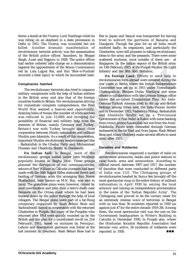threw a bomb at the Viceroy Lord Hardinge while he was riding on an elephant in a state procession in Delhi in 1912. The Viceroy was wounded but not killed. Another dramatic manifestation of revolutionary terrorist activity was the assassination of the British police officer, Saunders, by Bhagat Singh, Azad and Rajguru in 1928. The police officer had earlier ordered lathi-charge on a demonstration (against the appointment of the Simon Commission) led by Lala Lajpat Rai, and this 'Sher-e-Punhab' incurred a fatal injury to which he succumbed later.

#### **Conspiracies hatched**

had earlier ordered lattic-harge on a demonstration Singapore, by the lindin septerate (against the appointment of the Simon Commission) on 15th February 1915, of the P led by Lala Laipat Rai, and this "Sher-e-Punhab" Inf The revolutionary terrorists also tried to organize military conspiracies with the help of Indian soldiers in the British army and also that of the foreign countries hostile to Britain. For revolutionaries striving for immediate complete independence, the First World War seemed a heaven-sent opportunity, draining India of troops (the number of white soldiers was reduced to just 15,000) and bringing the possibility of financial and military help from the enemies of Britain, mainly Germany and Turkey. Britain's war with Turkey brought about close cooperation between Hindu nationalists and militant Muslim pan-Islamists. As a result of this cooperation, important Muslim revolutionary leaders emerged like - Barkatullah in the Ghadar Party and; Muhammad Hussain and Obaidulla Sindhi in Deobandh.

oordination and Jatin died a hero's<br>re on the Orissa coast where he<br>I down by the police through the he<br>rs. The Bengal plans were part of<br>racy organized by Rash Behari<br>dranth Sanyal in cooperation with th<br>ites in Punjab. B **On Indian Soil:** In Bengal, most of the revolutionary groups united under Jatin Mukherji popularly known as 'Bagha Jatin'. These groups planned the disruption of rail communications, seizure of Fort William in Calcutta (contacts had been made with the 16th Rajput Rifles stationed there) and landing of German arms (for arranging this, Naren Bhattacharji, later known as M.N. Roy, was sent to Java). The grandiose plans were, however, ruined by poor coordination and Jatin died a hero's death near Balasore on the Orissa coast where he had been tracked down by the police through the help of local villagers. The Bengal plans were part of a far-flung conspiracy organized by Rash Behari Bose and Sachindranth Sanyal in cooperation with the returned Ghadarites in Punjab. But many of the Punjabis who returned after 1914 were quickly rounded up by the British and the plan for a coordinated revolt on 21st February, 1915, based on mutinies by Ferozpur, Lahore and Rawalpindi garrisons was foiled at the last moment by treachery. Rash Behari Bose had to flee to Japan and Sanyal was transported for having tried to subvert the garrisons of Banaras and Danapore. Though the plan for an all India revolt misfired badly, its organizers, and particularly the Ghadarites, were still pioneers in taking revolutionary ideas to the army and the peasants. There were some scattered mutinies, most notable of them are - at Singapore, by the Indian sepoys of the British army on 15th February 1915, of the Punjab Muslim 5th Light Infantry and the 36th Sikh Battalion.

ange on a demonstration Singapore, by the Indian sepote the Simon Commission) on 15th February 1915, of the Pund this 'Sher-e-Punhab' Infantry and the 36th Sikh Batthich he succumbed later. **On Foreign Land:** Effore wore u **On Foreign Land:** Efforts to send help to revolutionaries form abroad were centered during the war years in Berlin where the Indian Independence Committee was set up in 1915 under Virendranath Chattopadyay, Bhupen Dutta, Hardayal and some others in collaboration with the German foreign office under the so-called Zimmerman Plan. An Indo-German-Turkish mission tried to stir up anti-British feelings among tribes near the Indo-Iranian border and in December 1915, Mahendra Pratap, Barkatullah and Abaidulla Sindhi set up a 'Provisional Government of Free India' at Kabul with some backing from crown prince Amanullah but not from the Amir, Habibulla. Funds were channeled through German embassies in the far East and from Japan. Rash Behari Bose and Abani Mukherji made several efforts to send arms after 1915.

#### **Dacoities and Robberies**

Lab Lagran Rai, and this 'Shee-e-Punhab' Infantry and the 38th Skethelation.<br>
Lab Is Lagran Rai signs that is stored to the control of the state of the state of the state of the state is the state in the state of the stat Revolutionaries organized a number of raids on government armouries, banks and police stations to raise funds, arms and ammunition. According to official record, between 1907 and 1917, the number of dacoities that were conducted in different parts of India was 1121. The Chittagong groups of revolutionaries headed by Surya Sen brought off the most spectacular coup in the entire history of militant nationalism in April 1930 by seizing the local armoury and issuing an independence proclamation in the name of the 'Indian Republic Army'. The Chittagong raid proved to be the curtain raiser for an extremely intense wave of terrorism in Bengal with no less than 56 incidents reported in 1930 (as against just 47 for the entire decade 1919-29). Among them, the most spectacular raid was the one on the Government headquarters in Writer's Building in Calcutta in December 1930. In Punjab also, where the Hindustan Socialist Republic Association had become very active, 26 incidents of robberies were reported in 1930.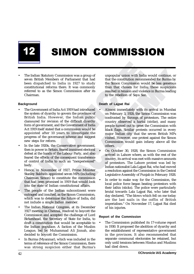# SIMON COMMISSION

• The Indian Statutory Commission was a group of seven British Members of Parliament that had been dispatched to India in 1927 to study constitutional reforms there. It was commonly referred to as the Simon Commission after its Chairman.

#### **Background**

- The Indian Statutory Commission was a group of unpopular union with In seven British Members of Parliament that had that the constitution reconomeration be the distant of the Minor Commission was the Simon Commission afte • The Government of India Act 1919 had introduced the system of dyarchy to govern the provinces of British India. However, the Indian public clamoured for revision of the difficult dyarchy form of government, and the Government of India Act 1919 itself stated that a commission would be appointed after 10 years to investigate the progress of the governance scheme and suggest new steps for reform.
	- In the late 1920s, the Conservative government, then in power in Britain, feared imminent electoral defeat at the hands of the Labour Party, and also feared the effects of the consequent transference of control of India to such an "inexperienced" body.
	- Hence, in November of 1927, Prime Minister Stanley Baldwin appointed seven MPs (including Chairman Simon) to constitute the commission that had been promised in 1919 that would look into the state of Indian constitutional affairs.
	- The people of the Indian subcontinent were outraged and insulted, as the Simon Commission, which was to determine the future of India, did not include a single Indian member.
	- e people of the Indian subconti<br>raged and insulted, as the Simon Co<br>ich was to determine the future of<br>include a single Indian member.<br>Post indian National Congress, at its<br>7 meeting in Chennai, resolved to lommission and The Indian National Congress, at its December 1927 meeting in Chennai, resolved to boycott the Commission and accepted the challenge of Lord Birkenhead, the Secretary of State for India, to draft a constitution that would be acceptable to the Indian populace. A faction of the Muslim League, led by Muhammad Ali Jinnah, also decided to boycott the Commission.
- In Burma (Myanmar), which was included in the terms of reference of the Simon Commission, there was strong suspicion either that Burma's

unpopular union with India would continue, or that the constitution recommended for Burma by the Simon Commission would be less generous than that chosen for India; these suspicions resulted in tension and violence in Burma leading to the rebellion of Saya San.

#### **Death of Lajpat Rai**

- mumission was a group of<br>
India in 1927 to study<br>
the Simon Commission with Ind<br>
that the constitution recom<br>
there. It was commonly<br>
than that chosen for Inc<br>
the Simon Commission with<br>
the Simon Commission with<br>
the Simo Indian Statetory Commission was a group of<br>
Inclusion with India would continue, or<br>
Inflaths Members of Partiament that had that the constructuon of the Same by<br>
Inflathe and the state of Burma change is till the constra • Almost immediately with its arrival in Mumbai on February 3, 1928, the Simon Commission was confronted by throngs of protestors. The entire country observed a hartal (strike), and many people turned out to greet the Commission with black flags. Similar protests occurred in every major Indian city that the seven British MPs visited. However, one protest against the Simon Commission would gain infamy above all the others.
	- On October 30, 1928, the Simon Commission arrived in Lahore where, as with the rest of the country, its arrival was met with massive amounts of protestors. The Lahore protest was led by Indian nationalist Lala Lajpat Rai, who had moved a resolution against the Commission in the Central Legislative Assembly of Punjab in February 1928.
	- In order to make way for the Commission, the local police force began beating protestors with their lathis (sticks). The police were particularly brutal towards Lala Lajpat Rai, who later that day declared, "The blows which fell on me today are the last nails in the coffin of British imperialism." On November 17, Lajpat Rai died of his injuries.

#### **Report of the Commission**

• The Commission published its 17-volume report in 1930. It proposed the abolition of dyarchy and the establishment of representative government in the provinces. It also recommended that separate communal electorates be retained, but only until tensions between Hindus and Muslims had died down.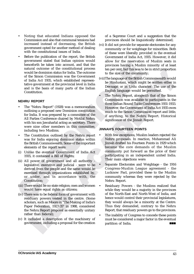- Noting that educated Indians opposed the Commission and also that communal tensions had increased instead of decreasing, the British government opted for another method of dealing with the constitutional issues of India.
- Exerce the form that the provinces having a Muslimatural order of the constructional process. The precision was the provinces having a Muslimatural order Simon Commission was the construction of the Simon Commission was th Before the publication of the report, the British government stated that Indian opinion would henceforth be taken into account, and that the natural outcome of the constitutional process would be dominion status for India. The outcome of the Simon Commission was the Government of India Act 1935, which established representative government at the provincial level in India and is the basis of many parts of the Indian Constitution.

#### **NEHRU REPORT**

- The "Nehru Report" (1928) was a memorandum outlining a proposed new Dominion constitution for India. It was prepared by a committee of the All Parties Conference chaired by Motilal Nehru with his son Jawaharlal acting as secretary. There were nine other members in this committee, including two Muslims.
- The Constitution outlined by the Nehru report was for India enjoying dominion status within the British Commonwealth. Some of the important elements of the report were:
- (i) Unlike the eventual Government of India Act 1935, it contained a Bill of Rights;
- (ii) All power of government and all authority legislative, executive and judicial - were to be derived from the people and the same would be exercised through organizations established by, or under, and in accordance with, the Constitution;
- (iii) There would be no state religion; men and women would have equal rights as citizens;
- uld have equal rights as citizens;<br>ere was to be federal form of governiduary powers vested in the cen<br>olars, such as Moore in "The Makin<br>per Federation, 1927-35" in 1988,<br>Nehru Report proposal as essentia<br>her than federal (iv) There was to be federal form of government with residuary powers vested in the centre. (Some scholars, such as Moore in "The Making of India's Paper Federation, 1927-35" in 1988, considered the Nehru Report proposal as essentially unitary rather than federal);
- (v) It included a description of the machinery of government, including a proposal for the creation

of a Supreme Court and a suggestion that the provinces should be linguistically determined;

- (vi) It did not provide for separate electorates for any community or for weightage for minorities. Both of these were liberally provided in the eventual Government of India Act, 1935. However, it did allow for the reservation of Muslim seats in provinces having a Muslim minority of at least ten per cent, but this was to be in strict proportion to the size of the community;
- (vii)The language of the British Commonwealth would be Hindustani, which might be written either in Devnagri or in Urdu character. The use of the English language would be permitted.
- The Median Scheme the Control of India Act Community and the Scheme the Scheme to the size of the communion was the Government<br>
in percent, but this was to the size of the communion was the Government<br>
in the provincial le The Nehru Report, alongwith that of the Simon Commission was available to participants in the three Indian Round Table Conferences 1931-1933. However, the Government of India Act 1935 owes much to the Simon Commission report and little, if anything, to the Nehru Report. Historical significance of the Jinnah Report.

#### **JINNAH'S FOURTEEN POINTS**

- With few exceptions, Muslim leaders rejected the Nehru proposals. In reaction, Mohammad Ali Jinnah drafted his Fourteen Points in 1929 which became the core demands of the Muslim community put forward as the price of their participating in an independent united India. Their main objections were:
- Separate Electorates and Weightage the 1916 Congress-Muslim League agreement - the Lucknow Pact, provided these to the Muslim community whereas they were rejected by the Nehru Report.
- The strain during one construction and process. The controlled particular process of the strain Community:<br>
The Strain Controlled to denote the strain controlled by the strain controlled by denote the strain controlled to • Residuary Powers - the Muslims realized that while they would be a majority in the provinces of the North-East and North-West of India, and hence would control their provincial legislatures, they would always be a minority at the Centre. Thus they demanded, contrary to the Nehru Report, that residuary powers go to the provinces.
	- The inability of Congress to concede these points must be considered a major factor in the eventual partition of India.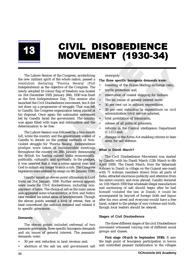### CIVIL DISOBEDIENCE **MOVEMENT (1930-34)**

The Lahore Session of the Congress, symbolizing monopoly.<br>
The Lahore Session of the Congress, symbolizing monopoly.<br>
the new militant spirit of the whole nation, passed a<br>
The three specific bourgeois<br>
redependence as th de When the Congress, symbolizing<br>
Poorna Swaraj' (Full<br>
tive of the Congress. The<br>
go of freedom was hosted<br>
tive of the Congress. The<br>
lowering of the Rupee-Ster<br>
lead of the Congress. The<br>
Lead of the Congress. The<br>
Lea The Lahore Session of the Congress, symbolizing the new militant spirit of the whole nation, passed a resolution declaring "Poorna Swaraj' (Full Independence) as the objective of the Congress. The newly adopted tri-colour flag of freedom was hosted on 31st December 1929. January 26th, 1930 was fixed as the first Independence Day. This session also launched the Civil Disobedience movement, but it did not draw up a programme of struggle. That was left to Gandhi, the Congress organization being placed at his disposal. Once again the nationalist movement led by Gandhi faced the government. The country was again filled with hope and exhilaration and the determination to be free.

The Lahore Session was followed by a two-month lull, while the country and the government waited of Gandhi to decide on the precise methods of Nonviolent struggle for 'Poorna Swaraj'. Independence pledges were taken at innumerable meetings throughout the country on 26th January denouncing the British for having ruined India economically, politically, culturally, and spiritually. In the pledges, it was asserted that it was a crime against man and God to submit any longer to such a rule. The Congress legislators were ordered to resign on 6th January 1930.

of taxes. The choice of salt as the r<br>peared some what eccentric at first,<br>called his initial sense of bewilderme<br>ven points seemed a kind of retre<br>ncretized the national demand and<br>ific grievances.<br>ds<br>e eleven points inc Gandhi issued an eleven-point ultimatum to Lord Irwin on 31st January, 1930. Further serious appeals were made for Civil disobedience, including nonpayment of taxes. The choice of salt as the main issues also appeared some what eccentric at first, and Nehru later recalled his initial sense of bewilderment. Though the eleven points seemed a kind of retreat, they at least concretized the national demand and related it to specific grievances.

#### **Demands**

The eleven points included redressal of two peasants grievances, three specific bourgeois demands and six issues of general interest. The peasants' demands were:

- 50 per cent reduction in land revenue and;
- abolition of the salt tax and government salt

#### monopoly.

#### **The three specific bourgeois demands were:**

- lowering of the Rupee-Sterling exchange ratio,
- textile protection and,
- reservation of coastal shipping for Indians.
- The six issues of general interest were:
- 50 per cent cut in military expenditure,
- 50 per cent reduction in expenditure on civil administration (civil service salaries),
- total prohibition of Intoxicants,
- release of all political prisoners,
- reforms in the Central intelligence Department (C.I.D.) and;
- changes in the Arms Act enabling citizens to bear arms for self-defence.

#### **What is Dandi March?**

Labure Session of the Congress, symbolizing monopoly.<br>
In the action of the viole by whole radio no passed a The three specific bourgeois demands were:<br>
mion declaring "Poorna Swaraj (vali) the three specific bourgeois ch The Civil Disobedience Movement was started by Gandhi with his Dandi March (12th March to 6th April 1930). The Dandi March, from the Sabarmati Ashram to Dandi (a village on the Gujarat sea-coast) with 71 Ashram members drawn from all parts of India, attracted enormous publicity and attention from the entire country and even abroad. Gandhi declared on 11th March 1930 that wholesale illegal manufacture and auctioning of salt should begin after he had himself violated the law at Dandi; it could be accompanied by boycott of foreign cloth and liquor after his own arrest and everyone would have a free hand, subject to the pledge of non-violence and truth, though local leaders should be obeyed.

#### **Stages of Civil Disobedience**

The three different stages of the civil Disobedience movement witnessed varying role of different social groups and classes.

**First stage (March to September 1930):** It saw the high point of bourgeois participation in towns and controlled peasant mobilization in the villages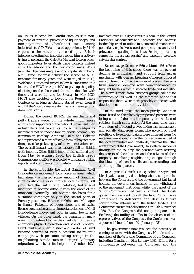on issues selected by Gandhi such as salt, nonpayment of revenue, picketing of liquor shops, and non-payments of Chaukidari tax. Among industrialists, G.D. Birla donated approximately 5 lakh rupees to the movement according to British Intelligence estimates. His letters reveal him as actively trying to persuade the Calcutta Marwari foreign piecegoods importers to establish trade contacts instead with Ahmedabad and Bombay cotton mills. While Jamnalal Bajaj was unique among capitalists in being a full time Congress activist (he served as AICC treasurer for many years and went to jail in 1930), Walchand Hirachand urged fellow-businessmen in a letter to the FICCI in April 1930 to give up the policy of sitting on the fence and throw in their lot with those that were fighting for Swaraj. In May 1930, FICCI also decided to boycott the Round Table Conference as long as Gandhi stayed away from it and till the Viceroy made a definite promise regarding dominion status.

goods importers to establish tracte contacts instead<br>only with Almedabad and Bombay cotton mills. While<br>second stage (October 193<br>lammalal Bajaj was unique among capitalists in being<br>the second stage (October 193<br>lammalal During the period 1921-22, the merchants and petty traders were, on the whole, much more enthusiastic supporters of the national movement than industrialists and capitalists. Collective pledges by merchants not to indent foreign goods became very common in Bombay, Amritsar, Delhi and Calcutta and represented a more effective form of boycott than the spectacular picketing by (often women) volunteers. The overall impact was a remarkable fall in British cloth imports. Other British imports also suffered and, from May to August 1930, the British Trade Commissioner's office was flooded with panic-stricken reports and complaints from 'white' firms.

nature became difficult with the oon. Naturally, salt became the left<br>ed campaign only in the coasta<br>y presidency, Balasore in Orissa and<br>gal. Picketing of liquor shops and<br>auctions became an important elem<br>dience movement In the countryside, the initial Gandhian Civil Disobedience movement took place in areas which had already witnessed some amount of Gandhian rural constructive work through local ashrams. Salt provided the initial vital catalyst, but illegal manufacture became difficult with the onset of the monsoon. Naturally, salt became the basis for a sustained campaign only in the coastal parts of Bombay presidency, Balasore in Orissa and Midnapur in Bengal. Picketing of liquor shops and of excise license auctions became an important element of Civil Disobedience movement both in small towns and villages. On the other hand, the peasants in many areas firmly refused to pay the chaukidari tax despite enormous physical correction and sale of property. Rural taluka of Khera district and Bardoli of Surat became centres of very successful no-revenue campaign with peasants taking refuge in the neighbouring Baroda state in a 'Hijrat' (voluntary migration) which, at its height on October 1930,

involved over 15,000 peasants in Khera. In the Central Provinces, Maharashtra and Karnataka, the Congress leadership tried to utilize in a controlled manner the potentially explosive issue of poor peasants and tribal grievances regarding forest laws. Setting up training camps for 'forest satyagrahis' and carefully selecting satyagraha centres.

**Second stage (October 1930 to March 1931):** From the beginning of this stage, there was an evident decline in enthusiasm and support from urban merchants with dealers breaking Congress-imposed seals on foreign cloth at a number of places. The gains from Swadeshi demand were counter-balanced by frequent hartals which dislocated trade and industry. The alarm-signals from business groups calling for compromise, as well as the ultimate nationalist response to them, were more probably connected with developments in the countryside.

sh trade contacts instead<br>
mbay cotton mills. While<br>
the beginning of this stage,<br>
urist (he served as AICC<br>
decline in enthusiasm and<br>
and went to jail in 1930),<br>
flellow-businessmen in a<br>
seals on foreign cloth at a numl Il Bajiji was uniqine among papitalishs in being dub beginning of this blage, there was an evident the most of the most of the papir stream of the most of the most of the most of the most of the most of the most of the mos In the rural areas, the more purely Gandhian forms based on the relatively propertied peasants were losing some of their earlier potency in the face of ruthless British suppression. At the same time, there were signs of a 'second wave', taking less manageable and socially dangerous forms, like no-rent or tribal rebellion. (No-rent campaigns were different from No revenue campaigns, since the former were aimed at the local zamindars and landlords, whereas the latter were aimed at the Government). In scattered incidents throughout the country, the peasants were resisting the arrests of their leaders and the seizure of their property, mobilizing neighbouring villages through the blowing of conch-shells and surrounding and attacking police parties.

In August 1930 itself, Sir Tej Bahadur Sapru and Mr. Jayakar attempted to bring about compromise between the Congress and the government but failed because the government insisted on the withdrawal of the movement first. Meanwhile, the report of the Simon Commission had been submitted. The British government decided to call the first Round Table Conference to deliberate and discuss future constitutional reforms with the Indian leaders. The Conference started its deliberations on 12th November 1930. But the Congress did not participate in it. Realizing the futility of talks in the absence of the representatives of the Congress, the Conference was adjourned 'sine die' on 19th January 1931.

The government now realized the necessity of coming to terms with the Congress. He released the members of the Working Committee of the Congress, including Gandhi on 26th January 1931. Efforts for a compromise between the Congress and the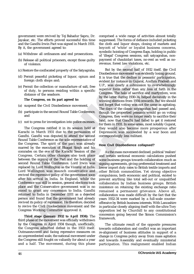government were revived by Tej Bahadur Sapru, Dr. Jayakar, etc. The efforts proved successful this time and the Gandhi-Irwin Pact was signed in March 1931. By it, the government agreed to:

- (a) Withdraw all ordinances and end prosecutions.
- (b) Release all political prisoners, except those guilty of violence.
- (c) Restore the confiscated property of the Satyagraha.
- (d) Permit peaceful picketing of liquor, opium and foreign cloth shops and;
- (e) Permit the collection or manufacture of salt, free of duty, to persons residing within a specific distance of the seashore.

#### **The Congress, on its part agreed to:**

- (a) suspend the Civil Disobedience movement,
- (b) participate in the second Round Table Conference, and
- (c) not to press for investigation into police excesses.

of violence.<br>
(c) Restore the confiscated property of the Satyagraha. Busobe<br>dience, forest law violations, Busobe (d) Permit peaceful picketing of liquor, optium and<br>
(d) Permit the confiscated property of the Satyagraha In the Conservative government<br>to grant any concession to Indi<br>d to India in December 1931 as<br>and found that the government h<br>its policy of repression. He therefor<br>ve the Civil Disobedience movemes<br>ss Working Committee app be the confiscated property of the Satyagraha. But be assumed half of 1982 itself, the Civil particle and its reached property of the satyagraha. Disobellence movement was eigeninator, the mean the declines in peakants pa The Congress ratified it in its session held at Karachi in March 1931 due to the persuasion of Gandhi. Gandhi was deputed to attend the second Round Table Conference as the sole representative of the Congress. The spirit of the pact was already marred by the execution of Bhagat Singh and his comrades on the eve of the Karachi Session of the Congress. Certain other changes also took place between the signing of the Pact and the holding of second Round Table Conference. Lord Irwin was replaced by Lord Wellington as the Viceroy of India. Lord Wellington was staunch conservative and revived the repressive policy of the government soon after his arrival in India. In England, while the Conference was still in session, general elections took place and the Conservative government was in no mood to grant any concession to India. Gandhi returned to India in December 1931 as a dejected person and found that the government had already revived its policy of repression. He therefore, decided to revive the Civil Disobedience movement and the Congress Working Committee approved it.

**Third stage (January 1932 to April 1934):** The third phase of the movement was officially withdrawn by the Congress in April 1934 though, unofficially, the Congress admitted defeat in the 1933 itself. Outmaneuvered and facing repressive measures on an unprecedented scale, the national movement under the Congress still fought on valiantly for about a year and a half. The movement, during this phase

comprised a wide range of activities almost totally suppressed. The forms of defiance included picketing the cloth and liquor shops, closing of markets and boycott of 'white' or loyalist business concerns, symbolic hoisting of Congress flags, holding in public of 'illegal' Congress sessions, salt satyagrahas, nonpayment of chaukidari taxes, no-rent as well as norevenue, forest law violations, etc.

revenue, forest law violations,<br>roperty of the Satyagraha. But by the second half of<br>ng of liquor, opium and It is true that the decline in p<br>evident for instance in Gujarat,<br>it,<br>manufacture of salt, free U.P., was clearly But by the second half of 1932 itself, the Civil Disobedience movement was evidently losing ground. It is true that the decline in peasants' participation, evident for instance in Gujarat, Andhra Pradesh and U.P., was clearly a submission to overwhelmingly superior force rather than any loss of faith in the Congress. The halo of sacrifice and martyrdom, won by the latter during 1930-34, helped decisively in the winning elections from 1934 onwards. But we should not forget that voting was not the same as agitating. The days of the classic satyagrahas had passed and, though the propertied peasants would go on voting Congress, they were no longer ready to sacrifice their land, now that Gandhi had failed to get it restored for them in 1931. In some areas, most notably Gujarat, they would also become more prosperous after Depression was succeeded by a war boon and correspondingly less militant.

#### **How Civil Disobedience collapsed?**

As the mass movement declined, political 'realism' and certain sectional economic calculations pushed some business groups towards collaboration much as signing agreements, giving preferential treatment and lower import duty rates to British textile imports and other British commodities. Yet strong objective compulsions, both economic and political, existed to prevent anything like total sell-out or unqualified collaboration by Indian business groups. British insistence on retaining the existing exchange ratio remained a permanent grievance. Above all, collaboration was made difficult by the fact that the years 1932-34 were marked by a full-scale counteroffensive by British business interests. With Lancashire in particular closely aligning itself with the ultra-Tory opposition led by Churchill to any constitutional concession going beyond the Simon Commission's framework.

The ultimate result of the opposite pressures towards collaboration and conflict was an important re-alignment of business attitudes in support of a change in Congress policy away from mass agitation and towards Assembly and eventually ministerial participation. This realignment enabled Indian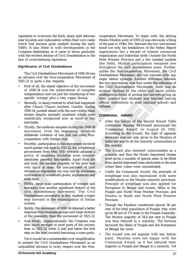capitalists to overcome the fairly sharp split between near loyalists and nationalists within their own ranks which had become quite marked during the early 1930's. It also fitted in with developments in the Congress leaderships as it came to terms gradually with the evident decline of Civil Disobedience in the face of overwhelming repression.

#### **Significance of Civil Disobedience**

The Civil Disobedience Movement of 1930-34 was an advance over the Non-cooperation Movement of 1921-22 in quite a few respects.

- First of all, the stated objective of the movement of 1930-34 was the achievement of complete independence and not just the remedying of two specific 'wrongs' plus a very vague Swaraj.
- Secondly, in sharp contrast to what had happened after Chauri Chaura incident, Gandhi, during 1930-34, pushed ahead with the non-violent main stream despite sporadic incidents which were realistically recognized now as more or less inevitable.
- Thirdly, the methods adopted during the 1930-34 movement, from the beginning, involved deliberate violation of law and not mere Noncooperation with foreign rule.
- **Significance of Civil Disobedience**<br>
The Delhi. Muslim particit<br>
The Civil Disobedience<br>
The Civil Disobedience Movement of 1930-34 was unlike the Non-cooperation<br>
1921-22 in quite a few respects.<br>
1921-22 in quite a few • Fourthly, participation in this movement involved much greater risk than in 1921-22, for, a frightened government from May 1930 onwards adopted a policy of senseless brutality even towards absolutely peaceful Satyagrahis, Apart from life and limb, the meagre property of the poor was very much at stake, for non-payment of land revenue or chaukidari tax was met by wholesale confiscation of household goods, implements and even land.
	- magers was another significant tea<br>il disobedience movement.<br>Tobedience movement, in fact, mark<br>p forward in the emancipation<br>men.<br>thly, the movement of 1930-34 obtain<br>ponse from business groups and lar<br>the peasantry than Fifthly, large scale participation of women and teenagers was another significant feature of the civil disobedience movement. The Civil Disobedience movement, in fact, marked a major step forward in the emancipation of Indian women.
	- Sixthly, the movement of 1930-34 obtained a better response from business groups and large sections of the peasantry than the movement of 1921-22.
	- And finally, organizationally the Congress was now much stronger in most parts of the country than in 1921-22 when it had just taken the first step on the road towards becoming a mass party.

Yet it would be a considerable over simplification to present the Civil Disobedience Movement as an unqualified advance in every respect over the Non-

**Solution** II: the Delhi, Muslim particip<br>
throughout the civil disobed<br>
Movement of 1930-34 was<br>
unlike the Non-cooperation Movement of<br>
major labour upsurge. Anoth<br>
the two movements was that<br>
bects.<br>
bective of the move Civil Disobedience Movement of 1930-34 was unlike the Non-congeration Movement did not coincide with any in quite a few orespects.<br>
In quite a few coperation Movement of map about upware over the Non-congenum Movement did cooperation Movement. To begin with, the stirring Hindu-Muslim unity of 1919-22 was obviously a thing of the past in 1930s. For, between the two movements stood not only the breakdown of the Nehru Report negotiations but a decade of intense communal organization and fratricidal strife. Outside the North West Frontier Province and a few isolated pockets like Delhi, Muslim participation remained low throughout the civil disobedience years. Further, unlike the Non-cooperation Movement, the Civil Disobedience Movement did not coincide with any major labour upsurge. Another difference between the two movements was that under the influence of the Civil Disobedience Movement, there was an evident decline in the older and more purely intelligentsia forms of protest like lawyers giving up their practice and students and teachers leaving official institutions to start national schools and colleges.

#### **COMMUNAL AWARD**

- After the failure of the Second Round Table conference, Ramsay McDonald announced the 'Communal Award' on August 16, 1932. According to the Award, the right of separate electorate was not only given to the Muslims of India but also to all the minority communities in the country.
- The Award also declared untouchables as a minority and thus the Hindu depressed classes were given a number of special seats, to be filled from special depressed class electorates in the area where their voters were concentrated.
- Under the Communal Award, the principle of weightage was also maintained with some modifications in the Muslim minority provinces. Principle of weightage was also applied for Europeans in Bengal and Assam, Sikhs in the Punjab and North West Frontier Province, and Hindus in Sindh and North West Frontier Province.
- Though the Muslims constituted almost 56 per cent of the total population of Punjab, they were given 86 out of 175 seats in the Punjab Assembly. The Muslim majority of 54.8 per cent in Punjab was thus reduced to a minority. The formula favoured the Sikhs of Punjab and the Europeans of Bengal the most.
- The Award was not popular with any Indian party. Muslims were not happy with the Communal Award, as it has reduced their majority in Punjab and Bengal to a minority. Yet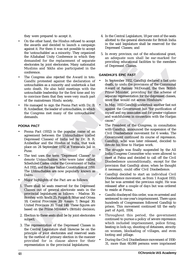they were prepared to accept it.

- On the other hand, the Hindus refused to accept the awards and decided to launch a campaign against it. For them it was not possible to accept the 'untouchables' as a minority. They organized the Allahabad Unity Conference in which they demanded for the replacement of separate electorates by joint electorates. Many nationalist Muslims and Sikhs also participated in the conference.
- electorates by joint electorates. Many nationalist of Depressed Classes Musilmus and Sikins also participated in the congress also represent to the Associated the Avard of Member 1932, Candh untouchables as a minority and The Congress also rejected the Award in toto. Gandhi protested against the declaration of untouchables as a minority and undertook a fast unto death. He also held meetings with the untouchable leadership for the first time and try to convince them that they were very much part of the mainstream Hindu society.
	- He managed to sign the Poona Pact with Dr. B. R. Ambedker, the leader of untouchables, in which the Congress met many of the untouchables' demands.

#### **POONA PACT**

- Poona Pact (1932) is the popular name of an agreement between the Untouchables (called Depressed Classes) of India led by Dr. B. R. Ambedkar and the Hindus of India, that took place on 24 September 1932 at Yerawada Jail in Pune.
- The text uses the term "Depressed Classes" to denote Untouchables who were later called Scheduled Castes under the Government of India Act 1935, and the later Indian Constitution of 1950. The Untouchables are now popularly known as Dalits.
- Major highlights of the Pact are as follows:
- sses out of general electorate se<br>
vincial legislatures as follows: N<br>
mbay with Sindh 25; Punjab 8; Bihar<br>
Central Provinces 20; Assam 7;<br>
ited Provinces 20. Total 148. These<br>
ed on the Prime Minister's (British<br>
ction 1. There shall be seats reserved for the Depressed Classes out of general electorate seats in the provincial legislatures as follows: - Madras 30; Bombay with Sindh 25; Punjab 8; Bihar and Orissa 18; Central Provinces 20; Assam 7; Bengal 30; United Provinces 20. Total 148. These figures are based on the Prime Minister's (British) decision;
- 2. Election to these seats shall be by joint electorates subject;
- 3. The representation of the Depressed Classes in the Central Legislature shall likewise be on the principle of joint electorates and reserved seats by the method of primary election in the manner provided for in clause above for their representation in the provincial legislatures;
- 4. In the Central Legislature, 18 per cent of the seats allotted to the general electorate for British India in the said legislature shall be reserved for the Depressed Classes; and
- 5. In every province, out of the educational grant, an adequate sum shall be ear-marked for providing educational facilities to the members of Depressed Classes.

#### **GANDHIJI'S EPIC FAST**

- In September 1932, Gandhiji declared a fast unto death, to undo the provisions of the Communal Award of Ramsay McDonald, the then British Prime Minister, providing for the scheme of separate representation for the depressed classes, since that would cut across Hinduism.
- In May, 1933 Gandhiji undertook another fast not against the Government but "for purification of myself and my associates and for greater vigilance and watchfulness in connection with the Harijan cause."
- Corresponse to the Award in the sected the Award in the sected the Award in the sected the Award in toto.<br>
SANDHIJI'S EPIC FAST<br>
SANDHIJI'S EPIC FAST<br>
SANDHIJI'S EPIC FAST<br>
SANDHIJI'S EPIC FAST<br>
SANDHIJI'S EPIC FAST<br>
SANDH Similar and statistics are interestingent in the proposition of the congress and between a statistical conduction of the communical probability the statistics is a multiply and undertook a fast interest and the communicati The President of the Congress, in consultation with Gandhiji, announced the suspension of the Civil Disobedience movement for 6 weeks. The Government continued its course of repression. Gandhiji, who was later released, decided to devote his time to Harijan work.
	- The struggle was finally suspended by the All India Congress Committee who were allowed to meet at Patna and decided to call off the Civil Disobedience unconditionally, except for the provision that Gandhiji alone, when he thought it necessary, could offer Civil Disobedience.
	- Gandhiji decided to start an individual Civil Disobedience movement, as from 1 August 1933, but he was arrested the previous night. He was released after a couple of days but was ordered to reside at Poona.
	- Gandhi disobeyed this order, was re-arrested and sentenced to one year's imprisonment. There upon hundreds of Congressmen followed Gandhiji to prison. This movement continued till the early part of April, 1934.
	- Throughout this period, the government continued to pursue a policy of severe repression which included imprisonment, police firing, beating in lock-up, shooting of detainees, atrocity on women, blockading of villages, and even looting and pillage.
	- During the Civil Disobedience movement of 1930- 31, more than 60,000 persons were imprisoned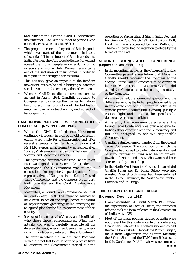and during the Second Civil Disobedience movement of 1932-34 the number of persons who courted arrest were, about 66,000.

- The programme or the boycott of British goods which was part of the movements led to a substantial fall in the import of British goods into India. Further, the Civil Disobedience Movement roused the Indian people in general, including villagers and women folk. Women rarely came out of the seclusion of their homes in order to take part in the struggle for freedom.
- This not only gave an impetus to the freedom movement, but also helped in bringing out another social revolution: the emancipation of women.
- When the Civil Disobedience movement came to an end in April, 1934, Gandhiji appealed to Congressmen to devote themselves to nationbuilding activities: promotion of Hindu-Muslim unity, removal of untouchability, and spread of hand-spinning.

#### **GANDHI-IRWIN PACT AND FIRST ROUND TABLE CONFERENCE (Nov. 1930-Jan. 1931)**

- While the Civil Disobedience Movement continued vigorously in spite of untold repression, efforts were made for a compromise and after several attempts of Sir Tej Bahadur Sapru and Mr. M.R. Jayakar, an agreement was reached after 15 clays' strenuous discussions between the Viceroy and Mahatma Gandhi.
- roused the Indian people in general, including (September-December 1931)<br>villages and women folk. Women rarely came<br>out of the seculation of their homes in order to the meantime, however,<br>the part in the struggle for freed species and women loads vonce in the meantime. However, the Congress Working end in the substitute of the meaning theorem. The meaning the meaning the mean in the substitute means in order to the conflitt should represent • This agreement, better known as the Gandhi-Irwin Pact, was signed on 5 March, 1931. Under the agreement, the Government was to make concession take steps for the participation of the representatives of Congress in the Second Round Table Conference, and the Congress on its part, had to withdraw the Civil Disobedience Movement.
	- wement.<br>
	anwhile, a Round Table Conference.<br>
	London early 1931. The intention<br>
	ve been, to set off the stage, before<br>
	'representative gathering" of Indian<br>
	agreed plan for the future governm<br>
	untry.<br>
	was not Indians, but t • Meanwhile, a Round Table Conference had met in London early 1931. The intention seemed to have been, to set off the stage, before the world of "representative gathering" of Indians trying for an agreed plan for the future government of their country.
	- It was not Indians, but the Viceroy and his officials who chose these representatives. What they actually did was to carefully assemble all the diverse elements, every creed, every party, every racial minority, every interest in this subcontinent.
	- The spirit in which the Gandhi-Irwin Pact was signed did not last long. In spite of protests from all quarters, the Government carried out the

execution of Sardar Bhagat Singh, Sukh Dev and Raj Guru on 23rd March 1931. On 18 April 1931, Lord Irwin was succeeded by Lord Willington. The new Viceroy had no intention to abide by the terms of the Pact.

#### **SECOND ROUND-TABLE CONFERENCE (September-December 1931)**

- From the meaning of the main of the congress and agree of the congress of the conditional of the main of the main of the main of the condition of the Congress, the main of Hindu-Muslim (4.6 and this and the conference as t In the meantime, however, the Congress Working Committee passed a resolution that Mahatma Gandhi should represent the Congress at the Second Round Table Conference to be convened later in1931 in London. Mahatma Gandhi did attend the Conference as the sole representative of the Congress.
	- As was expected, the communal question and the differences among the Indian people loomed large in this conference and all efforts to solve it by consent proved unsuccessful. Gandhiji put up a valiant fight and some of the speeches he delivered were most striking.
	- Apparently the Government's scheme at the Round Table Conference was only a scheme for Indians sharing power with the bureaucracy and not one designed to achieve responsible Government.
	- Gandhiji returned empty-handed from the Round Table Conference. The condition on which the Congress had agreed to participate, abandonment of stark repression, was also being broken. Jawaharlal Nehru and T.A.K. Sherwani had been arrested and put in jail again.
	- In the North West Frontier Province Khan Abdul Ghaffar Khan and Dr. Khan Saheb were also arrested. Special ordinances had been enforced in the United Provinces, the North West Frontier Province and in Bengal.

#### **THIRD ROUND TABLE CONFERENCE**

#### **(November-December 1932)**

- From September 1931 until March 1933, under the supervision of Samuel Hoare, the proposed reforms took the form reflected in the Government of India Act, 1935.
- Most of the main political figures of India were not present for this conference. In this conference, Chaudhary Rahmat Ali, a college student, coined the name PAKISTAN. He took the P from Punjab, the A from Afghanistan, the KI from Kashmir, the S from Sindh and the TAN from Balochistan. In this Conference M.A.Jinnah was not present.

. . .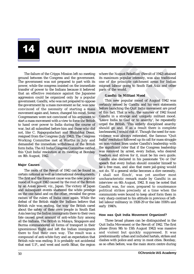# QUIT INDIA MOVEMENT

The failure of the Cripps Mission left no meeting where the 'August Rebellion' of ground between the Congess and the government is maximum popular initerative The government was not prepared to part with its one of the pr be Mission left no meeting where the 'August Rebellion' (R<br>ress and the government. its maximum popular intensity<br>prepared to part with its one of the principle catchm<br>missited on the immediate migrant labour going to Sout The failure of the Cripps Mission left no meeting ground between the Congress and the government. The government was not prepared to part with its power, while the congress insisted on the immediate transfer of power to the Indians because it believed that an effective resistance against the Japanese aggression could be organized only by a popular government. Gandhi, who was not prepared to oppose the government by a mass movement so far, was now convinced of the necessity of starting a mass movement again and, hence, changed his mind. Some Congressmen were not convinced of his argument to start a mass movement with a view to force the British to hand over power to India during the course of war, but all submitted before him and those who did not, like C. Rajagopalachari and Bhulabhai Desai, resigned from the Congress (July 1942). The Congress Working Committee met at Wartha in July and demanded the immediate withdrawal of the British form India. The All India Congress Committee ratified this 'Quit India' resolution at its meeting at Bombay on 8th August, 1942.

#### **Major Causes**

Example 11 Force, they depend the Victoria<br>
Seequent events shattered the while<br>
of the rulers of India once again.<br>
of the British made the Indians b<br>
rule was ending, the way the Br<br>
he safety of their own people in i<br>
w The roots of the Revolt of 1942 can be found in certain national as well as international developments. The first and the foremost cause was the new popular mood of August 1942 caused by the rout of the British by an Asian power, viz., Japan. The victory of Japan and subsequent events shattered the white prestige on the one hand and on the other, revealed the gross racism of the rulers of India once again. While the defeat of the British made the Indians believe that British rule was ending, the way the British cared about the safety of their own people in South East Asia leaving the Indian immigrants there to their own fate caused great amount of anti-white fury among all the Indians. The British in Malaya, Singapore and Burma commandered all forms of transport in their ignominious flight and left the Indian immigrants there to find their own way. The result was a compound of anti-white fury and an expectation that British rule was ending. It is probably not accidental that east U.P., and west and north Bihar, the region

where the 'August Rebellion' (Revolt of 1942) attained its maximum popular intensity, was also traditional one of the principle catchment areas for Indian migrant labour going to South East Asia and other parts of the world.

#### **Gandhi: In Militant Mood**

failure of the Cripps Mission left no meeting where the 'August Rebellion' (Revolt of 1942) attained between the Orangess and the government its maximum popular intensify, was also tredditional while the congress inside t This new popular mood of August 1942 was certainly sensed by Gandhi and his own statements before launching the Quit India movement are proof of this fact. That is why, the summer of 1942 found Gandhi in a strange and uniquely militant mood. 'Leave India to God or to anarchy', he repeatedly urged the British. 'This orderly disciplined anarchy should go and, if as a result there is complete lawlessness, I would risk it'. Though the need for nonviolence was always reiterated, the famous "Quit India" resolution followed up its call for mass struggle on non-violent lines under Gandhi's leadership with the significant rider that if the Congress leadership was removed by arrest, every Indian, who desired freedom and strives for it, must be his own guide. Gandhi also declared in his passionate 'Do or Die' speech that every Indian should consider himself to be a free man, and also that mere jail-going would not do. 'If a general strike becomes a dire necessity, I shall not flinch', was yet another most uncharacteristic remark made by Gandhi in an interview on 6th August, 1942. It may be noted that Gandhi was, for once, prepared to countenance political strikes precisely at a time when the communists were bound to keep aloof form them in very sharp contrast to his attitude in previous of leftled labour militancy in 1928-29 or the late 1930's and early 1940's.

#### **How was Quit India Movement Organized?**

Three broad phases can be distinguished in the Quit India Movement or the Revolt of 1942. The first phase (from 9th to 15th August 1942) was massive and violent but quickly suppressed. It was predominantly urban and included hartals, strikes and clashes with police and army in most cities. Bombay, as so often before, was the main storm centre during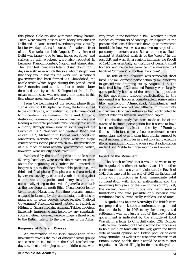this phase. Calcutta also witnessed many hartals. There were violent dashes with heavy casualties in Delhi and, in Patna, control over the city was virtually lost for two days after a famous confrontation in front of the Secretariat on 11th August. The violence of Delhi was largely due to 'mill hands on strike', and strikes by mill-workers were also reported in Lucknow, Kanpur, Bombay, Nagpur and Ahmedabad. The Tata Steel Plant was totally closed down for 13 days in a strike in which the sole labour slogan was that they would not resume work until a national government had been formed. At Ahmedabad, the textile strike which began during this period lasted for 3 months, and a nationalist chronicle later described the city as the "Stalingrad of India". The urban middle class was extremely prominent in this first phase spearheaded by students.

Lucknow, Kampur Bombay, Nagpur and Ahmedabad. of 1942 was essentially an upgs in a strike in which the sole labour slogan was habitual 'criminals' or rootless that they would not resume work until a national correlation a Nagpur and Ahmedabad. of 1942 was essentially an ups<br>
botally closed down for 13 holders, and hence far from<br>
ne sole labour slogan was habitual 'criminals' or rootless<br>
me work until a national line line of the labourers<br> From the beginning of the second phase (from 15th August to 30th September 1942), the focus shifted to the countryside, with militant students fanning out form centers like Banaras, Patna and Cuttack, destroying communications on a massive scale and leading a veritable peasants' rebellion against white authority strongly reminiscent in some ways of the Revolt of 1857. Northern and western Bihar and eastern U.P., Midnapur in Bengal, and pockets in Maharastra, Karnataka and Orissa were the major centers of this second phase which saw the installation of a number of local-national governments, which, however, were usually short-lived.

one along the north Bihar-Nepal bo<br>akash Narayana. Part-time peasa<br>d in farming by day and sabotage a<br>nd, in some pockets, secret paralle<br>ment' functioned most notably at<br>uur, Satara in Maharastra and Talche<br>ely impressive a strike in which the sole labor slogan was hubitual criminals or ropeles thoulgant; a strike in which the sole labor slogan was bubitual criminal criminal criminal criminal criminal criminal criminal criminal criminal cri Weakened by the brutal repression (no less than 57 army battalions were used), the movement, from about the beginning of October 1942, entered its longest but also the least formidable phase, i.e., the third and final phase. This phase was characterized by terrorist activity by educated youth directed against communications, police and army installations occasionally rising to the level of guerrilla war, such as the one along the north Bihar-Nepal border led by Jayaprakash Narayana. Part-time peasant squads engaged in farming by day and sabotage activities by night and, in some pockets, secret parallel 'National Government' functioned most notably at Tamluk in Midnapur, Satara in Maharastra and Talcher in Orissa. Extremely impressive and heroic by any standards, such activities, however, were no longer a threat either to the British rule or to the war plans of the Allies.

#### **Response of Different Classes**

An examination of the social composition of the movement reveals the role of different social groups and classes in it. Unlike in the Civil Disobedience days, students, belonging to the middle class, were very much in the forefront in 1942, whether in urban clashes as organizers of sabotage, or inspirers of the peasant rebellions. What made the August movements formidable however, was a massive upsurge of the peasantry in certain areas. But as the one available attempt at statistical analysis of the "crowd" in the east U.P. and west Bihar regions indicates, the Revolt of 1942 was essentially an upsurge of peasant, small holders, and hence far from being a movement of habitual 'criminals' or rootless 'hooligans'.

The role of the labourers was somewhat short lived. The mill element (participation by mill workers) in general was dropping out by August 14-15. The industrial belts of Calcutta and Bombay were largely quiet, probably because of the communist opposition to the movement. Labour participation in the movement was, however, considerable in some centers like Jamshedpur, Ahmedabad, Ahmadnagar and Poona, where there had been little communist activity and where Gandhian influences had contributed to cordial relations between labour and capital.

No detailed study has been made so far of the extent of business participation but it seems to have been considerable at least in the city of Bombay. Stories are, in fact, current about considerable covert upper-class and even Indian high official support to secret nationalist activities in to set up a fairly effective illegal apparatus, including even a secret radio station under Usha Mehta for three months in Bombay.

#### **Impact of the Movement**

The British realized that it would be wiser to try for negotiated settlement rather than risk another confrontation as massive and violent as the Revolt of 1942. It is true that by the end of 1942 the British had come out victorious in their immediate total confrontation with Indian nationalism and the remaining two years of the war in the country. Yet, the victory was ambiguous and with several limitations and was possible only because war conditions had allowed really ruthless use of force.

**Negotiations Became Necessity:** The British were not prepared to risk such a confrontation again and that the decision in 1945 to try for a negotiated settlement was not just a gift of the new labour government is indicated by the attitude of Lord Wavell. In a letter to Churchill dated 24th October 1944, Wavell pointed out that it would be impossible to hold India by force after the war, given the likely state of world opinion and British popular or even army attitudes, as well as the economic exhaustion of Britain. Hence, he felt, that it would be wise to start negotiations. Churchill's pig-headedness delayed the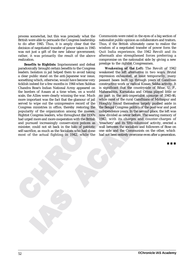process somewhat, but this was precisely what the British were able to persuade the Congress leadership to do after 1945. Thus, it is amply clear that the decision of negotiated transfer of power taken in 1945 was not just a gift of the new labour government; rather, it was primarily the result of the above realization.

Benefits to Rightists: Imprisonment and defeat Prestige to the right<br>ist Congreadorstally brought certain benefits to the Congress and Weakening of the Left:<br>Leaders. Isolation in jail helped them to avoid calcular weakene **Benefits to Rightists:** Imprisonment and defeat paradoxically brought certain benefits to the Congress leaders. Isolation in jail helped them to avoid taking a clear public stand on the anti-Japanese war issue, something which, otherwise, would have become very ticklish indeed for a few months in 1944 when Subhas Chandra Bose's Indian National Army appeared on the borders of Assam at a time when, on a world scale, the Allies were clearly winning the war. Much more important was the fact that the glamour of jail served to wipe out the unimpressive record of the Congress ministries in office, thereby restoring the popularity of the organization among the masses. Rightist Congress leaders, who throughout the 1930's had urged more and more cooperation with the British and pursued increasingly conservative polices as minister, could not sit back in the halo of patriotic self-sacrifice, as much as the Socialists who had done most of the actual fighting in 1942, while the

IAS

Communists were rated in the eyes of a big section of nationalist public opinion as collaborators and traitors. Thus, if the British ultimately came to realize the wisdom of a negotiated transfer of power form the Quit India experience, the 1942 Revolt and its aftermath also strengthened forces preferring a compromise on the nationalist side by giving a new prestige to the rightist Congressmen.

Imprisonment and defeat prestige to the rightist Congres<br>in benefits to the Congress Weakening of the Left:<br>ped them to avoid taking weakened the left alternative<br>anti-Japanese war issue, repression exhausted, at leas<br>, wo Academy of the control of the second state in the second of the second state in the second state in the second state in the second state in the second state in the second state in the second state in the second state in th **Weakening of the Left:** The Revolt of 1942 weakened the left alternative in two ways. Brutal repression exhausted, at least temporarily, many peasant bases built up through years of Gandhian constructive work or radical Kissan Sabha activity. It is significant that the countryside of Bihar, U. P., Maharashtra, Karnataka and Orissa played little or no part in the anti-imperialist upsurge of 1945-46, while most of the rural Gandhians of Midnapur and Hooghly found themselves largely pushed aside in the Bengal Congress politics of the post-war and post independence years. In the second place, the left was now divided as never before. The searing memory of 1942, with its charges and counter-charges of 'treachery' and its 'fifth-columnist' activity, erected a wall between the socialists and followers of Bose on one side and the Communists on the other, which had not been entirely overcome even after a generation.

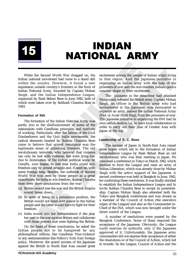

# INDIAN **NATIONAL ARMY**

While the Second World War dragged on, the Indian national movement had come to a stand still within the country. However, it found a new expression outside country's frontiers in the form of Indian National Army, founded by Captain Mohan Singh, and the Indian Independence League, organized by Rash Behari Bose in June 1942, both of which were taken over by Subhash Chandra Bose in 1943.

#### **Formation of INA**

While the Second World War dragged on, the excitement among the people<br>
Indian national movement had come to a stand still in that region. And the *l*s<br>
within the country However, it found a new organizing an Indian army rld War dragged on, the excitement among the people<br>
had come to a stand still in that region. And the Ja<br>
wever, it found a new organizing an Indian army<br>
's frontiers in the form of prisoners-of-war and the non-<br>
indepen The formation of the Indian National Army was partly due to the disillusionment of some of the nationalists with Gandhian principles and methods of working. Particularly after the failure of the Civil Disobedience and the Quit India movements, the radical elements headed by Subhas Chandra Bose came to believe that armed resistance was the legitimate mean of achieving freedom. The old revolutionary terrorists, who believed that violence can only be met with violence, but were lying low due to domination of the Indian political scene by Gandhi, now began to feel that India could win freedom only by armed struggle and, if need be, with some foreign help. Besides, the outbreak of Second World War was seen by these people as a great opportunity for India to win freedom. Subhas Chandra Bose drew three conclusions from the war:

- (a) Britain would lose the war and the British Empire would break down.
- tain would lose the war and the Brit<br>uld break down.<br>spite of being in a precarious po<br>tish would not hand over power to<br>ople and the latter would have to fig<br>edom.<br>lia would win her Independence<br>part in the war against Br (b) In spite of being in a precarious position, the British would not hand over power to the Indian people and the latter would have to fight for their freedom.
- (c) India would win her Independence if she play her part in the war against Britain and collaborate with those powers that were fighting the British.

On the basis of these conclusions, he asked the Indian people not to be hampered by any philosophical notions, like Gandhian 'Non-violence' or any sentimentalism like Nehru's 'Anti-Axis' foreign policy. Moreover, the grand success of the Japanese against the British in South East Asia caused great

The Japanese in the meantime had attacked Malaya and defeated the British army. Captain Mohan Singh, an officer in the British army who had surrendered to the Japanese, was persuaded to organize an army, named the Indian National Army

concrete shape to their excitement.

(INA or Azad Hind Fauj), from the prisoners-of-war. This Japanese initiative in organizing the INA had its own selfish motive, i.e., to have local collaborators in order to carry out their plan of Greater Asia with Japan at the top.

excitement among the people of Indian origin living in that region. And the Japanese initiative in organizing an Indian army with the help of the prisoners-of-war and the non-resident Indians gave a

#### **Leadership of S. C. Bose**

lle the Second World War dragged on, the excitement among the people of Indian origin living<br>
international movement had come to a stard still in that region. And the lapanese initiative in<br>
into the country. However, ii The success of Japan in South-East Asia raised great hopes which led to the formation of Indian Independence League by Rash Behari Bose an old revolutionary who was then residing in Japan. He convened a conference in Tokyo in March, 1942, which decided to form the League and raise an army of Indian Liberation, which was already done by Mohan Singh with the active support of the Japanese. A second conference was held at Bangkok in June, 1942, for confirming these resolutions. It was finally decided to establish the Indian Independence League and to invite Subhas Chandra Bose to accept its presidentship. Captain Mohan Singh also attended both the Tokyo and Bangkok conferences and was chosen as a member of the Council of Action (the executive organ of the League) and also as the Commander-in-Chief of the INA, which was now brought under the direct control of the League.

A number of resolutions were passed by the Bangkok Conference. Some of them required the acceptance of the Japanese. Obviously, the League could exercise its authority only if the Japanese approved of it. Unfortunately, the Japanese army commanders did not express their acceptance of either the resolutions or of the Council of Action, which led to trouble. So the League, Council of Action and the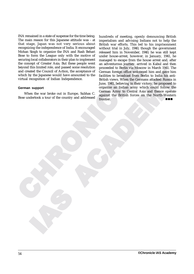INA remained in a state of suspense for the time being. The main reason for this Japanese attitude was - at that stage, Japan was not very serious about recognizing the independence of India. It encouraged Mohan Singh to organize the INA and Rash Behari Bose to form the League only with the motive of securing local collaborators in their plan to implement the concept of Greater Asia. But these people went beyond this limited role, and passed some resolution and created the Council of Action, the acceptance of which by the Japanese would have amounted to the virtual recognition of Indian Independence.

#### **German support**

When the war broke out in Europe, Subhas C. Bose undertook a tour of the country and addressed

IAS

the concept of Greater Asia. But these people went an adventurous journey, arrive to beyond this limited role, and passed some resolution proceeded to Berlin via Moscoulti and created the Council of Action, the acceptance a. But these people went an adventurous journey, arrived passed some resolution the acceptance of German foreign office welcom<br>Action, the acceptance of German foreign office welcom budded have amounted to the facilities t and the Council of Action, the acceptance of Communications of Northern structure of Northern Street, the present control and the second have amounted to the Gentillis to broadcast from Beltin to India Ba and the recogniti hundreds of meeting, openly denouncing British imperialism and advising Indians not to help the British war efforts. This led to his imprisonment without trial in July, 1940, though the government released him in November, 1940, he was still kept under house-arrest, however, in January, 1941, he managed to escape from the house arrest and, after an adventurous journey, arrived in Kabul and then proceeded to Berlin via Moscow in March 1941. The German foreign office welcomed him and gave him facilities to broadcast from Berlin to India his anti-British views. When the Germans attacked Russia in June, 1941, believing in their victory, he proposed to organize an Indian army which could follow the German Army to Central Asia and thence operate against the British forces on the North-Western frontier.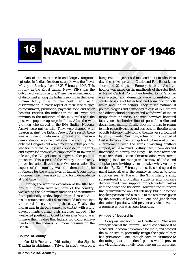16

# NAVAL MUTINY OF 1946

One of the most heroic and largely forgotten hunger strike against bad food episodes in Indian freedom struggle was the Naval day, the strike spread to Castl Mutiny in Bombay from 18-25 February, 1946. This shore and 22 s One of the most heroic and largely forgotten episodes in Indian freedom struggle was the Naval Mutiny in Bombay from 18-25 February, 1946. This mutiny in the Royal Indian Navy (RIN) was the outcome of various factors. There was a great amount of discontent among the Indians serving in the Royal Indian Navy due to the continued racial discrimination in every aspect of their service such as recruitment, promotion, payment, food and other benefits. Besides, the Indians in the RIN were not immune to the influence of the INA trials and the post war popular upsurge in India. After the war, the men who served in the INA (Indian National Army) were put on trial. They were charged with treason against the British Crown. As a result, there was a wave of nationalist protest and massive demonstration was held all over the country. Not only the Congress but also almost the entire political leadership of the country was opposed to the trials and expressed themselves emphatically in favour of releasing the INA prisoners alongwith other political prisoners. This aspect of the Mutiny undoubtedly proves its nationalist character. One more nationalist aspect of the mutiny was the demand of the mutineers for the withdrawal of Indian troops from Indonesia which was also fighting for Independence at that time.

nt in men from all parts of the<br>ning the old military traditions of r<br>nolitically undeveloped 'martial racertain nationalist elements could in<br>med forces, including the navy. F<br>men in the RIN came into contact v<br>pments dur Further, the wartime expansion of the RIN had brought in men from all parts of the country, weakening the old military traditions of recruitment from politically undeveloped 'martial races'. As a result, certain nationalist elements could infiltrate into the armed forces, including the navy. Finally, the Indian men in the RIN came into contact with world developments during their services abroad. The weakened position on Great Britain after World War II made them realize that Indians too could achieve freedom if the Indians put more pressure on the British.

#### **Course of Mutiny**

On 18th February 1946, ratings in the Signals Training Establishment, Talwar (a ship), went on a

bic and largely forgotten<br>
hunger strike against bad food<br>
an struggle was the Naval<br>
day, the strike spread to Castle<br>
8-25 February, 1946. This<br>
shore and 22 ships in Bomb<br>
am Navy (RIN) was the tricolor was raised on th e of the most heroic and largely forgotten bunger strike against bad food and racist institutes. Next is in Indian freedom straggle was the Naval day, the strike spread to Castle and Fort largely for in Boundary from 18 2 hunger strike against bad food and racist insults. Next day, the strike spread to Castle and Fort Barracks on shore and 22 ships in Bombay harbour. And the tricolor was raised on the mastheads of the rebel fleet. A Naval Central Committee headed by M.S. Khan was elected and demands were formulated for combined issues of better food and equal pay for both white and Indian sailors. They raised nationalist political slogans and demanded release of INA officers and other political prisoners and withdrawal of Indian troops from Indonesia. The men, however, hesitated fatally on the border line of peaceful strike and determined mutiny, finally obeying orders to return to their respective ships and barracks on the afternoon of 20th February, only to find themselves surrounded by army guards. Next day, actual fighting started at Castle Barracks when ratings tried to breakout of their encirclement, with the ships providing artillery support, while Admiral Godfrey flew in bombers and threatened to destroy the Navy. The same afternoon was a remarkable scene of fraternization, with crowds bringing food for ratings in Gateway of India and shopkeepers inviting them to take whatever they needed. By 22nd February, the strikes had spread to naval bases all over the country as well as to some ships on sea. At Karachi, the 'Hindustan', a ship, surrendered and Muslim students and workers demonstrated their support through violent clashes with the police and the army. However, the mutineers finally surrendered on 23rd February 1946 due to their hopeless position and also due to the assurance given by the nationalist leaders like Patel and Jinnah that the national parties would prevent any victimization, a promise which was soon forgotten.

#### **Attitude of leadership**

Congress leadership like Gandhi and Patel were strongly against the Mutiny. Gandhi condemned it as a bad and unbecoming example for India, and advised the mutineers to peacefully resign their jobs if they had grievances. Patel, though gave an assurance to the ratings that the national parties would prevent any victimization, quietly went back on the assurance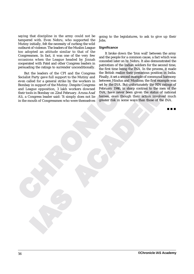saying that discipline in the army could not be tampered with. Even Nehru, who supported the Mutiny initially, felt the necessity of curbing the wild outburst of violence. The leaders of the Muslim League too adopted an attitude similar to that of the Congressmen. In fact, it was one of the very few occasions when the League headed by Jinnah cooperated with Patel and other Congress leaders in persuading the ratings to surrender unconditionally.

cooperated with Patel and other Congress leaders in concurrent units of the Indian soldie<br>persuading the ratings to survender unconditionally. Hen first time being the KINA But the leaders of the CPI and the Congress the B But the leaders of the CPI and the Congress Socialist Party gave full support to the Mutiny and even called for a general strike by the workers in Bombay in support of the Mutiny. Despite Congress and League opposition, 3 lakh workers downed their tools in Bombay on 22nd February. Aruna Asaf Ali, a Congress leader said: 'It simply does not lie in the mouth of Congressmen who were themselves

IAS

going to the legislatures, to ask to give up their Jobs.

#### **Significance**

other Congress leaders in particular of the Indian soldieurrender unconditionally.<br>
Le CPI and the Congress the British realize their precaring the INA. In the first time being the INA. In extract and Muslims:<br>
Finally, it the leaders of the CFI and the Congress note list that the properties in the process it makes the thing are full support to the Middley to the Middley to the Middley to the Middley to the Middley and Franchise rate that is It broke down the 'Iron wall' between the army and the people for a common cause, a fact which was conceded later on by Nehru. It also demonstrated the patriotism of the Indian soldiers for the second time, the first time being the INA. In the process, it made the British realize their precarious position in India. Finally, it set a second example of communal harmony between Hindus and Muslims; the first example was set by the INA. But unfortunately the RIN ratings of February 1946, in sharp contrast to the men of the INA, have never been given the status of national heroes, even though their action involved much greater risk in some ways than those of the INA.

**. . .**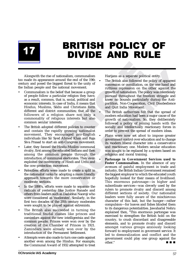## BRITISH POLICY OF DIVIDE AND RULE

Alongwith the rise of nationalism, communalism too made its appearance around the end of the 19th century and posed the biggest threat to the unity of the Indian people and the national movement.

- CHRONICLE ationalism, communalism<br>
ationalism, communalism<br>
expect threat to the unity of<br>
expect threat to the unity of<br>
expect threat to the unity of<br>
elief that because a group<br>
elief that because a group<br>
growth of nationalism. • Communalism is the belief that because a group of people follow a particular religion they have, as a result, common, that is, social, political and economic interests. In case of India, it means that Hindus, Muslims, Sikhs and Christians form different and district communities; that all the followers of a religion share not only a commonality of religious interests but also common secular interests.
	- The British adopted different policies to counter and contain the rapidly growing nationalist movement. They encouraged pro-English individuals like Sir Syed Ahmed Khan and Raja Siva Prasad to start an anti-Congress movement.
	- Later, they fanned the Hindu-Muslim communal rivalry, first among the educated Indians and then among the common people through the introduction of communal electorates. They even exploited the controversy of Hindi and Urdu and the cow-protection movement.
	- Relentless efforts were made to create a split in the nationalist ranks by adopting a more friendly approach towards the more conservative or moderate sections.
	- In the 1890's, efforts were made to separate the radicals of yesterday like Justice Ranade and others from leaders such as Dadabhai Naoroji who were considered as 'moderates'. Similarly, in the first two decades of the 20th century moderates were sought to be played against extremists.
	- the Toso 3, enots were made to 3.<br>Iticals of yesterday like Justice R.<br>Iters from leaders such as Dadabhai N<br>re considered as 'moderates'. Simil<br>t two decades of the 20th century<br>re sought to be played against ext<br>e Britis The British also succeeded in turning the traditional feudal classes like princes and zamindars against the new intelligentsia and the common people. Princes were won over by the creation of the Chamber of Princes in 1921. Zamindars were already won over by the introduction of the Permanent Settlement.
	- Attempts were also made to turn one caste against another even among the Hindus. For example, the Communal Award of 1932 attempted to treat

Harijans as a separate political entity.

- The British also followed the policy of apparent concession or conciliation, on the one hand and ruthless repression on the other against the growth of nationalism. The policy was relentlessly pursued throughout the freedom struggle and knew no bounds particularly during the Antipartition, Non-Cooperation, Civil Disobedience and Quit India Movement.
- The British authorities felt that the spread of modern education had been a major cause of the growth of nationalism. So, they deliberately followed a policy of joining hands with the socially and intellectually reactionary forces in order to prevent the spread of modern ideas.
- Plans were now set afoot to impose greater government control over education and to change its modern liberal character into a conservative and reactionary one. Modern secular education was sought to be replaced by a system based on religious and moral training.
- mysidi the rise of nationalism, communalism<br>
In Harjians as a separate political entity<br>
is a steparate political entity<br>
is a step of a the time by the Byth and of the time and pole due the particular and pole and the mat • **Partonage in Government Services used to Foster Communalism.** In the absence of any avenues of gainful employment in trade and industry, the British Indian Government remained the biggest employer to which the educated youth hopefully looked for their means of livelihood. This enormous patronage—in higher and subordinate services—was cleverly used by the rulers to promote rivalry and discord among different sections of society. Our nationalist leaders were fully aware of the mischievous character of this bait, but the hunger—rather compulsion—for loaves and fishes blinded them to its dangerous potentialities. Jawaharlal Nehru explained then, "This enormous partongae was exercised to strengthen the British hold on the country, to crush discordant and disagreeable elements, and to promote rivalry and discord amongst various groups anxiously looking forward to employment in goverment service. It led to demoralization and conflict and the government could play one group against the other."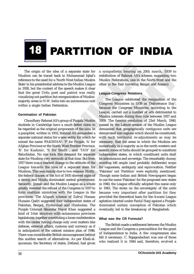18 PARTITION OF INDIA

The origin of the idea of a separate state for Muslims can be traced back to Muhammad Iqbal's reference to the need for a 'North West Indian Muslim State' in his presidential address to the Muslim League in 1930, but the context of the speech makes it clear that the great Urdu poet and patriot was really visualizing not partition but reorganization of Muslimmajority areas in N.W. India into an autonomous unit within a single Indian Federation.

#### **Germination of Pakistan**

The origin of the idea of a separate state for a sympathetic hearing on<br>Muslims can be traced back to Muhammad Iqbal's redefinition of Rahmat All's syeference to the need for a North West Indian Muslim Muslim Federations, resented the refusal of the Congress<br>coalition ministries with the Leag<br>ces. The Aligarh scheme of Zafr<br>n Qadri suggested four independer<br>n, Bengal, Hyderabad and Hind<br>Unionist Sikandar Hayat Khan s<br>i 3-tier structure with Choudhary Rahmat Ali's group of Punjabi Muslim students in Cambridge have a much better claim to be regarded as the original proponents of the idea. In a pamphlet, written in 1933, Rahmat Ali demanded a separate national status for a new entity for which he coined the name 'PAKISTAN'- 'P' for Punjab, 'A' for Afghan Province or the North-West Frontier Province, 'K' for Kashmir, 'S' for Sindh , and 'TAN' for Baluchistan. No one took this demand for separate state for Muslims very seriously at that time. But from 1937 there was a marked change in the attitude of the League towards the idea of a separate state for Muslims. This was mainly due to two reasons. Firstly, the federal clauses of the Act of 1935 showed signs of a strong and Hindu dominated central government. Secondly, Jinnah and the Muslim League as a whole greatly resented the refusal of the Congress in 1937 to form coalition ministries with the League in the provinces. The Aligarh scheme of Zafrul Hassan Hussain Qadri suggested four independent states of Pakistan, Bengal, Hyderabad and Hindustan. The Punjab Unionist Sikandar Hayat Khan suggested a kind of 3-tier structure with autonomous provinces legislatures, together constituting a loose confederation with the center having charge only over matters like defense, external affairs, customs and currency as if in anticipation of the cabinet mission plan of 1946. There was considerable British encouragement behind this sudden search of alternatives. As per Khali-alquzaman, the Secretary of states, Zetland, had given

a sympathetic hearing on 20th march, 1939 to redefinition of Rahmat Ali's scheme, suggesting two Muslim Federations, one in the North-West and the other in the East (covering Bengal and Assam).

#### **League-Congress Relations**

a of a separate state for a sympathetic hearing on 2<br>
k to Muhammad Iqbal's redefinition of Rahmat Ali's scorth West Indian Muslim Muslim Federations, one in th<br>
ress to the Muslim League other in the East (covering Ber<br>
t origin of the islear a asyparate state for a sympathetic hearing on 20th march, 1939 to be the new state of the state of the state of the context of the system suggesting two to the need for a North West Indica Modial Mod The League celebrated the resignation of the Congress Ministries in 1939 as 'Deliverance Day', because the Congress Ministries, according to the League, carried out a number of acts detrimental to Muslim interests during their rule between 1937 and 1939. The famous resolution of 23rd March, 1940, passed by the Lahore session of the Muslim League demanded that geographically contiguous units are demarcated into regions which should be constituted, with such territorial re-adjustments as may be necessary, that the areas in which the Muslims are numerically in a majority as in the north-western and eastern zones of India should be grouped to constitute independent states, in which constituent units shall be autonomous and sovereign. The remarkably clumsy wording left ample (and probably deliberate) scope for vagueness, ambiguity and equivocation. Neither 'Pakistan' not 'Partition' were explicitly mentioned. Though some Indian and British Newspapers began to use the name 'Pakistan' for the proposed new states in 1940, the League officially adopted this name only in 1943. The stress on the sovereignty of the units became very important after partition for they provided the theoretical basis for the Awami League agitation (started under Fazlul Haq) against a Punjabdominated unitary conception of Pakistan which eventually led to the breakaway of Bangladesh.

#### **What was the CR Formula?**

The British made a settlement between the Muslim League and the Congress a precondition for the grant of Independence to India. A few congressmen also felt it necessary. C. Rajagoalachari was one of those who realized it in 1944 and, therefore, evolved a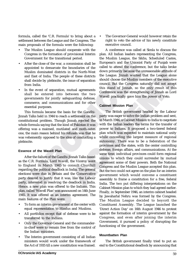formula, called the 'C.R. Formula' to bring about a settlement between the League and the Congress. The main proposals of the formula were the following:

- The Muslim League should cooperate with the Congress in the formation of provisional Interim Government for the transitional period.
- After the close of the war, a commission shall be appointed to demarcate the boundaries of the Muslim dominated districts in the North-West and East of India. The people of these districts shall decide by plebiscite, the issue of separation from India.
- In the event of separation, mutual agreements shall be entered into between the two governments for jointly safeguarding defense, commerce, and communications and for other essential purposes.

This formula became the basis for the Gandhi-Jinnah Talks held in 1944 to reach a settlement on the constitutional problem. Though Jinnah rejected the whole formula saying that the kind of Pakistan it was offering was a maimed, mutilated and moth-eaten one, the main reason behind his refusals was that he was vehemently opposed to the idea of conducting a plebiscite.

#### **Essence of the Wavell Plan**

a new plan was oncrea to the mindled 'Wavell Plan' was announced of the milled 'Wavell Plan' was announced of the milled 'Wavell Plan' was announced of the millen were:<br>form an interim government at the ual representation After the failure of the Gandhi-Jinnah Talks based as the C.R. Formula, Lord Wavell, the Viceroy went to England in March 1945 to consult Churchill regarding the political deadlock in India. The general elections were due in Britain and the Conservative party desired to justify that it was, like the Labour party, interested in resolving the deadlock in India. Hence, a new plan was offered to the Indians. This plan, called 'Wavell Plan' was announced on 14th June 1945. It was offered as an interim agreement. The main features of the Plan were:

- To form an interim government at the center with equal representation to Hindus and Muslims.
- All portfolios except that of defense were to be transferred to the Indians.
- Only the Governor-General and the commanderin-chief were to remain free from the control of the Indian ministers.
- The Interim government consisting of all Indian ministers would work under the framework of the Act of 1935 till a new constitution was framed.

• The Governor-General would however retain the right to veto the advice of his newly constitute executive council.

A conference was called at Simla to discuss the plan. All Indian leaders representing the Congress, the Muslim League, the Sikhs, Scheduled Castes, European's and the Unionist Party of Punjab were called to attend the conference, but the talks broke down primarily because the unreasonable attitude of the League. Jinnah wanted that the League alone should choose the Muslim members of the executive council. But the Congress naturally did not accept this stand of Jinnah, so the only result of this Conference was the strengthening of Jinnah as Lord Wavell practically gave him the power of Veto.

#### **Cabinet Mission Plan**

• After the close of the war, a commission shall be Europeans and the Unionlation appointed to demarcate the boundaries of the sale of India. The people of these districts in the North-West down primarily because the unit war, a commission shall be European's and the Unionist<br>te the boundaries of the called to attend the conference<br>stricts in the North-West down primarily because the union<br>the League. Jinnah wanted t<br>the League. Jinnah want alim dominated districts in the North West devote phynamity because the unreasonable affuline of Example. The Example of the animalism of the Example of the Example of the distribute of the distribute of the distribute of The British government headed by the Labour party was eager to solve the Indian problem and sent, in March 1946, a Cabinet Mission to India to negotiate with the Indian leaders the terms for the transfer of power to Indians. It proposed a two-tiered federal plan which was expected to maintain national unity while conceding the largest measure of regional autonomy. There was to be a federation of the provinces and the states, with the center controlling defense, foreign affairs, and communications. At the same time, individual provinces could form regional unions to which they could surrender by mutual agreement some of their powers. Both the National Congress and the Muslim League accepted this plan. But the two could not agree on the plan for an interim government which would convene a constituent assembly to frame a constitution for a free, federal India. The two put differing interpretations on the Cabinet Mission plan to which they had agreed earlier. Finally, in September 1946, an interim cabinet headed by Jawaharlal Nehru was formed by the Congress. The Muslim League decided to boycott the Constituent Assembly. The League launched the 'Direct Action Day' on 16th August 1946 to protest against the formation of interim government by the Congress, and even after joining the interim Government, it pursued a policy of disrupting the functioning of the government.

#### **Mountbatten Plan**

The British government finally tried to put an end to the Constitutional deadlock by announcing that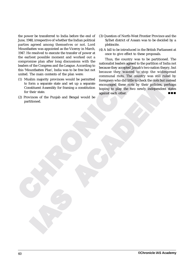the power be transferred to India before the end of June, 1948, irrespective of whether the Indian political parties agreed among themselves or not. Lord Mountbatten was appointed as the Viceroy in March, 1947. He resolved to execute the transfer of power at the earliest possible moment and worked out a compromise plan after long discussions with the leaders of the Congress and the League. According to this 'Mountbatten Plan', India was to be free but not united. The main contents of the plan were:

- (1) Muslim majority provinces would be permitted to form a separate state and set up a separate Constituent Assembly for framing a constitution for their state.
- (2) Provinces of the Punjab and Bengal would be partitioned.

IAS

- (3) Question of North-West Frontier Province and the Sylhet district of Assam was to be decided by a plebiscite.
- (4) A bill to be introduced in the British Parliament at once to give effect to these proposals.

computation Plant and Tuto and the League. According to becauss with the main contents particle that the main contents of the plan were but not because they wareled to the small infidia. Note that we can be because they ar In the League. According to hationalist leaders agreed to the the League. According to because they accepted linnah's because they wanted to st communal riots. The countries would be permitted foreigners who did little to sum believe Plant, India was to be free but not because they wanted to stop the widespread<br>The main contents of the plan were:<br>The main contents of the plant were:<br>commutatively between world believe that is a Theorem and Thus, the country was to be partitioned. The nationalist leaders agreed to the partition of India not because they accepted Jinnah's two-nation theory, but because they wanted to stop the widespread communal riots. The country was still ruled by foreigners who did little to check the riots but instead encouraged these riots by their policies, perhaps hoping to play the two newly independent states against each other.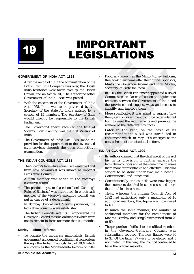

# IMPORTANT LEGISLATIONS

#### **GOVERNMENT OF INDIA ACT, 1858**

- After the revolt of 1857, the administration of the British East India Company was over, the British India territories were taken over by the British Crown, and an Act called, "The Act for the better Government of India, 1858" was passed.
- **EXECUTE THE CONFIRMENT OF INDIA ACT, 1868**<br>
After the revolt of 1857, the administration of the they took their rame after<br>
British East India Company was over, the British Seretiary of State for India<br>
India criticines w ACT, 1858<br>
(a) the administration of the they took their name after<br>
they took their name after<br>
traken over by the British<br>
ed, "The Act for the better<br>
the Overmort of the better<br>
1858" was passed.<br>
the Government of Ind • With the enactment of the Government of India Act, 1958, India was to be governed by the Secretary of the State for India assisted by a council of 15 members. The Secretary of State would directly be responsible to the British Parliament.
	- The Governor-General received the title of Viceroy. Lord Canning was the first Viceroy of India.
	- The Government of India Act, 1858, made the provision for the appointment to the covenanted civil services through the open competitive examination.

#### **THE INDIAN COUNCILS ACT, 1861**

- The Viceroy's legislative council was enlarged and from now onwards it was known as Imperial Legislative Council.
- A fifth member was added to the Viceroys executive council.
- e portfolio system (based on Lord<br>les of Business) was introduced, in<br>mber of the Viceroy's executive c<br>t in charge of a department.<br>Bombay, Bengal and Madras pro<br>islative councils were established.<br>Paradian Councils Act, • The portfolio system (based on Lord Canning's Rules of Business) was introduced, in which each member of the Viceroy's executive council was put in charge of a department.
- In Bombay, Bengal and Madras provinces, the legislative councils were established.
- The Indian Councils Act, 1861, empowered the Governor-General to issue ordinances which were not to remain in force for more than six months.

#### **Morley - Minto Reforms**

• To placate the moderate nationalists, British government announced constitutional concessions through the Indian Councils Act of 1909 which are known as the Morley-Minto Reform of 1909.

- Popularly known as the Minto-Morley Reforms, they took their name after their official sponsors, Minto the Governor-General and John Morley, Secretary of State for India.
- In 1908, the British Parliament appointed a Royal Commission on Decentralisation to inquire into relations between the Government of India and the provinces and suggest ways and means to simplify and improve them.
- More specifically, it was asked to suggest 'how the system of government could be better adapted both to meet the requirements and promote the welfare of the different provinces'.
- Later in the year, on the basis of its recommendations a Bill was introduced in Parliament which, in May 1909 emerged as the new scheme of constitutional reform.

#### **INDIAN COUNCILS ACT, 1909**

- **EXAMENT OF INDIA ACT, 1886**<br> **EXAMENT OF INDIA ACT, 1886**<br> **EXAMENT OF INDIA ACT, 1886**<br> **INSTRIGUARISM:** Local distribution of the Minited Moreov distribution of the Minited Company of Starf for India sponsors, is terri Its authors claimed that the chief merit of the Act lay in its provision to further enlarge the legislative councils and at the same time, to make them more representative and effective. This was sought to be done under two main heads - Constitutional and Functional.
	- Constitutionally, the councils were now bigger, their numbers doubled in some cases and more than doubled in others.
	- Thus, whereas the Indian Council Act of 1892 had authorized only a maximum of 16 additional members, that figure was now raised to 60.
	- In much the same manner, the number of additional members for the Presidencies of Madras, Bombay and Bengal were raised from 20 to 50.
	- The proportion of official to non-official members in the Governor-General's Council was substantially reduced. The new figures were 36 to 32. Of the latter, 27 were to be elected and 5 nominated. In this way, the Council continued to have the official majority.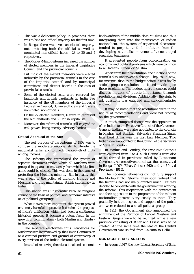- This was a deliberate policy. In provinces, there was to be a non-official majority for the first time.
- In Bengal there was even an elected majority, outnumbering both the official as well as nominated non-official blocs - 28 to 20 and 4 respectively.
- The Morley-Minto Reforms increased the number of elected members in the Imperial Legislative Council and the provincial councils.
- But most of the elected members were elected indirectly by the provincial councils in the case of the Imperial council and by municipal committees and district boards in the case of provincial councils.
- Some of the elected seats were reserved for landlords and British capitalists in India. For instance, of the 68 members of the Imperial Legislative Council, 36 were officials and 5 were nominated non-officials.
- Of the 27 elected members, 6 were to represent the big landlords and 2 British capitalists.
- Moreover, the reformed councils still enjoyed no real power, being merely advisory bodies.

#### **Critical Appraisal of the Act:**

The real purpose of the Reforms of 1909 was to confuse the moderate nationalists, to divide the nationalist ranks, and to check the growth of unity among Indians.

From word and the provincial contours increased to maintend to the density in that and the elected members in the linear and Legislative cononic and political problem. But most of the linear to the elected members were el The Reforms also introduced the system of separate electorates under which all Muslims were grouped in separate constituency from which Muslims alone could be elected. This was done in the name of protecting the Muslims minority. But in reality this was a part of the policy of dividing Hindus and Muslims and thus maintaining British supremacy in India.

This nation was unscientific because religions cannot be the basis of political and economic interests or of political groupings.

s nation was unscientific because<br>be the basis of political and econom<br>olitical groupings.<br>aat is even more important, this syst<br>ely harmful in practice. It checked the<br>a's unification which had been a<br>al process. It becam What is even more important, this system proved extremely harmful in practice. It checked the progress of India's unification which had been a continuous historical process. It became a potent factor in the growth of communalism - both Muslim and Hindu in the country.

The separate electorates thus introduces for Muslims were later viewed by the Simon Commission as a cardinal problem and ground of controversy at every revision of the Indian electoral system.

Instead of removing the educational and economic

backwardness of the middle class Muslims and thus integrating them into the mainstream of Indian nationalism, the system of separated electorates tended to perpetuate their isolation from the developing nationalist movement. It encouraged separatist tendencies.

It prevented people from concentrating on economic and political problems which were common to all Indians, Hindu or Muslim.

In the Imperial Legislative<br>
the Imperial Legislative<br>
to all Indians, Hindu or Musli<br>
d members were elected<br>
Apart from their constitution<br>
call councils in the case<br>
councils also underwent a cha<br>
carbical councils in t mind and provincial councils, the means than the provincial counting the means that the provincial councils in the case of the means the means the means the means the means the means the means the means of the figure of th Apart from their constitution, the functions of the councils also underwent a change. They could now, for instance, discuss the budget before it was finally settled, propose resolutions on it and divide upon those resolutions. The budget apart, members could discuss matters of public importance through resolutions and divisions. Additionally, the right to ask questions was enlarged and supplementaries allowed.

It may be noted that the resolutions were in the nature of recommendations and were not binding on the government.

A much trumpeted change was the appointment of an Indian to the Executive Council of the Governor-General; Indians were also appointed to the councils in Madras and Bombay. Satyendra Prasanna Sinha, later Lord Sinha, was the first Law Member. Two Indians were appointed to the Council of the Secretary of State in London.

In Madras and Bombay, the Executive Councils were enlarged from 2 to 4. Such Councils were also to be formed in provinces ruled by Lieutenant Governors. An executive council was thus constituted in Bengal (1909), Bihar, Orissa (1912) and the United Provinces (1915).

The moderate nationalists did not fully support the Morley-Minto Reforms. They soon realized that the Reforms had not really granted much. But they decided to cooperate with the government in working the reforms. This cooperation with the government and their opposition to the programme of the militant nationalism proved very costly to them. They gradually lost the respect and support of the public and were reduced to a small political group.

In 1911, the Government also announced the annulment of the Partition of Bengal. Western and Eastern Bengals were to be reunited while a new province consisting of Bihar and Orissa was to be created. At the same time the seat of the Central Government was shifted from Calcutta to Delhi.

#### **MONTAGUE'S DECLARATION**

In August 1917, the new Liberal Secretary of State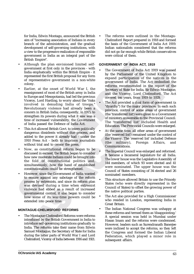for India, Edwin Montagu, announced the British aim of "increasing association of Indians in every branch of the administration, and the gradual development of self-governing institutions, with a view to the progressive realization of responsible government in India as an integral part of the British Empire".

- Although the plan envisioned limited selfgovernment at first only in the provinces - with India emphatically within the British Empire - it represented the first British proposal for any form of representative government in a non-white colony.
- Although the plan envisoned limited self. **GOVERNMENT OF INDIA AC**<br>government at first only in the provinces with  $\sim$  The Government of India<br>representate that stristis proposal or any low the Parilament of India<br>repre  $\begin{tabular}{ll} \hline \text{in the British graph} \\ \hline \text{in the British graph} \\ \hline \text{in the British graph} \\ \hline \text{in the British graph} \\ \hline \text{in the British graph} \\ \hline \text{in the British graph} \\ \hline \text{in the British graph} \\ \hline \text{in the British graph} \\ \hline \text{in the British graph} \\ \hline \text{in the British graph} \\ \hline \text{in the British graph} \\ \hline \text{in the British graph} \\ \hline \text{in the British graph} \\ \hline \text{in the British graph} \\ \hline \text{in the British graph} \\ \h$ STRINGTON THIS convention that is not provides. Sometime of India Act 1919 was passed<br>of a memberical that is not be provided as the proposition of the matter state in the matter state in the matter state in the matter of • Earlier, at the onset of World War I, the reassignment of most of the British army in India to Europe and Mesopotamia, had led the previous Viceroy, Lord Harding, to worry about the "risks involved in denuding India of troops." Revolutionary violence had already been a concern in British India; consequently, in 1915, to strengthen its powers during what it saw was a time of increased vulnerability, the Government of India passed the Defence of India Act.
	- This Act allowed British Govt. to intern politically dangerous dissidents without due process, and added to the power it already had - under the 1910 Press Act - both to imprison journalists without trial and to censor the press.
	- Now, as constitutional reform began to be discussed in earnest, the British began to consider how new moderate Indians could be brought into the fold of constitutional politics and, simultaneously, how the hand of established constitutionalists could be strengthened.
	- However, since the Government of India wanted to ensure against any sabotage of the reform process by extremists, and since its reform plan was devised during a time when extremist violence had ebbed as a result of increased governmental control, it also began to consider how some of its war-time powers could be extended into peace time.

#### **MONTAGUE-CHELMSFORD REFORMS**

bence had ebbed as a result of<br>vernmental control, it also began t<br>w some of its war-time powers<br>ended into peace time.<br>**AGUE-CHELMSFORD REFORMS**<br>e Montague-Chelmsford Reforms were roduced by the British Government<br>roduce • The Montague-Chelmsford Reforms were reforms introduced by the British Government in India to introduce self-governing institutions gradually to India. The reforms take their name from Edwin Samuel Montague, the Secretary of State for India during the latter parts of World War I and Lord Chelmsford, Viceroy of India between 1916 and 1921.

• The reforms were outlined in the Montagu-Chelmsford Report prepared in 1918 and formed the basis of the Government of India Act 1919. Indian nationalists considered that the reforms did not go far enough while British conservatives were critical of them.

#### **GOVERNMENT OF INDIA ACT, 1919**

- The Government of India Act 1919 was passed by the Parliament of the United Kingdom to expand participation of the natives in the government of India. The Act embodied the reforms recommended in the report of the Secretary of State for India, Sir Edwin Montague, and the Viceroy, Lord Chelmsford. The Act covered ten years, from 1919 to 1929.
- The Act provided a dual form of government (a "dyarchy") for the major provinces. In each such province, control of some areas of government (the 'transferred list') were given to a Government of ministers answerable to the Provincial Council. The 'transferred list' included Health and Education. The Provincial Councils were enlarged.
- At the same time, all other areas of government (the 'reserved list') remained under the control of the Viceroy. The 'reserved list' included Defence (the military), Foreign Affairs, and Communications.
- The Imperial Council was enlarged and reformed. It became a bicameral legislature for all India. The lower house was the Legislative Assembly of 144 members, of which 93 were elected and 41 were nominated. The upper house was the Council of States consisting of 34 elected and 26 nominated members.
- This structure allowed Britain to use the Princely States (who were directly represented in the Council of States) to offset the growing power of the native political parties.
- The Act also provided for a High Commissioner who resided in London, representing India in Great Britain.
- The Indian National Congress was unhappy at these reforms and termed them as 'disappointing.' A special session was held in Mumbai under Hasan Imam and the reforms were condemned. However, leaders such as Surendranath Banerjee were inclined to accept the reforms, so they left the Congress and formed the Indian Liberal Federation, which played a minor role in subsequent affairs.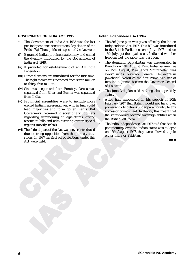#### **GOVERNMENT OF INDIA ACT 1935**

- The Government of India Act 1935 was the last pre-independence constitutional legislation of the British Raj. The significant aspects of the Act were:
- (i) It granted Indian provinces autonomy and ended the dyarchy introduced by the Government of India Act 1919.
- (ii) It provided for establishment of an All India Federation.
- (iii) Direct elections are introduced for the first time. The right to vote was increased from seven million to thirty-five million.
- (iv) Sind was separated from Bombay, Orissa was separated from Bihar and Burma was separated from India.
- India Act 1919.<br>
In provided for establishment of an All India and Existencino of Pakistan.<br>
(ii) It provided for the stablishment of an All India Agreed is on 15th August, 1<br>
Federation. The right to vote was increased fr eration:<br>
sections are introduced for the first time.<br>
om 16th August 1980 M, Lord Munuhalten was the street ending here of the transfer of the street in the street of the street in the street in the street in the street i (v) Provincial assemblies were to include more elected Indian representatives, who in turn could lead majorities and form governments. But Governors retained discretionary powers regarding summoning of legislatures, giving assents to bills and administering certain special regions (mostly tribal).
- (vi) The federal part of the Act was never introduced due to strong opposition from the princely state rulers. In 1937 the first set of elections under this Act were held.

IAS

#### **Indian Independence Act 1947**

- The 3rd June plan was given effect by the Indian Independence Act 1947. This bill was introduced in the British Parliament on 4 July, 1947, and on 18th July, got the royal assent. India had won her freedom but the price was partition.
- Finance of an All India<br>
on 15th August, 1947. Le<br>
oduced for the first time.<br>
Solution 15th August, 1947. Le<br>
oduced from seven million<br>
om Bombay, Orissa was<br>
of Pakistan.<br>
om Bombay, Orissa was<br>
of Pakistan.<br>
om Bombay, • The dominion of Pakistan was inaugurated in Karachi on 14th August, 1947. India became free on 15th August, 1947. Lord Mountbatten was sworn in as Governor General. He swore in Jawaharlal Nehru as the first Prime Minister of free India. Jinnah became the Governor General of Pakistan.
	- The June 3rd plan said nothing about princely states.
	- Atlee had announced in his speech of 20th February 1947 that Britain would not hand over power and obligations under paramountcy to any successor government. In theory, this meant that the states would become sovereign entities when the British left India.
	- The India Independence Act 1947 said that British paramountcy over the Indian states was to lapse on 15th August 1947, they were allowed to join either India or Pakistan.

n n n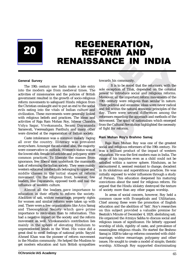

### REGENERATION, REFORM AND RENAISSANCE IN INDIA

#### **General Survey**

**EXERCISE AND SET INTERFERENT CONSULTS IN THE SET INTERFERENT CONSULTS (Seneral Survey<br>
The 19th century saw India make a late entry<br>
this to be noted that into the modern age from movements to instead the policies of Brit** The 19th century saw India make a late entry into the modern age from medieval times. The activities of missionaries and the policies of British government resulted in the growth of socio-religious reform movements to safeguard Hindu religion from the Christian onslaught and to put an end to the social evils eating into the vitals of Indian culture and civilization. These movements were generally linked with religious beliefs and practices. The ideas and activities of Raja Ram Mohan Roy, Ishwar Chandra Vidya Sagar, Vivekananda, Swami Dayananda Saraswati, Veeresaligam Panthulu and many other were directed at the regeneration of Indian society.

Caste intolerance was a common malady raging all over the country. Illiteracy was prevalent everywhere. Amongst the educated also, the majority were conservative in outlook. Women's status was at the lowest ebb; female infanticide and polygamy were common practices. To liberate the masses from ignorance, few liberal men undertook the mammoth task of reforming the Indian society. They were mainly western educated intellectuals belonging to upper and middle classes in the initial stages of reform movement. On the religious front, however, few leaders, like Dayananda, opposed tooth and nail the influence of western culture.

most all the leaders gave import<br>ion in their efforts to reform them on of sati, widow remarriage, prop<br>men and similar reforms were take<br>nere were a few organizations like  $\mu$ <br>heosophical Society which ga<br>ance to reviva Almost all the leaders gave importance to education in their efforts to reform the society. Abolition of sati, widow remarriage, property rights for women and similar reforms were taken up with zeal. There were a few organizations like Arya Samaj and Theosophical Society which gave prime importance to revivalism than to reformation. This had a negative impact on the society and the reform movement as well. Vivekananda's contribution lies mainly in the sphere of elevating Hinduism to unprecedented levels in the West. His voice did a great deal to swell feelings of national pride. Sayyid Ahmed Khan was the pioneer of reform movement in the Muslim community. He helped the Muslims to get modern education and turn British sympathies towards his community.

**Example 18 and the same of the same of the same of the same of the same of the same of the same of the same of the same of the same of the same of the same of the same of the same of the same of the same of the same of th** It is to be noted that the reformers, with the sole exception of Tilak, depended on the colonial power to introduce social and religious reforms. Moreover, all the important reform movements of the 19th century were religious than secular in nature. Their political and economic ideas were never radical and fell within the natural economic principles of the day. There were several differences among the reformers regarding the approach and methods of the movement. The spirit of nationalism which emerged from the Cultural Revolution highlighted the necessity of fight for reforms.

#### **Ram Mohan Roy's Brahmo Samaj**

I Survey to the country saw India make a late entry towards his community.<br>
I Survey to the modern age from medieval times. The sube exception of Tlak, depended on the colonial of the modern age from medieval times, The s Raja Ram Mohan Roy was one of the greatest social and religious reformers of the 19th century. He was a brilliant product of the impact of western education. He was the first modern man in India. The range of his inquiries even as a child could not be satisfied within a narrow sphere. Hinduism, as he encountered it, seemed resistant to change, decadent in its idolatrous and superstitious practices. He was initially exposed to wider influences through a study of Persian. This education deepened his maturing convictions about the need for religious reform. He argued that the Hindu idolatry destroyed the texture of society more than any other pagan worship.

In areas of social concern, however, Roy held a common cause with Evangelicals and Utilitarians. Chief among these were the promotion of English education and the abolition of 'Sati'. Roy's researches on this subject provided a valuable premise for Beatnik's Minute of December 4, 1829, abolishing sati. He organized the Atmiya Sabha to discuss social and religious issues of significance. He bitterly opposed worship of idols, rigidity of caste, and prevalence of meaningless religious rituals. He started the Brahmo Samaj in 1828 to take up reforms connected with childmarriage, widow remarriage, polygamy and other issues. He sought to create a model of simple, theistic worship. Although Roy supported discriminating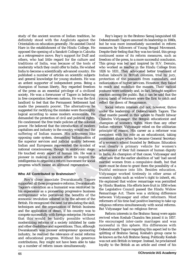traditions of India, was because of the tools of This group was led and insperend to<br>modernity which they could offer to India. He wished who worked as teacher in India to become a scientifically advanced country. He 1828 because of the tools of This group was led and inspit offer to India. He wished who worked as teacher in the 1826 to 1831. They advocated country. He 1826 to 1831. They advocated victors in British cound studies on scienti study of the ancient sources of Indian tradition, he definitely stood with the Anglicists against the Orientalists on education generally. He assisted David Hare in the establishment of the Hindu College. He opposed the opening of a Sanskrit College in Calcutta as a retrogressive move. Roy's support for Duff and others, who had little regard for the culture and traditions of India, was because of the tools of modernity which they could offer to India. He wished India to become a scientifically advanced country. He published a number of articles on scientific subjects and general knowledge for young students. He was an ardent supporter of independent press. Being a champion of human liberty, Roy regarded freedom of the press as an essential privilege of a civilized society. He was a forerunner of Tagore in believing in free cooperation between nations. He was the first landlord to feel that the Permanent Settlement had made the peasants poorer. The alternatives he suggested for rectifying the mistake were thoroughly logical according to some modern economists. He demanded the protection of civil and political rights. He condemned the free trade policies of the colonial power. He believed that the introduction of modern capitalism and industry in the country would end the suffering of Indian masses. His activeness like opposing caste system, demanding Indianisation of the superior services and judicial quality between Indian and Europeans represented the symbol of national consciousness, though in embryonic stage. He touched every aspect of human life. He was a pioneer in making a sincere effort to inspire the intelligentsia to organize a reform movement for social progress which meant an allround regeneration.

#### **Who All Contributed to Brahmoism?**

S conviction as a numanist was reference as a pioneering progressive<br>
rerience as a pioneering progressive<br>
rerience as a pioneering progressive<br>
rerience as a pioneering progressive<br>
rerience and the organization of Briti Roy's close associate Dwarakanath Tagore supported all these progressive reforms. Dwarakanath Tagore's conviction as a humanist was reinforced by his experience as a pioneering progressive business entrepreneur who perceived the benefits of the economic revolution ushered in by the advent of the British. He recognized the need for emulating the skill, techniques and the organization of British business and the application of steam, if his country was to compete successfully with foreign enterprise. He knew that this would be hardly possible without modernizing reforms of a society inhibited by caste and other disabilities and superstitions. Thus, although Dwarakanath was pioneer entrepreneur sponsoring industry, he realized the relevance of social reforms and educational progress. Without his generous contributions, Roy might not have been able to take up a number of reform issues simultaneously.

Roy's legacy in the Brahmo Samaj languished till Debendranath Tagore assumed its leadership in 1840s, but he was more immediately succeeded in reform measures by followers of Young Bengal Movement. Despite their feeling that Roy was too timid, this group continued some of its reform measures, such as freedom of the press, to a more successful conclusion. This group was led and inspired by H.V. Derozio, who worked as teacher in the Hindu College from 1826 to 1831. They advocated better treatment of Indian labours in British colonies, trial by jury, protection of the peasants from zamindars, and indianization of higher services. However, they failed to reach and mobilize the masses. Their radical postures were untimely and, in fact, brought negative reaction among the public. But it can be said that the young band of reformers were the first to catch and reflect the dawn of Renaissance.

become asseminging indvaroned country. He is 88 to 1881 in the particular better framework and the analysis and the second to the Real in the Second Mathema of the second in the second in the second in the second in the s Social reform interests did not, however, thrive under the leadership of Debendranath Tagore. The chief mantle passed in this sphere to Pandit Ishwar Chandra Vidyasagar, the Bengali educationist and champion of women's rights. More than any other Indian reformer, Vidyasagar relied on the utilitarian principle of reason. His career as a reformer was coexistent with his role as an educationist, taking prominent shape when he became General Secretary of a women's school founded by Bethune. Education was clearly a primary vehicle for women's achievement of their full measure of human dignity in India. As champion of that cause, Vidyasagar and other saw that the earlier abolition of 'sati' had saved married women from a compulsive death, but that more must be done to grant them the possibility of a fruitful entrance into life. Besides education, Vidyasagar worked tirelessly in other areas of women's rights such as widow's right to inherit, etc. He explained that widow remarriage was permitted by Hindu Shastras. His efforts bore fruit in 1856 when the Legislative Council passed the Hindu Widow Remarriage Act. There was a striking difference between Vidyasagar and other reformers. Most reformers of his time had positive learning to take up religious reforms simultaneously with social reforms. But Vidyasagar had no religious fervor.

Reform interests in the Brahmo Samaj were again revived when Keshab Chandra Sen joined it in 1857. He encouraged inter-caste marriages and was successful in this sphere. His differences with Debendranath Tagore regarding this aspect led to the splitting of Brahmo Samaj. Keshab's group came to be known as the Adi Brahmo Samaj. Politically Keshab was not anti-British in temper. Instead, he proclaimed loyalty to the British as an article and creed of his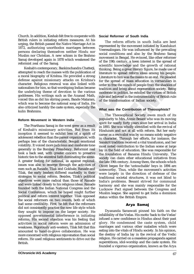Church. In addition, Keshab felt free to cooperate with British rulers in initiating reform measures. At his urging, the British passed the Native Marriage Act in 1872, authorizing unorthodox marriages between persons declaring themselves neither Hindu nor Muslim nor Christian. A new schism in the Brahmo Samaj developed again in 1878 which weakened the reformist zeal of the Samaj.

Keshab's contemporary, Bankimchandra Chatterji, attempted to reach the masses with the publication of a moral biography of Krishna. He provided a strong defense against missionary attacks on Krishna's character. Religious renewal was also linked with nationalism for him, so that worshiping Indian became the underlying theme of devotion to the various goddesses. His writings such as the Ananad Math, voiced this as did his stirring poem, Bande Mataram, which was to become the national song of India. He also criticized harshly the caste system, especially the kulin Brahmins.

#### **Reform Movement in Western India**

reformist zeal of the Samaju<br>
reformist zeal of the Samaju<br>
reformist zeal of the samal beach as some more and the samal beach as some more and the same and the same and the more and the more and the more and the more and d both the Indian National Congre<br>Conference, which he hoped might<br>and reform interest together. Tila<br>ial reformers on two counts, both<br>me credibility. First, he felt that the<br>consistently practice the new life s<br>ought to and the most of the state of this limit is the state in the most the most solicitate the photon of the photon of the photon of the photon of the photon of the photon of the photon of the photon of the photon of the photon The Prarthana Samaj in the west grew as a result of Keshab's missionary activities. But from its inception it seemed to exhibit less of a spirit of adolescent rebellion than the parent organization, with perhaps less of the characteristic Bengali emotional volatility. It voiced more judicious and moderate tone generally in the Bombay Presidency. Reformist zeal took a back seat, with greater concern to preserve historic ties to the ancestral faith dominating the scene. A greater feeling for national, as against regional, issues was also to emerge through the activities of men such as Ranade, Tilak and Gokhale. Ranade and Tilak, the early leaders differed markedly in their strategies to social reform. Besides, Tilak's political objectives were more radical than those of Ranade and were linked closely to his religious ideas. Ranade founded both the Indian National Congress and the Social Conference, which he hoped might further political and reform interest together. Tilak opposed the social reformers on two counts, both of which had some credibility. First, he felt that the reformers did not consistently practice the new life style which they sought to impose on the larger society. He opposed governmental interference in initiating reforms. His second objection was his feeling that activities in social reform were an admission of weakness. Rigorously anti-western, Tilak felt that this amounted to hand-in-glove collaboration. He was more concerned with religious rejuvenation than social reform. He used religious sentiments to drive out the British.

**Social Reformer of South India**

The reform efforts in south India are best represented by the movement initiated by Kandukuri Veeresalingam. He was influenced by the prevailing social conditions and also by the Brahmo Samaj movement in Bengal. He evinced, like other reformer of the 19th century, a keen interest in the spread of scientific knowledge and the growth of rational thinking. Being a great literary figure, he made use of literature to spread reform ideas among his people. Literature to him was the means to an end. He pleaded for the spread of mass education in vernaculars in order to free the minds of people from the shackles of tradition and bring about regeneration society. Being moderate in politics, he extolled the virtues of British rule and believed in the instrumentality of British rule of the transformation of Indian society.

#### **What was the Contribution of Theosophists?**

is the provided a strong in the reaction of<br>scientific knowledge and the Bankimchandra Chatterji, thinking. Being a great literary<br>ses with the publication of literature to spread reform ide<br>num. He provided a strong Liter The Theosophical Society owes much of its popularity to Mrs. Annie Besant who was its moving spirit for nearly forty years since her arrival in India in 1893. She was wholly identified with the revival of Hinduism and not at all with reform. But her early career as a revivalist was by no means solely negative in character. Through her efforts, for instance, the Sanskrit tradition received a vital transfusion, and her most noted contribution to the Indian scene at large lay in the field of education. She was responsible for the foundation of Banaras Hindu University. The society can claim other educational initiatives from the late 19th century. Among them, the schools which Olcott began for the 'untouchable' boys in 1894 are noteworthy. Thus, while the movement's activities were largely in the direction of defense of the traditional societal structures, it was not blind to India's problems. Besant strived for communal harmony and she was mainly responsible for the Lucknow Pact signed between the Congress and Muslim league. She aspired to get India a dominion status within the British Empire.

#### Arya Samaj

Dyananda Saraswati pinned his faith on the infallibility of the Vedas. His motto 'back to the Vedas' infused a new confidence in Hindus about their past glory. He condemned the caste system, child marriages and various other maladies which were eating into the vitals of Hindu society. In his opinion, the destiny of India lay in the revival of the Vedic religion. He carried on a ceaseless propaganda against superstitions, idol-worship and the caste system. He founded a vigorous organization, known as the Arya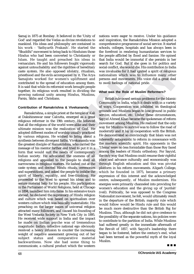Samaj in 1875 at Bombay. It believed in the 'Unity of God' and regarded the Vedas as divine revelations to mankind. His ideas and philosophy are contained in his work - 'Sathyarth Prakash'. He started the "Shuddhi" movement to bring back to Hinduism those Hindus who had been converted to Christianity or Islam. He taught and preached his ideas in vernaculars. He and his followers fought vigorously against untouchability and the rigidities of hereditary caste system. He also opposed idolatry, ritualism, priesthood and the evils accompanied by it. The Arya Samajists worked for women's upliftment and contributed to the spread of education among them. It is said that while its reformist work brought people together, its religious work resulted in dividing the growing national unity among Hindus, Muslims, Parsis, Sikhs and Christians.

#### **Contribution of Ramakrishna & Vivekananda**

vernaculars. He and his followers fought vigorously search for God. But if she grainst untouchability and the regidities of hereditary social conflict, she would die. He case system. He also opposed idolatry, ritualism, w arnament of world Rengions, neid<br>launched him into fame. In his exte<br>he declared the supremacy of Hind<br>lture which was based on spiritu<br>i culture which was basically mater<br>ng on the larger issues of universed<br>many follower Ramakrishna, a simple priest at the temple of Kali at Dakshineswar near Calcutta, emerged as a great religious reformer in the 19th century. He believed that all the religions of the world were alike and their ultimate mission was the realization of God. He adopted different modes of worship usually practiced by various religions. He wished to bring about a synthesis between divergent faiths. Vivekananda was the greatest disciple of Ramakrishna, who carried the message of his mentor farther and tried to put it in a form that would suit the needs of contemporary Indian society. He advocated the oneness of all religions and appealed to the people to shed all narrowness in religious matters. He lashed out at the caste system and decried Hindu rituals, ceremonies and superstitions, and asked the people to imbibe the spirit of liberty, equality, and free-thinking. He proceeded to the West to spread his ideas and to secure material help for his people. His participation in the Parliament of World Religions, held at Chicago in 1894, launched him into fame. In his extensive tours abroad, he declared the supremacy of Hindu religion and culture which was based on spiritualism over western culture which was basically materialistic. His preaching on the larger issues of universal religion attracted many followers, and caused his founding of the West Vedanta Society in New York City in 1895. He received wide support in India and the impact he made on Indian psyche was of tremendous magnitude. India's collective national ego obviously received a heavy infusion to counter the increasing weight of negative assessment growing out of her subject status and comparative material backwardness. Now she had some thing to communicate, a cultural product which the western

nations were eager to receive. Under his guidance and inspiration, the Ramakrishna Mission adopted a comprehensive programme of social service. It started schools, colleges, hospitals and has always been in the forefront in rendering humanitarian services to the people afflicted by flood and famine. He opined that India would be immortal if she persists in her search for God. But if she goes in for politics and social conflict, she would die. His contribution to India was invaluable for it had ignited a spirit of religious nationalism which was to influence many other persons and movements. His voice did a great deal to swell feelings of national pride.

#### **What was the Role of Muslim Reformers?**

lowers fought vigorously<br>search for God. But if she go<br>oseed idolatry, ritualism, was invaluable for it had ignitual<br>ompanied by it. The Arya nationalism which was to in<br>omen's upliftment and persons and movements. His vie estern. He akio opposed indulary, riunklism, vasa invaluable for it had ignied a spirit of religious and the evids accompanied by I. The Arya nationalism which was to influence many other<br>to state worked for women's upliff British rule posed serious problems for the Islamic Community in India, which it deals with in a variety of ways. Cooperation was inhibited on theological grounds and Muslims began to lose ground in public service, education, etc. Under these circumstances, Sayyid Ahmed Khan became the spokesman of reform movement among Muslims. He realized that the only way for Muslims to survive was to follow the road of modernity and it lay in cooperation with the British. He demonstrated so convincingly that Islam was not inherently antagonistic to reform in consonance with the modern scientific spirit. His opponents in the 'Ulema' were no less formidable than those Roy faced among the leaders of Hindu orthodoxy. For Sayyid, the only way that Muslims could resume their rightful place and advance culturally and economically was through English education and this was pivotal platform in his reform movements. Aligarh College, which he founded in 1875, became a primary expression of this interest and the acknowledged centre, subsequently, of Muslim modernism. His energies were primarily channeled into providing for women's education and the giving up of 'purdah' (veil). Politically, he was opposed to the Congress Nationalist movement, he felt, would ultimately result in the departure of the British; majority rule which would follow would be Hindu rule and this would be much more destructive than the British Raj for Muslims. Thus, although he did not give credence to the possibility of the separate nations, his policies were to contribute to the partition of India. While Muslims had suffered greatly in the immediate aftermath of the Revolt of 1857, with Sayyid's leadership there began to be fostered, before the century's end, what had been termed as the powerful myth of the loyal Muslim.

#### **. . .**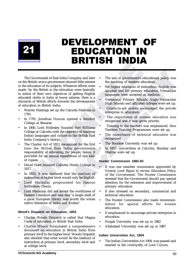

### DEVELOPMENT OF EDUCATION IN BRITISH INDIA

The Government of East India Company and later **The sim of governments**<br>
in the British crown government showed little interest<br>
in the ducation of its subjects. Whatever efforts were<br>
the the density of masters estimated For the same of the British East (Fig. 2). The importance of the same of the same of the same of the same of the same of the dentity of the calcutta Madrasa in the operator of the Calcutta Madrasa in the operator of the Ca Covernment of Fast India Company and late  $\bullet$  the aim of government's educational policy was stitled to the such as the teaching of massiers celucation.<br>
The British covernment showed little interest<br>
adopted and for pri The Government of East India Company and later on the British crown government showed little interest in the education of its subjects. Whatever efforts were made by the British in the education were basically to action of their own objectives of getting English educated clerks in India at lower salaries. Here is a chronicle of British efforts towards the development of education in British India:

- Warren Hastings set up the Calcutta Madrasa in 1781.
- In 1791, Jonathan Duncan opened a Sanskrit College at Benaras.
- In 1800, Lord Wellesley founded Fort Williams College at Calcutta with the objective of teaching Indian languages and culture to the British East India Company's factors.
- The Charter Act of 1813, recognized for the first time the British East India governments responsibility of educating the people, hence, it provided for an annual expeditions of one lakh of rupees.
- David Hare founded Calcutta Hindu College in 1817.
- In 1835, it was declared that the medium of instruction at higher level would only be English.
- Lord Macaulay propounded his famous Infiltration Theory.
- relation Theory:<br>
Individual dividual and Said that "a single of Macaulay did not accept the words<br>
Intervalse and Said that "a single direction in British"<br>
Intervalse Superception in British East Incar<br>
Intervalse Superc Lord Macaulay did not accept the worthiness of Eastern Literature and said that "a single shelf of a good European library was worth the whole native literature of India and Arabia".

#### **Wood's Dispatch on Education, 1854**

- Charles Woods Dispatch is called that Magna Carta of education in British East India.
- Charles Woods formulated a comprehensive document on education in British India from primary level to the higher level. Woods Dispatch also decided that what would be the medium of instruction at primary level, secondary level and at college level.
- The aim of government's educational policy was the teaching of masters education.
- For higher education of instruction, English was adopted and for primary education, Vernacular languages were accepted as medium.
- Vernacular Primary Schools, Anglo-Vernacular High Schools and affiliated colleges were set up.
- Grants-in-aid system encouraged the private enterprise in education.
- The importance of women education was recognized and it was given priority.
- Training to the teachers was emphasized, thus Teachers Training Programmes were set up.
- The importance of technical education was recognized.
- The Roorkee University was set up.
- In 1857, universities at Calcutta, Bombay and Madras were set up.

#### **Hunter Commission 1882-83**

- It was one member commission appointed by Viceroy Lord Ripon to review Education Policy of the Government. The Hunter Commission stressed that the Government should pay special attention for the extension and improvement of primary education.
- It also stressed on secondary, commercial and technical education.
- The Hunter Commission also made recommendation for special efforts for women education.
- It emphasized to encourage private enterprise in education.
- Punjab University was set up in 1882
- Allahabad University was set up in 1887.

#### **Indian Universities Act, 1904**

The Indian Universities Act 1904, was passed and enacted in the viceroyalty of Lord Curzon.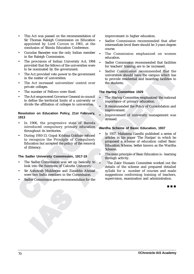- This Act was passed on the recommendation of Sir Thomas Raleigh Commission on Education appointed by Lord Curzon in 1901, at the conclusion of Shimla Education Conference.
- Gurudas Banerjee was the only Indian member in the Raleigh Commission.
- The provisions of Indian University Act, 1904 provided that the fellows of the universities were to be nominated by the government.
- The Act provided veto power to the government in the matter of universities.
- The Act increased universities' control over private colleges.
- The number of Fellows were fixed.
- The Act empowered Governor General-in-council to define the territorial limits of a university or divide the affiliation of colleges to universities.

#### **Resolution on Education Policy, 21st February, 1913**

- In 1906, the progressive state of Baroda introduced compulsory primary education throughout its territories.
- The provident of mindiple of the solution of the solution of the solution of the commission recommend to the noninated by the government<br>
The Act provided veto power to the government<br>
in the matter of universities the gov • During 1910-13, Gopal Krishna Gokhale refused to recognize the Principle of Compulsory Education but accepted the policy of the removal of illiteracy.

#### **The Sadler University Commission, 1917-19**

- The Sadler Commission was set up basically to look into the functions of Calcutta University.
- Sir Ashutosh Mukherjee and Ziauddin Ahmad were two India members in the Commission.
- Sadler Commission gave recommendation for the

IAS

improvement in higher education.

- Sadler Commission recommended that after intermediate level there should be 3 years degree course.
- The Commission emphasized on women education.
- Sadler Commission recommended that facilities for teachers' training are to be increased.
- Sadler Commission recommended that the universities should have the campus which has to provide residential and boarding facilities to the students.

#### **The Hartog Committee 1929**

- The Hartog Committee emphasized the national importance of primary education.
- It recommended the Policy of Consolidation and improvement.
- Improvement of university management was stressed.

#### **Wardha Scheme of Basic Education, 1937**

- Example the policy of the emotion of the emotion of the emotion of the emotion of the same of the students of the universities were fixed.<br>
Same the students of the students of the students of the students of the students nominated by the government<br>
and Act provided verto power to the government<br>
Act provided verto power to the government<br>
and the matter of universities should have the campus which has<br>
he matter of universities' control o • In 1937, Mahatma Gandhi published a series of articles in his paper 'The Harijan' in which he proposed a scheme of education called Basic Education Scheme, better known as the Wardha Scheme.
	- The main principle of Basic Education is learning through activity.
	- The Zakir Hussain Committee worked out the details of the scheme and prepared detailed syllabi for a number of courses and made suggestions conforming training of teachers, supervision, examination and administration.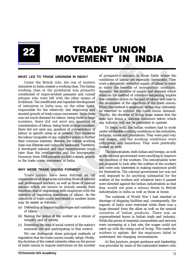

## TRADE UNION **MOVEMENT IN INDIA**

#### **WHAT LED TO TRADE UNIONISM IN INDIA?**

**EXERCISE TO TRADE UNIONISM IN INDIA?** of prospective entrantis to the Union of the Union of the rise of modern conditions of labour are espectated survivided survey in the rise of modern waver a single influence of survey **NIONISM IN INDIA?** of prospective entrants to the conditions of labour are espective that is conditions of labour are espective due and the search is the method of collectriat was primarily secondly, the doctrine of suppe LED TO TRADE UNIONISM IN INDIA? of prospective entrants to those fields where the deter the British rule, the rise of modern want as<br>iringenthy restricted supply of balanceated averking das The locality is<br>easy in India c Under the British rule, the rise of modern industries in India created a working class. The Indian working class or the proletariat was primarily constituted of impoverished peasants and ruined artisans who were left with the other means of livelihood. The insufficient and lopsided development of industries in India was, on the other hand, responsible for the relatively late beginning and stunted growth of trade union movement. Since there was not much demand for labour, being hired in large numbers, there did not exist any question of concentration of labour, being hired in large numbers, there did not exist any question of concentration of labour in specific areas as at present. This rendered the labour incapable of any collective action to further their common interests. Besides, the Indian working class was illiterate and culturally backward. Therefore, it developed national and class consciousness much later than the intelligentsia and the bourgeoisie. However, from 1918 onwards we find a steady growth in the trade union movement in India.

#### **WHY WERE TRADE UNIONS FORMED?**

Solution are known to include an<br>
Ins that of negotiating with employe<br>
ve of regulating conditions of labor<br>
ves of trade union movement in mot<br>
stated as follows:<br>
fending or improving the wages and<br>
labour.<br>
sing the st Trade unions have been defined as 'all organizations of employees including those of salaried and professional workers, as well as those of manual earners which are known to include among their functions that of negotiating with employers with the objective of regulating conditions of labour. So the objectives of trade union movement in modern times may be stated as follows:

- (a) Defending or improving the wages and conditions of labour.
- (b) Raising the status of the worker as a citizen of industry and of society.
- (c) Extending the area of social control of the nation's economic life and participating in that control.

We can distinguish three principal methods of regulation that the trade unions usually adopt. Firstly, the doctrine of the vested interests relies on the power of trade unions to impose restrictions on the number

of prospective entrants to those fields where the conditions of labour are especially favourable. They want a stringently restricted supply of labour in order to enjoy the benefits of monopolistic condition. Secondly, the doctrine of supply and demand which relies on the method of collective bargaining implies that collective action on the part of labour will lead to the attainment of the objectives of the trade unions. When this method is employed, strikes may ultimately be resorted to enforce the trade union demand. Thirdly, the doctrine of living wage means that the state lays down a national minimum below which any industry will not be permitted to operate.

To begin with, the Indian workers had to work under intolerable working conditions in the industries, factories, mines and plantations. They were paid very low wages, and the working conditions were unhygienic and hazardous. They were practically treated as serfs.

The industrialists, both Indian and foreign, as well as the colonial government were unwilling to improve the condition of the workers. The industrialists were not prepared to look after the welfare of the workers and were only interested in making maximum profit for themselves. The colonial government too was not well deposed to do anything substantial for the welfare of the workers and whatever laws it passed were directed against the Indian industrialists so that they would not pose a serious threat to British industrialists in India as well as those at home.

The outbreak of World War I had resulted in shortage of shipping facilities and, consequently, the imports of India were restricted while there was a huge demand from the allies as well as the neutral countries of Indian products. There was an unprecedented boom in Indian trade and industry. While the prices of essential commodities and services were increasing at a fast rate, the wages could not catch up with the rising cost of living. This made the workers to agitate. But the employers failed to understand the changing circumstances.

At this juncture, proper guidance and leadership was provided by some of the nationalist leaders who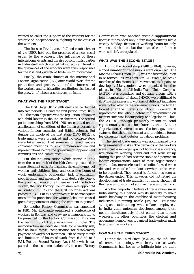wanted to enlist the support of the workers for the struggle of independence by fighting for the cause of the workers.

The Russian Revolution, 1917 and establishment of the USSR held out the prospect of a new social order to the workers. The influence of these international events and the rise of communist parties in India itself which started taking active interest in the grievances of the workers were thus responsible for the rise and growth of trade union movement.

Finally, the establishment of the International Labour Organization (ILO) after World War I for the protection and preservation of the interests of the workers and its tripartite constitution also helped the growth of labour associations in India.

## **WHAT WAS THE FIRST STAGE?**

in India itself which started taking active interest in During the Second stage (the unitself of workers were thus responsible a good number of track unitself of two first establishment of the International to be formed. The First Stage (1875-1918) itself can be divided into two periods. During the first period, from 1875- 1891, the main objective was the regulation of women and child labour in the Indian factories. The second period stretching from 1891-1918 concentrated on the amelioration of conditions of the Indian emigrants to various foreign countries and British colonies. But during the whole of the first stage (1875-1918), no trade unions were organized and no concrete steps were taken except that some enlightened leaders convened meetings to submit memorandum and representations before the government -appointment commissions and committees.

But, the industrialization, which started in India from the second half of the 19th Century, resulted in some attendant evils, for instance, the employment of women and children, long and excessive hours of work, undermining of morality, lack of education, poor housing and excessively high death rate. Due to the growing menace of all these evils of the factory system, the First Factory Commission was appointed in Bombay in 1875 and the First Factories Act was passed in 1881. But this act proved to be an inadequate measure. Its provisions for women labourers caused great disappointment among the workers in general.

the First Factory Commission was<br>bay in 1875 and the First Factorie<br>in 1881. But this act proved to be an<br>e. Its provisions for women labour<br>isappointment among the workers<br>another Factory Commission was<br>i. Mr. Lokhande or So, another Factory Commission was appointed in 1884. Mr. Lokhande organized a conference of workers in Bombay and drew up a memorandum to be presented to the Factory Commission. This was the beginning of trade unionism in India. The memorandum included demands for a weekly rest, half an hour recess, compensation for disablement, payment of wages not later than 15th of every month and limitation of hours of work from 6 A.M. to 6 P.M. But the Second Factory Act (1891) which was passed on the recommendations of the second Factory

Commission was another great disappointment because it provided only a few improvements like a weekly holiday, fixation of working hours for only women and children, but the hours of work for men were still left unregulated.

## **WHAT WAS THE SECOND STAGE?**

It aking active interest in<br>
a good number of trade union:<br>
trade union movement.<br>
Madras Labour Union (1918) w<br>
ent of the International<br>
to be formed. It's President Mr.<br>
after World War I for the member of the Home Rule variates of the walking of the Harmatoinal to he fract that the results are contained. The stabilishment of the internal to the formed. It was a stabilishment of the internal to the formed. It was a stabilishment of the in During the Second stage (1918 to 1924), however, a good number of trade unions were organized. The Madras Labour Union (1918) was the first trade union to be formed. It's President Mr. B.P. Wadia, an active member of the Home Rule Movement, took pains to develop it. Many unions were organized in other places. In 1920, the All India Trade Union Congress (AITUC) was organized and 64 trade unions with a total membership of about 1,40,000 were affiliated to it. While the interests of workers of different industries were looked after by the concerned unions, the AITUC looked after the interests of labour in general. It represented the labour before the government on matters such was labour policy and legislation. Thus, the AITUC, though primarily meant to send representatives to the International Labour Organization, Conferences and Sessions, gave some status to the labour movement and provided a forum for discussion and debates on labour problems.

The rise of trade unions was accompanied by a large number of strikes. The demands of the workers were increase in wages, grant of bonus, rise allowance, reduction on working hours and that were set up during this period had become stable and permanent labour organizations. Most of these organizations were, in fact, more or less ad hoc bodies formed when demands were to be formulated or where strikes were to be organised. They ceased to function as soon as the strikes ended. This, however, did not retard the development of trade unionism in India. Though all the trade unions did not survive, trade unionism did.

Another important feature of trade unionism in India during this period was its inability to make much headway in the established manufacturing industries like mining, textile, jute, etc. But it was strong and stable among "white collared employees." In India trade unionism developed among these people simultaneously if not earlier than among workers. In other countries the clerical and government employees organized trade unions much later than the workers.

## **HOW WAS THE THIRD STAGE?**

During the Third Stage (1924-34), the influence of communist ideology was clearly seen at work. Communists had begun to infiltrate into the trade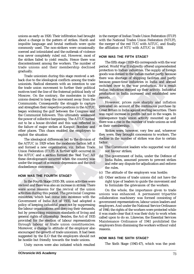unions as early as 1920. Their infiltration had brought about a change in the pattern of strikes. Harsh and impolite language and brutal methods were quite commonly used. The non-strikers were occasionally coerced and intimidated and the outbreak of violence was never completely ruled out. However, most of the strikes failed to yield results. Hence there was discontentment among the workers. The number of trade unions and their membership declined gradually.

discontinuent among the workers. The number of the fittlin stage (1893-45) cand<br>trade unions and their membership declined Period. World War II indirectly<br>gradually,<br>trade unions modulities that membership declined produc workers. The number of<br>
membership declined<br>
period. World War II indirectly<br>
contends this stage received a set-<br>
condicts among the trade<br>
condiction to Indian industries<br>
stage received a set-<br>
to further their politica ly.<br>
19.<br>
(a) monoticity in the stage received a set-<br>
goods was densited to the halabit materix partyly foreign<br>
the to the detailed and the town scheme and the stage received a set-<br>
exports on density and a more than th Trade unionism during this stage received a setback due to the ideological conflicts among the trade unionists. Radical elements with an intention to use the trade union movement to further their political motives toed the line of the fraternal political body of Moscow. On the contrary, the moderates in trade unions desired to keep the movement away from the Communists. Consequently the struggle to capture and strengthen their respective positions in the AITUC began widening the gulf between the Congress and the Communist followers. This ultimately weakened the power of collective bargaining. The AITUC turned out to be a house divided and this was reflected in the failure of major strikes at Kanpur, Bombay and other places. This chaos enabled the employers to exploit the situation

The ideological differences led to the division of the AITUC in 1929 when the moderate faction left it and formed a new organization, viz. Indian Trade Union Federation (ITUF). A further split occurred in the AITUC and a section formed the 'Red Tuc'. All these developments occurred when the country was under the impact of economic depression and the civil disobedience movement.

## **HOW WAS THE FOURTH STAGE?**

ome reasons for the revival of<br>es during this period. The provincia<br>ies, which had come into existenc<br>ment of India Act of 1935, had<br>of keeping industrial peace not by s<br>our organizations and denying their<br>prescribing mini In the Fourth Stage (1935-39), union activities were revived and there was also an increase in strikes. There were some reasons for the revival of the union activities during this period. The provincial Congress ministries, which had come into existence with the Government of India Act of 1935, had adopted a policy of keeping industrial peace not by suppressing the labour organizations and denying their demands, but by prescribing minimum standards of living and general rights of citizenship. Besides, the Act of 1935 provided for the election of labour representatives through labour or trade union constituencies. Moreover, a change in attitude of the employer also encouraged the growth of trade unionism. It had been suggested by the ILO that the employers should not be hostile but friendly towards the trade unions.

Unity moves were also initiated which resulted

in the merger of Indian Trade Union Federation (ITUF) with the National Trades Union Federation (NTUF), the merger of the red TUC with AITUC, and finally the affiliation of NTU with AITUC in 1938.

#### **HOW WAS THE FIFTH STAGE?**

The fifth stage (1939-45) corresponds with the war period. World War II indirectly offered unprecedented protection to Indian industries. The supply of foreign goods was denied to the Indian market partly because there was shortage of shipping facilities and partly because peace-time industries in India and abroad switched over to the war production. As a result Indian industries stepped up their activity. Industrial production in India increased and established new records.

However, prices rose sharply and inflation prevailed on account of the continuous purchase by Great Britain in India against sterling securities. There was rapid increase in profits but not in the wages. In consequence trade union activity mounted up and there was a rise in the number of trade unions as well as their membership.

Strikes were, however, very few and, wherever they were, they brought concessions to workers. The decline in the number of strikes was due to certain factor:

- (a) The Communist leaders who supported war did not favour strikes;
- (b) The government of India, under the Defence of India Rules, assumed powers to prevent strikes and refer any dispute for adjudication and enforce the rules.
- (c) The attitude of the employers was hostile;
- (d) Other sections of trade unions did not have the right type of leaders to guide the movement and to formulate the grievances of the workers.

On the whole, the importance given to trade unions was enhanced. A permanent tripartite collaboration machinery was formed consisting of government representatives, labour union leaders and employers. And under the National Service Ordinance of 1940, the rights of the workers were protected while it was made clear that it was their duty to work when called upon to do so. Likewise, the Essential Services Maintenance Ordinance of 1941 prohibited the employers from dismissing the workers without valid reasons.

#### **HOW WAS THE SIXTH STAGE?**

The Sixth Stage (1945-47), which was the post-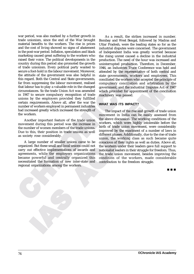country during this period also promoted the growth unitertrupled production. The order of trade unions<br>in. Every political party wanted to 1946, an Industries True Corrector<br>accure a foot-hold in the labour movement. Mor war period, was also marked by a further growth in trade unionism, since the end of the War brought material benefits to the workers. The rise in prices and the cost of living showed no signs of abatement in the post-war period. Inflation, speculation and black marketing caused great suffering to the workers who raised their voice. The political developments in the country during this period also promoted the growth of trade unionism. Every political party wanted to secure a foot-hold in the labour movement. Moreover, the attitude of the government was also helpful in this regard. Both the Central and State governments, far from suppressing the labour movement, realised that labour has to play a valuable role in the changed circumstances. So the trade Union Act was amended in 1947 to secure compulsory recognition of trade unions by the employers provided they fulfilled certain requirements. Above all, after the war the number of workers employed in permanent industries had increased greatly which increased the strength of the workers.

Another important feature of the trade union movement during this period was the increase in the number of women members of the trade unions. Due to this, their position in trade unions as well as society rose considerably.

A large number of smaller unions came to be organized. But these small and local unions could not carry out effective implementations of awards and agreements, while the employers organizations became powerful and centrally organized this necessitated the formation of new inter-state and regional organizations among the workers.

IAS

As a result, the strikes increased in number. Bombay and West Bengal, followed by Madras and Uttar Pradesh, were the leading states so for as the industrial disputes were concerned. The government of Independent India was greatly worried because the rising unrest caused a decline in the industrial production. The need of the hour was increased and uninterrupted production. Therefore, in December, 1946, an Industries Truce Conference was held and attended by the representative of both central and state governments, workers and employees. This conciliated the workers who accepted the principle of compulsory conciliation and arbitration by the government, and the industrial Disputes Act of 1947 which provided for appointment of the conciliation machinery was passed.

#### **WHAT WAS ITS IMPACT?**

also promoted the growth uninterrupted production. The<br>political party wanted to 1946, an Industries Truce Con<br>unremovement. Moreover, attended by the representative<br>ment was also helpful in state governments, workiers<br>al foul-hold in the labour movement was also helpful in taste governments, workers and employees. This can be determined by the cyrrespondence of the contraction of the Contract and Shot governments, contracted by the contrac The impact of the rise and growth of trade union movement in India can be easily assessed from the above discussion. The working conditions of the workers, which were highly intolerable before the birth of trade union movement, were considerably improved by the enactment of a number of laws in different phases. Additionally, due to the rise of trade union, the working class as such became quite conscious of their rights as well as duties. Above all, the workers under their leaders gave full support to nationalist leaders in their struggle for freedom. Thus, the trade union movement, besides improving the condition of the workers, made considerable contribution to the freedom struggle.

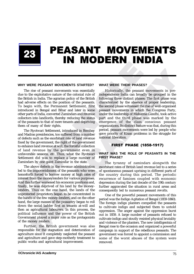

# PEASANT MOVEMENTS IN MODERN INDIA

#### **WHY WERE PEASANT MOVEMENTS STARTED?**

**EXERCT PERIST PHASE CONDUCTS** (The rise of peace in the comemolyne may the peace of the monographic monocletic and the British in India. The agraination is exampled by the peace of the peace of the peace of the peace of t The rise of peasant movements was essentially due to the exploitative nature of the colonial rule of the British in India. The agrarian policy of the British had adverse effects on the position of the peasants. To begin with, the Permanent Settlement, first introduced in Bengal and Bihar and later in some other parts of India, converted Zamindars and revenue collectors into landlords, thereby reducing the status of the peasants to that of mere tenants and depriving them of many of their rights.

The Ryotwari Settlement, introduced in Bombay and Madras presidencies, too suffered from a number of defects such as the exorbitant rate of land revenue fixed by the government, the right of the government to enhance land revenue at will, the forceful collection of land revenue by the government even in unfavorable seasons, etc. Thus, what the Ryotwari Settlement did was to replace a large number of Zamindars by one gaint Zamindar in the state.

I. Thus on the one hand, the land by a<br>i. Thus on the one hand, the land<br>ected proprietors began to be conceds of the few money-lenders, and o<br>he large masses of the peasantry be<br>the social ladder first as tenants a<br>is agr The above defects in the revenue administration led to the impoverishment of the peasants who were henceforth forced to borrow money at high rates of interest from the moneylenders for various purposes. And this further worsened his economic positions and, finally, he was deprived of his land by the moneylenders. Thus on the one hand, the lands of the unprotected proprietors began to be concentrated in the hands of the few money-lenders, and on the other hand, the large masses of the peasantry began to roll down the social ladder first as tenants at-will and then as agricultural labourers. In this process, the political influence and the power of the British Government played a major role as the protagonists of the money lenders.

Further, the British government was also responsible for the stagnation and deterioration of agriculture since it completely neglected the peasant and agriculture and gave step-motherly treatment to public works and agricultural improvement.

#### **WHAT WERE THEIR PHASES?**

**OVEMENTS STARTED?** WHAT WERE THEIR PHASE<br>ovements was essentially Historically, the peasant<br>arran policy of the British following three distinct phase<br>position of the peasants. characterized by the absence<br>position of the **IERE PEASANT MOVEMENTS STARTED?** WHAT WERE THEIR PHASES?<br>
Trise of pussant movements was essentially in Historically, the peasant movements in pre-<br>
the copiolative nature of the colonial tube of independence indicates in Historically, the peasant movements in preindependence India can broadly be grouped in the following three distinct phases: The first phase was characterized by the absence of proper leadership, the second phase witnessed the rise of well-organised peasant movements in which the Congress Party, under the leadership of Mahatma Gandhi, took active part and the third phase was marked by the emergence of the class conscious peasant organizations. Its distinct feature was that, during this period, peasant movements were led by people who gave priority of Kisan problems in the struggle for national liberation.

## FIRST PHASE (1858-1917)

#### **WHAT WAS THE ROLE OF PEASANTS IN THE FIRST PHASE?**

The tyranny of zamindars alongwith the exorbitant rates of British land revenue led to a series of spontaneous peasant uprising in different parts of the country during this period. The periodic recurrence of famines coupled with economic depression during the last decade of the 19th century further aggravated the situation in rural areas and consequently led to numerous peasant revolts.

One of the powerful peasant movements of this period was the Indigo Agitation of Bengal (1859-1860). The foreign indigo planters compelled the peasants to cultivate indigo and subjected them to untold oppression. The anger against the oppression burst out in 1859. A large number of peasants refused to cultivate indigo and stoutly resisted physical brutality and violence of the planters. The new intelligentsia of Bengal rose to the occasion and organized a powerful campaign in support of the rebellious peasants. The government was forced to appoint a commission and some of the worst abuses of the system were removed.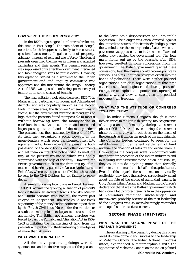#### **HOW WERE THE ISSUES RESOLVED?**

In the 1870's, again agricultural unrest broke out, this time in East Bengal. The zamindars of Bengal, notorious for their oppression, freely took recourse to ejection, harassment, illegal seizure of property, arbitrary increase of rent and use of force. The Bengal peasants organized themselves in unions and attacked zamindars and their agents. The peasant resistance was suppressed only after the government intervened and took energetic steps to put it down. However, this agitation served as a warning to the British government and and enquiry committee was appointed and the first statute, the Bengal Tenancy Act of 1885, was passed, conferring permanency of tenure upon some classes of tenants.

peasants ugamindata methanolas and the represented in bower. resulted in some and took energetic steps to put it down. However, concessions least the measurant to and took energetic steps to put it down. However, concessi Examplement intervene however, resulted in some consumerant and a solution of the peasant resistance<br>
is The peasant resistance different concercions: lead the masses she<br>
to warning to the British concercions as a result The next agitation took place between 1875-76 in Maharashtra, particularly in Poona and Ahmedabad districts, and was popularly known as the Deccan Riots. In these areas, the Ryotwari Settlement was in vogue, but the government revenue demand was so high that the peasants found it impossible to meet it without borrowing form the moneylender at exorbitant interest. As a result, more and more land began passing into the hands of the moneylenders. The peasants lost their patience by the end of 1874. At first, they organized a social boycott of the moneylenders which soon transformed itself into agrarian riots. Everywhere the peasants took possession of the debt bonds and other documents and set them on fire. The police failed to meet the fury of the peasant resistance, which was finally suppressed with the help of the army. However, the British government took its cue from this try of the masses and hurriedly passed the Deccan Agriculturists Relief Act where by no peasant of Maharashtra culd be sent to the Civil Debtors Jail for failure to repay debts.

00 against the growing alienation c<br>the money lenders of towns. The Sil<br>ndu peasants who had till the r<br>l an independent Sikh state could<br>rity of the moneylenders conferred<br>British Civil laws. No wonder the r<br>s on money le A similar uprising took place in Punjab between 1890-1900 against the growing alienation of peasant's lands to the money lenders of towns. The Sikh, Muslim and Hindu peasants who had till the recent past enjoyed an independent Sikh state could not break superiority of the moneylenders conferred upon them by the British Civil laws. No wonder the murders or assaults on money lenders began to increase rather alarmingly. The British government therefore was forced to pass the Punjab Land Alienation Act in 1902- 1903 prohibiting the transferring of land from the peasants and probihiting the transferring of mortgages of more than 20 years.

#### **WHAT WAS THEIR NATURE?**

All the above peasant uprisings were the spontaneous and instinctive response of the peasants

to the large scale dispossession and intolerable oppression. Their anger was often directed against the immediate source of their miserly Indigo planter the zamindar or the moneylender. Later, when the government suppressed them in the name of law and order, they resisted the government too. The four major fights put up by the peasants after 1858, however, resulted in some concessions from the government. The British government granted these concessions; least the masses should become politically conscious as a result of their struggles or fall into the hands of politicians. There were neither political organizations nor class organizations at that time either to stimulate, engineer and develop peasant's risings, or to exploit the spontaneous uprising of peasants with a view to strengthen any political movement for freedom.

## **WHAT WAS THE ATTITUDE OF CONGRESS TOWARDS THEM?**

presented only alter the government intervene correspondents. The meassing shaded become political<br>tation are the meassing to the strain by the british bands of politicians. There were not<br>the the meassing to the strain b The Indian National Congress, though it came into existence in the late 19th century, took cognizance of the peasant problems only during its extremist phase (1905-1919). And even during the extremist phase, it did not lay as much stress on the needs of the peasants as it did on the needs of the industrialists. The Congress leaders continued to press for the establishment of permanent settlement of land revenue, the abolition of sales tax and excise revenue. However, as the congress were pre-occupied with their fight for protection of the Indian industries and in securing state assistance to the Indian industrialists, they could not do anything more than formally reiterate these demands on behalf to the agriculturists. Even in this regard, for some reason not easily explicable, they kept themselves scrupulously silent about the fate of the crores of zamindari tenants in U.P., Orissa, Bihar, Assam and Madras. Lord Curzon's declaration that it was the Brithish government which had done a lot to protect tenants from the oppression of Zamindars remained unchallenged and unanswered probably because of the then leadership of the Congress was so overwhelmingly zamindari and capitalistic in its class context.

## SECOND PHASE (1917-1923)

#### **WHAT WAS THE SECOND PHASE OF THE PEASANT MOVEMENT?**

The awakening of the peasantry during this phase owed its development and success to the leadership of Mahatma Gandhi. The Indian National Congress infact, experienced a metamorphosis with the appearance of Mahatma Gandhi on the Indian political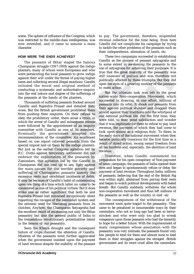scene. The sphere of influence of the Congress, which was restricted to the middle-class intelligentsia, was now extended, and it came to assume a mass character.

#### **HOW WERE THE ENDS ACHIEVED?**

The peasants of Bihar staged the famous Champaran struggle (1917-1918) against the indigo planters, many of whom were Europeans and who were persecuting the local peasants to grow indigo against their will under the threat of paying higher taxes and collecting several illegal exactions. Gandhi initiated the moral and original method of conducting a systematic and authoritative enquiry into the real nature and degree of the sufferings of the peasants at the hands of the planters.

The peasants of Bihar staged the famous<br>
Champaran struggle (1917-1918) against the indigo<br>
Co some extent in awakening<br>
planters, many of whom were Europeans and who use of satyagetal for achieving<br>
planters, many of whom ered as one of his political virtues.<br>
one as rather significant that bo<br>
ra Prasad had remained scrupulo<br>
ing the ravages of the zamindari s<br>
reme need for liberating peasant<br>
s. Anyhow, the Champaran Saty<br>
ellent result s, many of whom were Europeans and who law the CO stocky and who meet that purposes. It is the result of the parameter of paying the presentative and dot including a majority of the peasants was left their will under the t Thousands of suffering peasants flocked around Gandhi and Rajendra Prasad and detailed their woes. But the British government prohibited them from pushing their enquires. On their refusal to obey the prohibitory order, there arose a crisis, in which the arrest of Gandhi and subsequent release were followed by the appointment of an enquiry committee with Gandhi as one of its members. Eventually the government accepted the recommendation of the committee. An enactment based on use report relieved peasants from the special impost laid on them by the Indigo planters. But just as the earlier Congress agitation led by R.C. Dutta against temporary settlement did not embrace the exploitation of the peasants by Zamindars, this agitation led by the Gandhi in Champaran did not lead up to any fight against the main causes for the terrible poverty and suffering of Chamaparan peasants namely the excessive rents and exorbitant incidence of debts. It may be because of Gandhi's habit of concentrating upon one thing at a time which latter on came to be considered as one of his political virtues. But it does strike one as rather significant that both he and Rajendra Prasad had remained scrupulously silent regarding the ravages of the zamindari system and the extreme need for liberating peasants from its clutches. Anyhow, the Champaran Satyagraha had the excellent result of awakening not only the Bihar peasantry but also the general public of India to the tremendous revolutionary potentialities latent in the bosom of our peasantry.

Soon the Khaira drought and the consequent failure of crops claimed the attention of Gandhi. Miseries of the peasants were further aggravated when the government insisted upon the payment of land revenue despite the inability of the peasant to pay. The government, therefore, suspended revenue collection for the time being. Even here Gandhi did not complicate his campaign by trying to tackle the other problems of the peasants such as their independence, alienation of lands, etc.

These two campaigns succeeded in establishing Gandhi as the pioneer of peasant satyagraha and to some extent in awakening the peasants to the use of satyagraha for achieving their purposes. It is true that the great majority of the peasantry was still unaware of politics and was therefore not politically affected by these triumphs. But they did open the eyes of a growing number of the peasants to mass action.

and staged the ramous<br>
1-1180 against the indigo<br>
to some extent in awakening<br>
vevere Europeans and who<br>
true that the great majority<br>
peasants to grow indigo<br>
te threat of paying higher<br>
e threat of paying higher<br>
e threa But the ultimate task was left to the great nation-wide Non-cooperation Movement, which succeeded in drawing, in one effort, millions of peasants into its orbit. It shook our peasants from their age-old political slumber and dragged them almost against their traditions into the whirlpool of our national political life. For the first time, they were told, to their great satisfaction and wonder that it was legitimate for them to refuse to pay land revenue, the payment of which they had come to look upon almost as a religious duty. To them, in the early days of the national movement when they became politically conscious for the first time as a result of direct action, swaraj meant freedom from all tax burdens and, especially, the abolition of land revenue.

Therefore, when Gandhi commenced his preparation for his open conspiracy of Non-payment of taxes, campaign, the peasants of India opened their eyes and began to spontaneously refuse or delay the payment of land revenue. Throughout India, millions of peasants, believing that the end of the British Raj was within sight, abstained from paving their rents and began to watch political developments with bated breath. But Gandhi suddenly withdrew the whole non-cooperation movement and thus left millions of the peasants as well as the country in mid -air.

The consequences of the withdrawal of the movement were quite tragict to the peasantry. They came to be penalized in innumerable ways by their zamindars, who not so long ago had been so terrorstricken and who were only too glad to wreak vengeance upon those peasants who had the temerity to hope for a better future. With the imprisonment of many congressmen whose association with the peasantry was very intimate, the peasants found very few people to tend for them and almost none to lead them in their struggles against the enraged -British government and its more cruel allies the zamindars.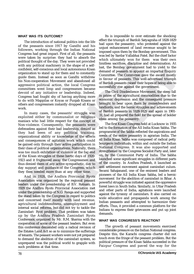## **WHAT WAS ITS OUTCOME?**

Fig. That the moving the based of peasants invited all India Kisan Sabir and the peasants of peasants of peasants of peasants of peasants of peasants of peasants of David Compressmen became successfully rise against the go The introduction of national politics into the life of the peasants since 1917 by Gandhi and his followers, working through the Indian National Congress had great impact. First of all, the peasants were taken by surprise: they had to absorb the political thought of the day. They were not provided with any political machinery in the shape of a selfconfident, self-conscious and local autonomous Kisan organization to stand up for them and to constantly guide them. Instead as soon as Gandhi withdrew his Non-cooperation Movement and abandoned all aggressive political action, the local Congress committees went limp and congressmen became devoid of any initiative or leadership. Indeed, Congress had fought shy of having anything more to do with Mappilas or Koyas or Punjab Kisans or others and congressmen instantly dropped all Kisan work.

pointar mongon to the tay, ring were not provided limitles sacrifies, discipline organization to staral the shape of a self-<br>star. He Bombay government organization to staral up for them and to constantly demand of peasan In many cases, the peasants' struggle was exploited either by communalist or religious maniacs who had little respect for the concept of Non-violence. Consequently, the peasants were defenseless against their bad leadership, denied as they had been of any political training, organizational ability or knowledge of the effects and consequences of agitation work which could be gained only through their active participation in their class of political organizations. Naturally, there was too much exhibition of violence at the fag end of the Kisan struggles of these hectic days of 1920- 1923 and it frightened away the Congressmen and thus denied them of any active sympathetic, day to day support and guidance of the Congress, which they then needed more than at any other time.

e Andhra Ryots Provincial Assoc<br>he presidentship of N.G. Ranga and<br>nd taken by the Congress in regard<br>ncerned itself mostly with land<br>tural indebtendness, unemploy<br>l social reforms, but did not try to<br>lari- Ryot problem. T And in 1928, the Andhra Provincial Ryots Association was organized by the regional peasant leaders under the presidentship of B.V. Ratnam. In 1929 the Andhra Ryots Provincial Association met under the presidentship of N.G. Ranga and supported the stand taken by the Congress in regard to politics and concerned itself mostly with land revenue, agricultural indebtendness, unemployment and internal social reforms, but did not try to tackle the Zamindari- Ryot problem. That problem was taken up by the Andhra Pradesh Zamindari Ryots Conference, organized by Mr. R.M. Sharma with the cooperation of some of the peasant leaders. But even this conference demanded only a radical revision of the Estates Land Act so as to minimize the sufferings of tenants. The peasant workers were not yet prepared to demand the abolition of the zamindari system, so unprepared was the political world to grapple with such problems at that time.

Its is impossible to over estimate the shocking effect the triumph of Bardoli Satyagraha of 1828-1829 had upon the peasantry, who protested against the unjust enhancement of land revenue sought to be imposed upon them by the Bombay government. This was led by Sardar Vallabhai Patel. But the chief factor which ultimately won for them was their own limitless sacrifices, discipline and determination. At last, the Bombay government had to yield to the demand of peasants to appoint an impartial Enquiry Committee. The Committee gave the award mostly in favour of peasants. This well-advertised triumph of Bardoli peasants raised their hopes of being able to successfully rise against the government.

The Civil Disobedience Movement, the steep fall in prices of the agricultural commodities due to the economic depression and the consequent pressure brought to bear upon them by moneylenders and landlords, and the heroic struggles and achievements of Bardoli peasants in 1828-1829 and again in 1901- 31, had all prepared the field for the spread of bolder ideas among the peasantry.

It self considerate and clocal automounts Kissun demand of possissing to propint an impairile Equivaly<br>then the consideration of them and to constantly Committee. The Committee gave the award mostly<br>to cooperation Movement The first Kisan Congress held at Lucknow in 1935 led to the formation of the All India Kisan Sabha. The programme of the Sabha reflected the aspirations and needs of the entire peasantry in agrarian India. The all India Kisan Sabha was composed of radical petty bourgeois individuals, within and outside the Indian National Congress. It was also supported and strengthened by the Congress Socialist Party and, later on, by the Communist Party of India. The Sabha launched some significant struggles in different parts of the country. In Andhra Pradesh, it launched an anti settlement movement against zamindari zulum. Swami Sahajanand, one of the eminent leaders and pioneers of the All India Kisan Sabha, led a heroic movement for the abolition of zamindari in Bihar. A powerful struggle was initiated against the oppressive forest laws in South India. Similarly, in Uttar Pradesh and other parts of India, agitations were launched against the tyranny of zamindars. It also carried on wide educative and propaganda work among the Indian peasants and attempted to harmonize their efforts. Thus, it provided a common platform for the Indians to express their grievances and put up joint demands.

#### **WHAT WAS CONGRESS'S REACTION?**

The growth of peasant movements exercised considerable pressure on the Indian National congress. Despite this, the Karachi congress charter did not touch even the fringe of the peasant problem. But the political pressure of the Kisan Sabha succeeded in the Faizpur Congress and paved the way for the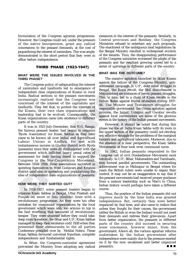formulation of the Congress agrarian programme. However, the Congress could not, under the pressure of the native bourgeoisies, grant any radical concessions to the peasant demands, at the cost of jeopardizing the interest of zamindars. This was amply demonstrated in the short period that they were in office before independence.

#### THIRD PHASE (1923-1947)

#### **WHAT WERE THE ISSUES INVOLVED IN THE THIRD PHASE?**

The Congress policy of safeguarding the interest of zamindars and landlords led to emergence of independent class organizations of Kisans in rural India. Radical sections in the peasant movements increasingly realized that the Congress was concerned of the interest of the capitalists and landlords. They felt that, to protect the interests of the Kisans, their own class organizations and leadership had to be evolved. Consequently, the Kisan organizations came into existence in different parts of the country.

**THIRD PHASE (1923-1947)** persants and the resultant grid persaments.<br>
THIRD PHASE peaces and the result of the comparison of the comparison of azimihalar gradient members of azimihalar sample of salignating the interest a WERE THE ISSUES INVOLVED IN THE WHAT WAS THE OUTCOME?<br>
PHARE THE ISSUES INVOLVED IN THE measure agains the finite of the Congress Ministry, anti-<br>
congress policy of safeguarding the interest agains the finite of the Cong It was in 1923 July-December, that N.G. Ranga, the famous peasant leader, had begun to organize 'Ryots Association' (or Kisan Sabhas as they later came to be known all over India) and Agricultural Labour Unions in Andhra. He met with instantaneous success in Guntur district with Ryots (peasants) since they were all disillusioned with the government which inflicted heavy penal rates of assessment for their having dared to support the Congress in the Nor-Cooperation Movement. Between 1924- 1926, these associations succeded in spreding themselves to West Godavari and Krishna district sand also in spreading and popularizing the idea of independent class organizations of peasants.

#### **HOW WERE THEY SORTED OUT?**

1926-1927, some peasant leaders<br>ee Kisan Sabhas in Bengal, Uttar P<br>o on more or less idealstic lin<br>ionary programme. As they were<br>men for communist organizations b<br>ment which were only too arxious<br>d everthing that savoured In 1926-1927, some peasant leaders began to organise Kisan Sabhas in Bengal, Uttar Pradesh and Punjab on more or less idealstic lines with a revolutionary programme. As they were too ofter mistaken for communist organizations by the local government which were only too arxious to nip in the bud everthing that savoured of revolutionary temper. They were shunned before they could take, deep roots Somehow, the Bihar and U.P., Kisan Sabhas managed to keep their existence until 1928 when they presented their memoranda to the all parties Conference presided over by Motilal Nehru. These Kisan Sabhas favoured universal franchise, complete independence and fundamental rights.

In Bihar, the Congress-zamindar agreement prevented the Ministry from adopting any radical

measures in the interest of the peasants. Similarly, in Central provinces and Bombay, the Congress Ministries refused to entertain any such proposals. The enactment of the ambiguous land legislations by the Bengal Ministry resulted in widespread eviction of the tenants. Thus, the disappointing performance of the Congress ministries worsened the plight of the peasants and the resultant growing unrest led to a series of uprisings in different parts of the country.

#### **WHAT WAS THE OUTCOME?**

peasants and the resultant grows<br> **ES INVOLVED IN THE**<br> **ES INVOLVED IN THE**<br>
The massive agitation laur<br>
safeguarding the interest<br>
The massive agitation laur<br>
safeguarding the interest<br>
against the failure of the Co<br>
set The massive agitation launched by Bihar Kisans against the failure of the Congress Ministry, antisettlement campaign in U.P., debt relief struggle in Bengal, the Koya revolt, the Bhil disturbances in Mayurabhanj are instances of heroic peasant struggles. This, in turn, led to a chain of Kisan revolts in the Indian States against feudal brutalities during 1937- 46. The Mysore and Travancore struggles for responsible government, the Orissa agitation against princess, the Jaipur, Udaipur and Gwalior revolts against local zammindars are some of the glorious events in the history of the Indian peasant movements.

However, it should be noted that during this phase too the all India Kisan Sabha with its roots in the upper section of the peasantry could not develop any effective struggle for the problems of the marginal farmers and agricultural labourers. Moreover, due to the absence of a clear perspective, the Kisan Sabha Movements at time took even communal turns.

In 1942, Indian peasants responded to the Congress call of civil Disobedience Movement most heroically. In U.P., Bihar, Maharashtra and Tamilnadu, they formed parallel governments. The outstanding achievement was in Midnapur in Bengal where for years the British rulers were unable to regain their control. It may not be an exaggeration to say that if the peasant movements had received proper guidance from a mature leadership such as Mao's in China, Indian history would perhaps have taken a different course.

Thus, the position of the Indian peasants did not improve much by the time India was granted independence. But, certainly they were better organized by that time, and also came to realize that unless they fought for their causes, the government (either the British or even the Indian) would not meet their demands and redress their grievances. Apart form better organization, the peasants in different parts of the country did succeed in securing some concession, however minor, from the government. Above all, the various agrarian reforms undertaken by the Indian government after independence were mainly due to the pressure exerted on it by the now awakened and better organized peasantry.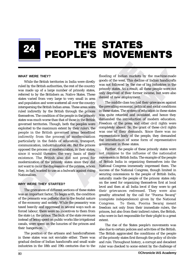# THE STATES PEOPLE'S MOVEMENTS

#### **WHAT WERE THEY?**

**WHAT WERE THEY?** If fooding of Indian markets<br>
WHAT WERE THEY? While the British territories in India were diretly goods of the west. This decline<br>
ruled by the British authorities, the rest of the country was more<br>
was flooding of Indian markets by<br>
flooding of Indian markets by<br>
its, the rest of the country<br>
was not followed by the rise compared in the rest of the country<br>
was not followed by the rise of<br>
s as. Native States. These prin **EXER THEY?**<br> **ENDER THEY?**<br> **ENDER THEY**<br> **ENDER THENE (ENDER THENE INTERFECT IS the UNITER IS (C**) that the properties the properties the rest of the counting various and ENDER COME (**B** ENDER THE C is the properties While the British territories in India were diretly ruled by the British authorities, the rest of the country was made up of a large number of princely states, referred to by the Britishers as. Native States. These states varied from very large to very small in area and population and were scattered all over the country interspersing the British Indian areas. These areas were ruled indirectly by the British through the princes themselves. The condition of the people in the princely states was much worse than that of those in the British governed territories. Though, both the peoples were exploited to the maximum extent by their rulers, the people in the British governed areas benefited indirectly from the process of modernisation particularly in the fields of education, transport, communication, industrialization etc. But the princes opposed the process of modernization, in their states, since it would threaten the very basis of their existence. The British also did not press for modernization of the princely states since they did not want to incur the displeasure of the princes, whom they, in fact, wanted to use as a bulwark against rising Nationalism.

## **WHY WERE THEY STARTED?**

e grievances of different sections of t<br>important factor. To begin with, the<br>leasants was pathetic due to the feu<br>conomy and society. While the pea<br>eavily and oppressed in several wa<br>labour, there were no incentives to<br>e i The grievances of different sections of these states was an important factor. To begin with, the condition of the peasants was pathetic due to the feudal nature of the economy and society. While the peasantry was taxed heavily and oppressed in several ways such as forced labour, there were no incentives to them from the state i.e. the prince. The bulk of the state revenues instead of being spent on public works like irrigational canals, were spent on the luxuries of the princes and their hangers-on.

The position of the artisans and handicraftsmen in these states was not enviable either. There was gradual decline of Indian handicrafts and small scale industries in the 18th and 19th centuries due to the flooding of Indian markets by the machine-made goods of the west. This decline of Indian handicrafts was not followed by the rise of big industries in the princely states. As a result, all these people were not only deprived of their former income, but were also denied of new employment.

The middle class too had their grievances against the prevailing economic, political and social conditions in these states. The system of education in these states was quite retarded and outdated, and hence they demanded the introduction of modern education. Freedom of the press and other civil rights were completely absent. So, the grant of these civil rights was one of their demands. Since there was no representative body of the people, they demanded the introduction of some form of representative government in these states.

Further, the people of these princely states were not immune to the influene of the nationalist movements in British India. The example of the people of British India in organizing themselves into the National Congress immensely impressed them. The success of the National Congress, though limited in securing concessions to the people of British India, naturally made the people of the princey states rely on the need for organizing themselves first at local level and then at all India level if they were to get their grievances redressed. They were also greathy attracted by the call for "Poorna Swaraj" (complete independence) given by the National Congress. To them, Poorna Swaraj meant freedom not only from their immediate rulers, the princes, but also from their indirect rulers, the British, who were in fact responsible for their plight to a great extent.

The rise of the States people's movements was also due to certain policies and activities of the British. The British aggravated the conditions of the people of the princely states first through the policy of divide and rule. Throughout history, a corrupt and decadent ruler was checked to some extent by the challenge of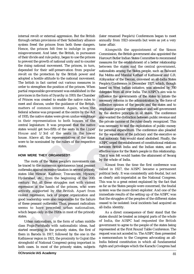of person megawow on andomatomy and o counter measures for the establishment the rising national movement. The princes, in turn, between the states and the rest of the rising mational movement. The princes, in turn, betwee internal revolt or external aggression. But the British through certain provisions of their Subsidiary alliance system freed the princes from both these dangers. Hence, the princes felt free to indulge in gross misgovernment. And later, the British, in pursuance of their divide and rule policy, began to use the princes to prevent the growth of national unity and to counter the rising national movement. The princes, in turn, depended for their self-preservation from popular revolt on the protection by the British power and adopted a hostile attitude to the national movement. The british in fact carried out various measures in order to strengthen the position of the princes. When partial responsible government was established in the provinces in the form of Dyarchy in 1919, the Chamber of Princes was created to enable the native rules to meet and discuss, under the guidance of the British, matters of common interest. Again, when the federal scheme was proposed at the centre by the Act of 1935, the native states were given undue weightage in their representation to both houses of the central legislature. It was proposed that the native states would get two-fifth of the seats in the Upper House and 1/3rd of the seats in the lower house. Above all, the reperesentatives of the states were to be nominated by the rulers of the respective states.

## **HOW WERE THEY ORGANISED?**

bon at the nantas of the princes,<br>y supported by the British. A<br>repression, lack of proper organi<br>aadership were also responsible for<br>e peasant outbreaks. Thus, peasant<br>to have preceded urban na<br>began only in the 1920s in The roots of the States people's movements can be traced to the numerous spontaneous local peasant outbreaks against excessive taxation in several princely states like Mewar, Kashmir, Travancore, Mysore, Hyderabad, etc., from the beginning of the 20th century. But all these struggles met with violent repression at the hands of the princes, who were actively supported by the British. Apart from violent repression, lack of proper organization and good leadership were also responsible for the failure of these peasant outbreaks. Thus, peasant radicalism seems to have preceded urban nationalism, which began only in the 1920s in most of the princely states.

Urban nationalism, in the form of urban middle class Praja-Parishads with nationalistic ideas, had started emerging in the princely states, the first of them in Baroda in 1917, followed by the one in the Kathiawar region in 1921, the proximity to Gujrat (the stronghold of National Congress) going important in both cases. In most of the princely states, subjects

(later renamed People's) Conferences began to meet annually from 1923 onwards but were as yet a very tame affair.

From the states and the measures for the establishment<br>
ent. The princes, in turn, between the states and the<br>
ent. The princes, in turn, between the states and the<br>
reservation from popular<br>
y the British power and Rai Me ed for their self-preservation from popular mationalis smagging lan Sistes people, such as Bottsh by the British power and Raul Melidi and Manilal Koluari of Kahikawa and G.R.<br>
And hostlis at this that the broadbott means Alongwith the appointment of the Simon Commission, the British government also appointed the Harcourt Butler Indian States Committee to recommend measures for the establishment of a better relationship between the states and the central government, nationalists among the States people, such as Balwant Rai Mehta and Manilal Kothari of Kathiawar and G.R. Abhyankar of the Deccan, convened an all-India States People's Conference in December 1927, which, though based on West Indian initiative, was attended by 700 delegates from all over India. The AISPC's aim was to influence the governments of the states to intiate the necessary reforms in the administration by the force of collective opinion of the people and the states and to emphasise popular representation and self-government by the elective principle in all states. The conference also wanted the distinction between public revenue and the private income of the ruler clearly recognized. This was necessary to end the exploitation of public money for personal expenditure. The conference also pleaded for the separation of the judiciary and the executive so that autocratic fiats would stand abolished. Finally, the AISPC urged the estabshment of constitutional relations between British India and the Indian states, and an effective voice for the State's people in this relationship. This it was felt would hasten the attainment of Swaraj by the whole of India.

Almost from the time the first conference was called in 1927, the AISPC became a permanent political body. It was consistently anti-feudal, but not as clearly anti-imperialist as the National Congress. This was to a great extent explained by the fact that as far as the States people were concerned, the feudal system was the more direct exploiter. And one of the immediate results of the setting up of the AISPC was that the struggles of the peoples of the different states ceased to be isolated: local incidents had acquired an all-India identity.

As a direct consequence of their stand that the states should be treated as integral parts of the whole of India, the AISPC had requested the British government to agree to the people of the states being represented at the First Round Table Conference. The request was not acceded to. The AISPC then presented a memorandum to the Congress advocating an all-India federal constitution in which all fundamental rights and priveleges which the Karachi Congress had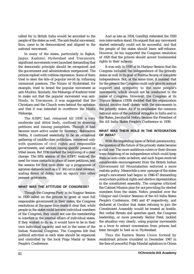called for in British India would be accorded to the people of the states as well. The anti-feudal movement, thus, came to be democratized and aligned to the national movement.

In many of the states, particularly in Rajkot, Jaipur, Kashmir, Hyderabad and Travancore, significant movements were launched demanding that the democratic principle should be recognized and the government and administration reorganized. The princes replied with ruthless repression. Some of them tried to stem the tide of popular revolt by inflaming communal passions. The Nizam of Hyderabad, for example, tried to brand the popular movement as anti-Muslim. Similarly, the Maharaja of Kashmir tried to make out that the popular movement was anti-Hindu. In Travancore, it was suggested that the Christians and the Church were behind the agitation and that it was intended to overthrow the Hindu Maharaja.

significant movements were launched demanding that "signs or use uses the democrate principle should be recognized. The Congress included the independence. Enjoint and administration reorganized. The Congress included the The AISPC had, remained till 1939, a very moderate and elitist body, confined to drawing petitions and issuing pamphlets. Though it had become more active under its Secretary, Balwantrai Mehta, it continued essentially to be an occasional gathering of middle-class politicians, concerned only with questions of civil rights and responsible governments, and seldom raising specific peasant or tribal issues. But 1936 marked the beginning of a clear change. The fifth session of the AISPC realized the need for mass contacts in place of mere petitions, and the session for first time drew up a programme of agrarian demands such as a 1/3rd cut in land revenue, scaling down of debts, and an equiry into other peasant grievances.

## **WHAT WAS THE ATTITUDE OF CONGRESS?**

**EXAMPLE OF CONGREGATE OF STATE OF CONGREGATIONS** Dugh the Congress Party in its Nagple called on the princes to grant a sible government in their states, the ions at the same time made it clear in the states could become Though the Congress Party in its Nagpur Session in 1920 called on the princes to grant at once full responsible government in their states, the Congress resolutions at the same time made it clear that, while people in the states could become individual members of the Congress, they could not use the membership to interfere in the internal affairs of individual states. If they wished to do so, it would have to be in their own individual capacity and not in the name of the Indian National Congress. The Congress felt that political activities in each state should be organized and controlled by the local Praja Madal or States People's Conference.

And as late as 1934, Gandhiji reiterated the 1920 non-intervention stand. He argued that any movement started externally could not be successful, and that the people of the states should learn self-reliance. However, he too supported the Congress resolution of 1920 that the princes should accord fundamental rights to their subjects.

raincend demanding that<br>
In twas only in 1938 at its H<br>
is thould be recognized and<br>
It was only in 1938 at its H<br>
is concernatized. The Congress included the independence strepression. Some of them<br>
states as well in its It was only in 1938 at its Haripur Session that the Congress included the independence of the princely states as well in its goal of Poorna Swaraj or complete independence. But, at the same time, it insisted that for the present the Congress could only give its normal support and sympathy to the state people's movements, which should not be conducted in the name of Congress. However, the Congress at its Tripura Session (1939) decided that the organization should involve itself closely with the movements in the princely states. As if to emphasise the common national aims of the political struggles in India and in the States, Jawaharlal Nehru became the President of the All India States People's Conference in 1939.

## **WHAT WAS THEIR ROLE IN THE INTEGRATION OF INDIA?**

erment and administration reorganized. The Congress included the infelaped energy is a set as a set as a set as a set as a set as a set as a set as a set as a set as a set as a set as a set as the prime of some that the s With the impending lapse of British paramountcy, the question of the future of the princely states became a vital one. The more ambitious rulers or their diwans were dreaming of an independence which could keep them as auto cratic as before, and such hopes received considerable encouragement from the British Indian Government till Mountabatten enforced a more realistic policy. Meanwhile a new upsurge of the states peopl's movement had begun in 1946-47 demanding everywhere political rights and elective representation in the constitutent assembly. The congress criticized the Cabinet Mission plan for not providing for elected members from the states. Nehru presided over the Udaipur and Gwalior Sessions of the All India States People's Conference, 1945 and 47 respectively, and declared at Gwalior that states refusing to join the Constitutent Assembly would be treated as hostile. But verbal threats and speeches apart, the Congress leadership, or more precisely Sardar Patel, tackled the situation very clearly, using popular movements as a lever to extract concessions from princes had been brought to heel as in Hyderabad.

Thus the Eastern States Union formed by recalcitrant princes crumbled in December 1947 in the face of powerful Praja Mandal agitations in Orissa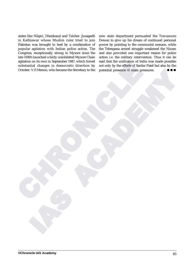substantial changes in democratic direction by mot only by the efforts of Sard<br>October. V.P.Menon, who became the Secretary to the potential presence of mass pr<br>October. V.P.Menon, who became the Secretary to the potential states like Nilgiri, Dhenkanal and Talcher. Junagadh in Kathiawar whose Muslim ruler tried to join Pakistan was brought to heel by a combination of popular agitation with Indian police action. The Congress, exceptionally strong in Mysore since the late 1930's launched a fairly uninhibited Mysore Chalo agitation on its own in September 1947, which forced substantial changes in democratic direction by October. V.P.Menon, who became the Secretary to the

Elementaric, which risted and that what the district of the potential presence of mass pre-<br>elementaric direction by not only by the efforts of Sarda<br>ecame the Secretary to the potential presence of mass pre-R. V.P. Mennon, who became the Secretary to the potential presence of mass presumes. new state department persuaded the Travancore Dewan to give up his dream of continued personal power by pointing to the communist menace, while the Telengana armed struggle weakened the Nizam and also provided one important reason for police action i.e. the military intervention. Thus it can be said that the unification of India was made possible not only by the efforts of Sardar Patel but also by the potential presence of mass pressures.

IAS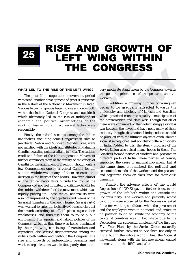25

# RISE AND GROWTH OF LEFT WING WITHIN THE CONGRESS

## **WHAT LED TO THE RISE OF THE LEFT WING?**

The post Non-cooperation movement period witnessed another development of great significance in the history of the Nationalist Movement in India. Various left-wing groups began to rise and grow both within the Indian National Congress and outside it which ultimately led to the rise of independent economic and political organizations of the working class in India. Infact, several factors were responsible.

**THE CONCRESS**<br>
WHAT LED TO THE RISE OF THE LEFT WING? very moderale stand taken by<br>
The post Non-cooperation movement period the genuine grievances of r<br>
winds in the history of the Nationalist Movement In india. In addi den withdrawal of the movement<br>picking up. These redical nation:<br>i impressed by the objectives and m<br>st (members of the newly formed Sw<br>anted to enter the legislative Counci<br>ork according to official plans, ex<br>sesses, and LED TO THE RISE OF THE LEFT WING? very moderate sland taken by the Congress towards<br>by post Non cooperation movement period the genuine grievances of the peasams and the<br>d another development of great significance wireles Firstly, the radical sections among the Indian nationalists, including some Congressmen such as Jawaharlal Nehru and Subhash Chandra Bose, were not satisfied with the ideals and attitudes of Mahatma Gandhi regarding political affairs in India. The sudden recall and failure of the Non-cooperation Movement further convinced them of the futility of the efforts of Gandhi for the attainment of freedom. Though only a few Congressmen openly criticized Gandhi for the sudden withdrawal, many of them resented the decision in the heart of their hearts. However, almost all the radical nationalists outside the fold of the Congress did not feel inhibited to criticize Gandhi for the sudden withdrawal of the movement which was rapidly picking up. These redical nationalists were also not impressed by the objectives and means of the Swarajist (members of the newly formed Swaraj Party) who wanted to enter the legislative Councils, obstruct their work according to official plans, expose their weaknesses, and thus use them to rouse public enthusiasm. The agrarian and labour policies of the Congress, which at that time was being dominated by the right wing consisting of zamindars and capitalists, also caused disppointment among the radials both within and without the Congress. The rise and growth of independent peasants and workers organizations was, in fact, partly due to the

very moderate stand taken by the Congress towards the genuine grievances of the peasants and the workers.

**THE LEFT WING?** very moderate stand taken by<br>this monotoneum that the genuine grievances of the genuine grievances of the genuine grievances of the genuine grievances of the genuine grievances of the congress and outside In addition, a growing number of youngmen began to be gradually attracted towards the philosophy and ideology of Marxism and Socialism which preached economic equality, emancipation of the downtrodden and class war. Though not all of them were convinced of the violent struggle or class war between the haves and have nots, many of them seriously thought that national independence should be pursued with the ultimate object of establishing a socialist society or at least socialistic pattern of society in India. Added to this, the steady progress of the Soviet Union also raised many hopes in them. The Socialists formed parties of workers and peasants in different parts of India. These parties, of course, supported the cause of national movement, but at the same time, emphasized the political and economic demands of the workers and the peasants and organized them on class lines for their class demands.

> Finally, the adverse effects of the world Depression of 1929-32 gave a further boost to the growth of the left both within and outside the Congress party. The workers and peasants, whose conditions were worsened by the Depression, asked for better working conditions, while the government and the employers were in no mood, and, infact, in no position to do so. While the economy of the capitalist countries was in bad shape due to the Depression, the successful ompletion of the first two Five Year Plans by the Soviet Union naturally attracted further converts to Socialism not only in India but in the whole world. Thus, the Socialist movement, along with the left movement, gained momentum in the 1930's and after.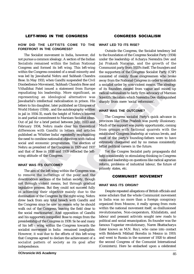## LEFT-WING IN THE CONGRESS

## **HOW DID THE LEFTISTS COME TO THE FOREFRONT IN THE CONGRESS?**

Socialists remained within the Indian National Jai Prakash Narayan, and<br>ordings small communistry and the Supernorm and Subhark Chandra communistry afrom 1920's within the Congress consisted of a small minority and the su in the Indian National Jai Prakash Narayan, and<br>left wing. This left-wing Communist party from 1920's in<br>ed of a small minority and the supporters of the Congres<br>are and Subhash Chandra consisted of mainly those cor<br>andhi the Congress consisted of a summation of the supporters of the Congress Socialist Party (CSP)<br>
In the Supporters and all minitivity and the supporters of the Congress Socialist Party (CSP)<br>
My Breakhish Schema and Sachish The Socialist movement in India, however, did not pursue a common idealogy. A section of the Indian Socialists remained within the Indian National Congress and formed its left wing. This left-wing within the Congress consisted of a small minority and was led by Jawaharlal Nehru and Subhash Chandra Bose. In May 1933, when Gandhi suspended the Civil Disobedience Movement, Subhash Chandra Bose and Vithalbhai Patel issued a statement from Europe repudiating his leadership. More significant, as representing an ideological alternative was Jawaharlal's intellectual radicalisation in prison. His letters to his daughter, later published as Glimpses of World History (1934) , and the autobiography written in jail in 1934-35, mark the height of Nehru's interest in and partial commitment to Marxiam Socialist ideas. Out of jail for a brief period between July, 1933 and February 1934, Nehru made clear his theoretical differences with Gandhi in letters and articles published as 'Whither India' repeatedly emphasizing the need to combine nationalist objectives with radical social and economic programmes. The election of Nehru as president of the Congress in 1929 and 1937 and that of Bose in 1938 and 1939 reflected the leftwing attitude of the Congress.

## **WHAT WAS ITS OUTCOME?**

ive process. But they could not su<br>ieving their objective mainly d<br>tion of the Congress by the right-w<br>aack from any total breach with C<br>agress since he saw no reason why<br>ut of the Congress, leaving the field<br>radio reasons The aim of the left wing within the Congress was to remove the sufferings of the poor and the downtrodden sections of the Indian society, though not through violent means, but through gradual legislative process. But they could not succeed fully in achieving their objective mainly due to the domination of the Congress by the right-wing. Nehru drew back from any total breach with Gandhi and the Congress since he saw no reason why he should walk out of the Congress, leaving the field clear to the social reactionaries'. And opposition of Gandhi and his supporters compelled Bose to resign from the presidentship of the Congress in 1939. So he and many of his left - wing within the Congress towards the socialist movement in India remained inegligible. However, it was due to the efforts of this left-wing that Congress agreed to declare the achievement of a socialist pattern of society as its goal after independence.

## CONGRESS SOCIALISM

#### **WHAT LED TO ITS RISE?**

Outside the Congress, the Socialist tendency led to the foundation of the Congress Socialist Party (1934) under the leadership of Acharya Nerendra Dev and Jai Prakash Narayan, and the growth of the Communist party from 1920's itself. The founders and the supporters of the Congress Socialist Party (CSP) consisted of mainly those congressmen who broke away from the National Congress in order to establish a socialist order by non-violent means. The idealogy of its founders ranged from vague and mixed up radical nationalism to fairly firm advocacy of Marxian Scientific Socialism which Nerendra Dev distinguished sharply from mere 'social reformism'.

#### **WHAT WAS THE OUTCOME?**

The Congress socialist Party's quick advance in provinces like Uttar Pradesh was purely illusionary. Much of the support was purely opportunistic, coming from groups with factional quarrels with the established Congress leaderhip at various levels, and most of the party's founding-fathers were to have extremely chequered and by no menas consistently leftist political careers in the future.

Yet the Congres Socialist party propaganda did help considerably in stimulating thinking in Congress ranks and leadership on questions like radical agrarian reform, problems of industrial labour, the future of princely states, etc.

#### COMMUNIST MOVEMENT

#### **WHAT WAS ITS ORIGIN?**

Despite repeated allegations of British officials and some scholars that the whole Communist movement in India was no more than a foreign conspiracy organized from Moscow, it really sprang from roots within the national movement itself, as disillusioned revolutionaries, Non-cooperators, Khilafatists, and labour and peasant activists sought new roads to political and social emancipation. Its founder was the famous Yugantar revolutionary, Naren Bhattacharya (later known as M.N. Roy), who came into contact with Bolshevik Mikhail Borodin in Mexico in 1919, and went to Russia in the summer of 1920 to attend the second Congress of the Comunist International (Comintern). Here he embarked upon a celebrated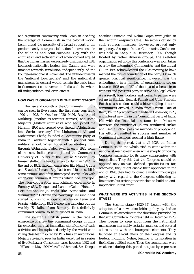and significant controversy with Lenin in deciding the strategy of Communists in the colonial world. Lenin urged the necessity of a broad support to the predominantly bourgeois-led national movements in the colonies and semi-coeonies. Roy with the enthusiasm and sectarianism of a new convert argued that the Indian masses were already disillusioned with bourgeois-nationalist leaders like Gandhi and were moving towards revolution independently of the bourgeois-nationalist movement. The attitude towards the 'national bourgeoisie' and the nationalist mainstream in general would remain the basic issue in Communist controversies in India and else where till independence and even after it.

## **HOW WAS IT ORGANISED IN THE FIRST STAGE?**

nat ne motal massas welching the method a Communist particle and Sharkovid and the moving towards revolution independently of the CPI in 1989 acknowledged the mathematic manifester in general would remain bourgeois-nationa The Collection of Collection and the Collection attionalist journals like 'Atmas<br>
Internal in Calcutta and 'Navayuga' in C<br>
publishing eulogistic articles on<br>
while from 1922 Dange was bring<br>
'Socialist' from Bombay, first towards revolution independently of the CPI in 1959 acknowledged the 1925 meeting to have the contains a more mean in smaller than the contains a more than be a more than be a more than be a more than be a more than be a The rise and growth of the Communists in India can be seen in five stages, the first stage convering 1920 to 1928. In October 1920, M.N. Roy, Abani Mukherji (another ex-terrorist convert) and some Mujahirs (Khilafat enthusiasts who had joined the Hijrat in 1920 and crossed over through Afghanistan into Soviet territory) like Mohammad Ali and Mohammed Shafiq founded a Communist party of India in Tashkent, together with a political cummilitary school. When hopes of penetrating India through Afghanistan faded away in early 1921, some of the new Indian recruits joined the Communist University of Toilers of the East at Moscow. Roy himself shifted his headquarters to Berlin in 1922. By the end of 1922, through emissaries like Nalini Gupta and Shaukat Usmani, Roy had been able to establish some tenuous and often-interecpted secret links with embryonic communist groups which had emerged. The Non-cooperation and Khilafat experience in Bombay (S.A. Dange), and Lahore (Gulam Hussain), Left nationalist journals like 'Atmasakti' and 'Dhumketu' in Calcutta and 'Navayuga' in Guntur had started publishing eulogistic articles on Lenin and Russia, while from 1922 Dange was bringing out the weekly 'Socialist' from Bombay, first definitely communist journal to be published in India.

The veritable British panic in the face of emergence of a few tiny communist groups in India far exceeded the real immediate significance of such activities and be explained only by the world-wide ruling class fear inspired by 1917 Russian revolutions. Mujahirs trying to re-enter India were tried in a series of five Peshawar Conspiracy cases between 1922 and 1927 and in May 1924 Muzaffar Ahmmad, S.A. Dange,

metally ushanced with the financial states of the Communist<br>
International of the CPI in 1959 acknowledged the<br>
nent. The attitude towards marked the formal foundation<br>
ie' and the nationalist greater practical significanc Shaukat Usmania and Nalini Gupta were jailed in the Kanpur Conspiracy Case. The setback caused by such repress measures, however, proved only temporary. An open Indian Communist Conference was held in Kanpur in December, 1925. Though floated by rather diverse groups, the skeleton organization set up by this conference was soon taken over by the determined Communists, and the united CPI in 1959 acknowledged the 1925 meeting to have marked the formal foundation of the party. Of much greater practical significance, however, was the embodiment, in a number of organizations set up between 1925 and 1927 of the idea of a broad front workers and peasants party to serve as a legal cover. As a result, four workers and peasants parties were set up in Bombay, Bengal, Punjab and Uttar Pradesh. But these associations could achieve nothing till some communists arrived in India from Britain. One of them, Philip Spratt arrived in India in December, 1925, and infused new life in the Communist party of India. He, with the financial assistance from Moscow increased the number of unions, conducted strikes and used all other possible methods of propaganda. His efforts resulted in success and number of Communist members reached a high figure.

During this period, that is till 1928, the Indian Communists on the whole tried to work within the nationalist mainstream even while sharply criticizing Congress leadership for its many compromises with imperialism. They felt that the Congress should be opposed only on well defined, specific issues, for, otherwise, they might enable their opponents to the end of 1928, they had followed a unity-cum-struggle policy with regard to the Congress, criticizing its limitations but striving nevertheless to build an antiimperialist united front.

## **WHAT WERE ITS ACTIVITIES IN THE SECOND STAGE?**

The Second stage (1929-34) began with the adoption of a new ultra-leftist policy by Indian Communists according to the directions provided by the Sixth Comintern Congress held in December 1928. They began to keep aloof from the nationalist mainstream in a highly sectarian manner, and severed all relations with the bourgeois elements. They launched an all-out attack on the Congress and its leaders, including Nehru, leading to its isolation in the Indian political scene. Thus, the communists were weakened during this period not just by repression